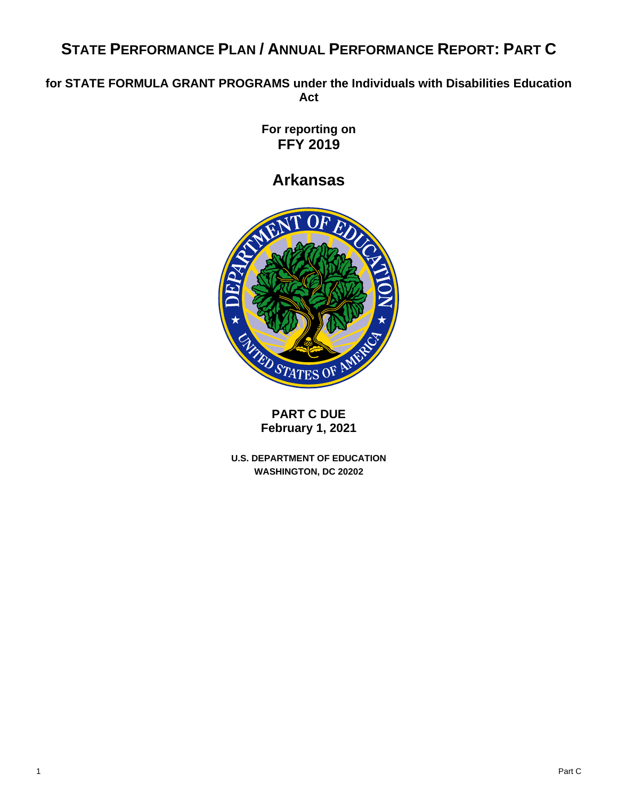# **STATE PERFORMANCE PLAN / ANNUAL PERFORMANCE REPORT: PART C**

## **for STATE FORMULA GRANT PROGRAMS under the Individuals with Disabilities Education Act**

**For reporting on FFY 2019**

**Arkansas**



**PART C DUE February 1, 2021**

**U.S. DEPARTMENT OF EDUCATION WASHINGTON, DC 20202**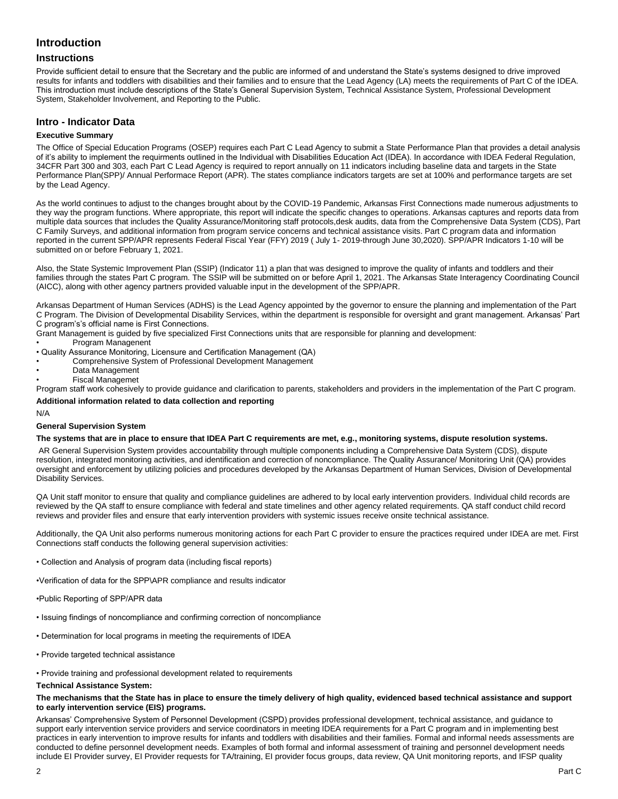### **Introduction**

### **Instructions**

Provide sufficient detail to ensure that the Secretary and the public are informed of and understand the State's systems designed to drive improved results for infants and toddlers with disabilities and their families and to ensure that the Lead Agency (LA) meets the requirements of Part C of the IDEA. This introduction must include descriptions of the State's General Supervision System, Technical Assistance System, Professional Development System, Stakeholder Involvement, and Reporting to the Public.

### **Intro - Indicator Data**

#### **Executive Summary**

The Office of Special Education Programs (OSEP) requires each Part C Lead Agency to submit a State Performance Plan that provides a detail analysis of it's ability to implement the requirments outlined in the Individual with Disabilities Education Act (IDEA). In accordance with IDEA Federal Regulation, 34CFR Part 300 and 303, each Part C Lead Agency is required to report annually on 11 indicators including baseline data and targets in the State Performance Plan(SPP)/ Annual Performace Report (APR). The states compliance indicators targets are set at 100% and performance targets are set by the Lead Agency.

As the world continues to adjust to the changes brought about by the COVID-19 Pandemic, Arkansas First Connections made numerous adjustments to they way the program functions. Where appropriate, this report will indicate the specific changes to operations. Arkansas captures and reports data from multiple data sources that includes the Quality Assurance/Monitoring staff protocols,desk audits, data from the Comprehensive Data System (CDS), Part C Family Surveys, and additional information from program service concerns and technical assistance visits. Part C program data and information reported in the current SPP/APR represents Federal Fiscal Year (FFY) 2019 ( July 1- 2019-through June 30,2020). SPP/APR Indicators 1-10 will be submitted on or before February 1, 2021.

Also, the State Systemic Improvement Plan (SSIP) (Indicator 11) a plan that was designed to improve the quality of infants and toddlers and their families through the states Part C program. The SSIP will be submitted on or before April 1, 2021. The Arkansas State Interagency Coordinating Council (AICC), along with other agency partners provided valuable input in the development of the SPP/APR.

Arkansas Department of Human Services (ADHS) is the Lead Agency appointed by the governor to ensure the planning and implementation of the Part C Program. The Division of Developmental Disability Services, within the department is responsible for oversight and grant management. Arkansas' Part C program's's official name is First Connections.

Grant Management is guided by five specialized First Connections units that are responsible for planning and development:

- Program Managenent
- Quality Assurance Monitoring, Licensure and Certification Management (QA)
- Comprehensive System of Professional Development Management
- Data Management
- Fiscal Managemet

Program staff work cohesively to provide guidance and clarification to parents, stakeholders and providers in the implementation of the Part C program. **Additional information related to data collection and reporting**

#### N/A

#### **General Supervision System**

#### **The systems that are in place to ensure that IDEA Part C requirements are met, e.g., monitoring systems, dispute resolution systems.**

AR General Supervision System provides accountability through multiple components including a Comprehensive Data System (CDS), dispute resolution, integrated monitoring activities, and identification and correction of noncompliance. The Quality Assurance/ Monitoring Unit (QA) provides oversight and enforcement by utilizing policies and procedures developed by the Arkansas Department of Human Services, Division of Developmental Disability Services.

QA Unit staff monitor to ensure that quality and compliance guidelines are adhered to by local early intervention providers. Individual child records are reviewed by the QA staff to ensure compliance with federal and state timelines and other agency related requirements. QA staff conduct child record reviews and provider files and ensure that early intervention providers with systemic issues receive onsite technical assistance.

Additionally, the QA Unit also performs numerous monitoring actions for each Part C provider to ensure the practices required under IDEA are met. First Connections staff conducts the following general supervision activities:

- Collection and Analysis of program data (including fiscal reports)
- •Verification of data for the SPP\APR compliance and results indicator
- •Public Reporting of SPP/APR data
- Issuing findings of noncompliance and confirming correction of noncompliance
- Determination for local programs in meeting the requirements of IDEA
- Provide targeted technical assistance
- Provide training and professional development related to requirements

#### **Technical Assistance System:**

#### **The mechanisms that the State has in place to ensure the timely delivery of high quality, evidenced based technical assistance and support to early intervention service (EIS) programs.**

Arkansas' Comprehensive System of Personnel Development (CSPD) provides professional development, technical assistance, and guidance to support early intervention service providers and service coordinators in meeting IDEA requirements for a Part C program and in implementing best practices in early intervention to improve results for infants and toddlers with disabilities and their families. Formal and informal needs assessments are conducted to define personnel development needs. Examples of both formal and informal assessment of training and personnel development needs include EI Provider survey, EI Provider requests for TA/training, EI provider focus groups, data review, QA Unit monitoring reports, and IFSP quality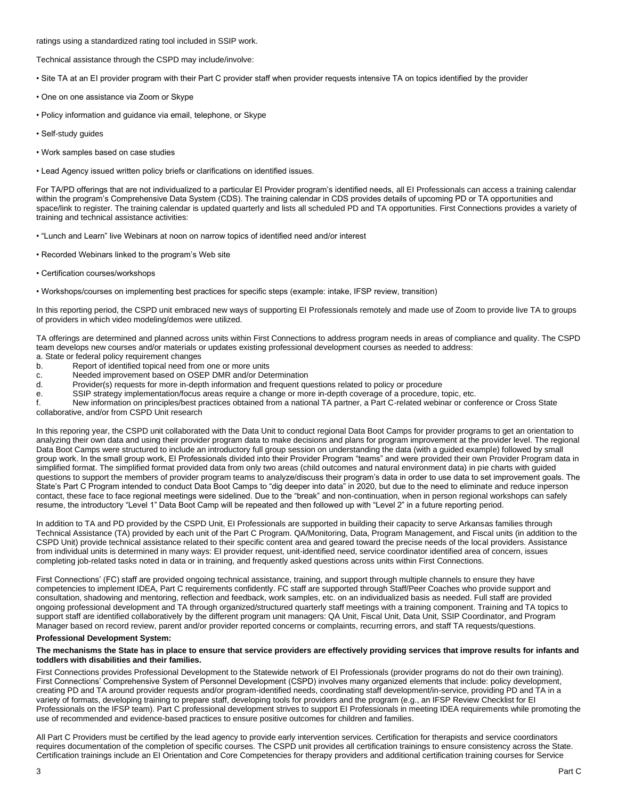ratings using a standardized rating tool included in SSIP work.

Technical assistance through the CSPD may include/involve:

• Site TA at an EI provider program with their Part C provider staff when provider requests intensive TA on topics identified by the provider

- One on one assistance via Zoom or Skype
- Policy information and guidance via email, telephone, or Skype
- Self-study guides
- Work samples based on case studies
- Lead Agency issued written policy briefs or clarifications on identified issues.

For TA/PD offerings that are not individualized to a particular EI Provider program's identified needs, all EI Professionals can access a training calendar within the program's Comprehensive Data System (CDS). The training calendar in CDS provides details of upcoming PD or TA opportunities and space/link to register. The training calendar is updated quarterly and lists all scheduled PD and TA opportunities. First Connections provides a variety of training and technical assistance activities:

- "Lunch and Learn" live Webinars at noon on narrow topics of identified need and/or interest
- Recorded Webinars linked to the program's Web site
- Certification courses/workshops
- Workshops/courses on implementing best practices for specific steps (example: intake, IFSP review, transition)

In this reporting period, the CSPD unit embraced new ways of supporting EI Professionals remotely and made use of Zoom to provide live TA to groups of providers in which video modeling/demos were utilized.

TA offerings are determined and planned across units within First Connections to address program needs in areas of compliance and quality. The CSPD team develops new courses and/or materials or updates existing professional development courses as needed to address:

- a. State or federal policy requirement changes Report of identified topical need from one or more units
- 
- c. C. Needed improvement based on OSEP DMR and/or Determination<br>d. Provider(s) requests for more in-depth information and frequent qu Provider(s) requests for more in-depth information and frequent questions related to policy or procedure
- e. SSIP strategy implementation/focus areas require a change or more in-depth coverage of a procedure, topic, etc.
- f. New information on principles/best practices obtained from a national TA partner, a Part C-related webinar or conference or Cross State

collaborative, and/or from CSPD Unit research

In this reporing year, the CSPD unit collaborated with the Data Unit to conduct regional Data Boot Camps for provider programs to get an orientation to analyzing their own data and using their provider program data to make decisions and plans for program improvement at the provider level. The regional Data Boot Camps were structured to include an introductory full group session on understanding the data (with a guided example) followed by small group work. In the small group work, EI Professionals divided into their Provider Program "teams" and were provided their own Provider Program data in simplified format. The simplified format provided data from only two areas (child outcomes and natural environment data) in pie charts with guided questions to support the members of provider program teams to analyze/discuss their program's data in order to use data to set improvement goals. The State's Part C Program intended to conduct Data Boot Camps to "dig deeper into data" in 2020, but due to the need to eliminate and reduce inperson contact, these face to face regional meetings were sidelined. Due to the "break" and non-continuation, when in person regional workshops can safely resume, the introductory "Level 1" Data Boot Camp will be repeated and then followed up with "Level 2" in a future reporting period.

In addition to TA and PD provided by the CSPD Unit, EI Professionals are supported in building their capacity to serve Arkansas families through Technical Assistance (TA) provided by each unit of the Part C Program. QA/Monitoring, Data, Program Management, and Fiscal units (in addition to the CSPD Unit) provide technical assistance related to their specific content area and geared toward the precise needs of the local providers. Assistance from individual units is determined in many ways: EI provider request, unit-identified need, service coordinator identified area of concern, issues completing job-related tasks noted in data or in training, and frequently asked questions across units within First Connections.

First Connections' (FC) staff are provided ongoing technical assistance, training, and support through multiple channels to ensure they have competencies to implement IDEA, Part C requirements confidently. FC staff are supported through Staff/Peer Coaches who provide support and consultation, shadowing and mentoring, reflection and feedback, work samples, etc. on an individualized basis as needed. Full staff are provided ongoing professional development and TA through organized/structured quarterly staff meetings with a training component. Training and TA topics to support staff are identified collaboratively by the different program unit managers: QA Unit, Fiscal Unit, Data Unit, SSIP Coordinator, and Program Manager based on record review, parent and/or provider reported concerns or complaints, recurring errors, and staff TA requests/questions.

#### **Professional Development System:**

#### **The mechanisms the State has in place to ensure that service providers are effectively providing services that improve results for infants and toddlers with disabilities and their families.**

First Connections provides Professional Development to the Statewide network of EI Professionals (provider programs do not do their own training). First Connections' Comprehensive System of Personnel Development (CSPD) involves many organized elements that include: policy development, creating PD and TA around provider requests and/or program-identified needs, coordinating staff development/in-service, providing PD and TA in a variety of formats, developing training to prepare staff, developing tools for providers and the program (e.g., an IFSP Review Checklist for EI Professionals on the IFSP team). Part C professional development strives to support EI Professionals in meeting IDEA requirements while promoting the use of recommended and evidence-based practices to ensure positive outcomes for children and families.

All Part C Providers must be certified by the lead agency to provide early intervention services. Certification for therapists and service coordinators requires documentation of the completion of specific courses. The CSPD unit provides all certification trainings to ensure consistency across the State. Certification trainings include an EI Orientation and Core Competencies for therapy providers and additional certification training courses for Service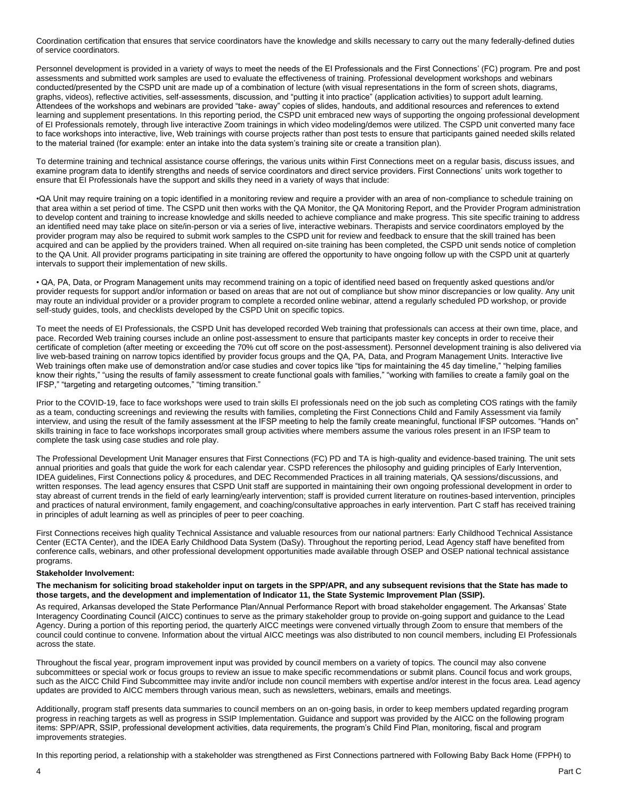Coordination certification that ensures that service coordinators have the knowledge and skills necessary to carry out the many federally-defined duties of service coordinators.

Personnel development is provided in a variety of ways to meet the needs of the EI Professionals and the First Connections' (FC) program. Pre and post assessments and submitted work samples are used to evaluate the effectiveness of training. Professional development workshops and webinars conducted/presented by the CSPD unit are made up of a combination of lecture (with visual representations in the form of screen shots, diagrams, graphs, videos), reflective activities, self-assessments, discussion, and "putting it into practice" (application activities) to support adult learning. Attendees of the workshops and webinars are provided "take- away" copies of slides, handouts, and additional resources and references to extend learning and supplement presentations. In this reporting period, the CSPD unit embraced new ways of supporting the ongoing professional development of EI Professionals remotely, through live interactive Zoom trainings in which video modeling/demos were utilized. The CSPD unit converted many face to face workshops into interactive, live, Web trainings with course projects rather than post tests to ensure that participants gained needed skills related to the material trained (for example: enter an intake into the data system's training site or create a transition plan).

To determine training and technical assistance course offerings, the various units within First Connections meet on a regular basis, discuss issues, and examine program data to identify strengths and needs of service coordinators and direct service providers. First Connections' units work together to ensure that EI Professionals have the support and skills they need in a variety of ways that include:

•QA Unit may require training on a topic identified in a monitoring review and require a provider with an area of non-compliance to schedule training on that area within a set period of time. The CSPD unit then works with the QA Monitor, the QA Monitoring Report, and the Provider Program administration to develop content and training to increase knowledge and skills needed to achieve compliance and make progress. This site specific training to address an identified need may take place on site/in-person or via a series of live, interactive webinars. Therapists and service coordinators employed by the provider program may also be required to submit work samples to the CSPD unit for review and feedback to ensure that the skill trained has been acquired and can be applied by the providers trained. When all required on-site training has been completed, the CSPD unit sends notice of completion to the QA Unit. All provider programs participating in site training are offered the opportunity to have ongoing follow up with the CSPD unit at quarterly intervals to support their implementation of new skills.

• QA, PA, Data, or Program Management units may recommend training on a topic of identified need based on frequently asked questions and/or provider requests for support and/or information or based on areas that are not out of compliance but show minor discrepancies or low quality. Any unit may route an individual provider or a provider program to complete a recorded online webinar, attend a regularly scheduled PD workshop, or provide self-study guides, tools, and checklists developed by the CSPD Unit on specific topics.

To meet the needs of EI Professionals, the CSPD Unit has developed recorded Web training that professionals can access at their own time, place, and pace. Recorded Web training courses include an online post-assessment to ensure that participants master key concepts in order to receive their certificate of completion (after meeting or exceeding the 70% cut off score on the post-assessment). Personnel development training is also delivered via live web-based training on narrow topics identified by provider focus groups and the QA, PA, Data, and Program Management Units. Interactive live Web trainings often make use of demonstration and/or case studies and cover topics like "tips for maintaining the 45 day timeline," "helping families know their rights," "using the results of family assessment to create functional goals with families," "working with families to create a family goal on the IFSP," "targeting and retargeting outcomes," "timing transition."

Prior to the COVID-19, face to face workshops were used to train skills EI professionals need on the job such as completing COS ratings with the family as a team, conducting screenings and reviewing the results with families, completing the First Connections Child and Family Assessment via family interview, and using the result of the family assessment at the IFSP meeting to help the family create meaningful, functional IFSP outcomes. "Hands on" skills training in face to face workshops incorporates small group activities where members assume the various roles present in an IFSP team to complete the task using case studies and role play.

The Professional Development Unit Manager ensures that First Connections (FC) PD and TA is high-quality and evidence-based training. The unit sets annual priorities and goals that guide the work for each calendar year. CSPD references the philosophy and guiding principles of Early Intervention, IDEA guidelines, First Connections policy & procedures, and DEC Recommended Practices in all training materials, QA sessions/discussions, and written responses. The lead agency ensures that CSPD Unit staff are supported in maintaining their own ongoing professional development in order to stay abreast of current trends in the field of early learning/early intervention; staff is provided current literature on routines-based intervention, principles and practices of natural environment, family engagement, and coaching/consultative approaches in early intervention. Part C staff has received training in principles of adult learning as well as principles of peer to peer coaching.

First Connections receives high quality Technical Assistance and valuable resources from our national partners: Early Childhood Technical Assistance Center (ECTA Center), and the IDEA Early Childhood Data System (DaSy). Throughout the reporting period, Lead Agency staff have benefited from conference calls, webinars, and other professional development opportunities made available through OSEP and OSEP national technical assistance programs.

#### **Stakeholder Involvement:**

#### **The mechanism for soliciting broad stakeholder input on targets in the SPP/APR, and any subsequent revisions that the State has made to those targets, and the development and implementation of Indicator 11, the State Systemic Improvement Plan (SSIP).**

As required, Arkansas developed the State Performance Plan/Annual Performance Report with broad stakeholder engagement. The Arkansas' State Interagency Coordinating Council (AICC) continues to serve as the primary stakeholder group to provide on-going support and guidance to the Lead Agency. During a portion of this reporting period, the quarterly AICC meetings were convened virtually through Zoom to ensure that members of the council could continue to convene. Information about the virtual AICC meetings was also distributed to non council members, including EI Professionals across the state.

Throughout the fiscal year, program improvement input was provided by council members on a variety of topics. The council may also convene subcommittees or special work or focus groups to review an issue to make specific recommendations or submit plans. Council focus and work groups, such as the AICC Child Find Subcommittee may invite and/or include non council members with expertise and/or interest in the focus area. Lead agency updates are provided to AICC members through various mean, such as newsletters, webinars, emails and meetings.

Additionally, program staff presents data summaries to council members on an on-going basis, in order to keep members updated regarding program progress in reaching targets as well as progress in SSIP Implementation. Guidance and support was provided by the AICC on the following program items: SPP/APR, SSIP, professional development activities, data requirements, the program's Child Find Plan, monitoring, fiscal and program improvements strategies.

In this reporting period, a relationship with a stakeholder was strengthened as First Connections partnered with Following Baby Back Home (FPPH) to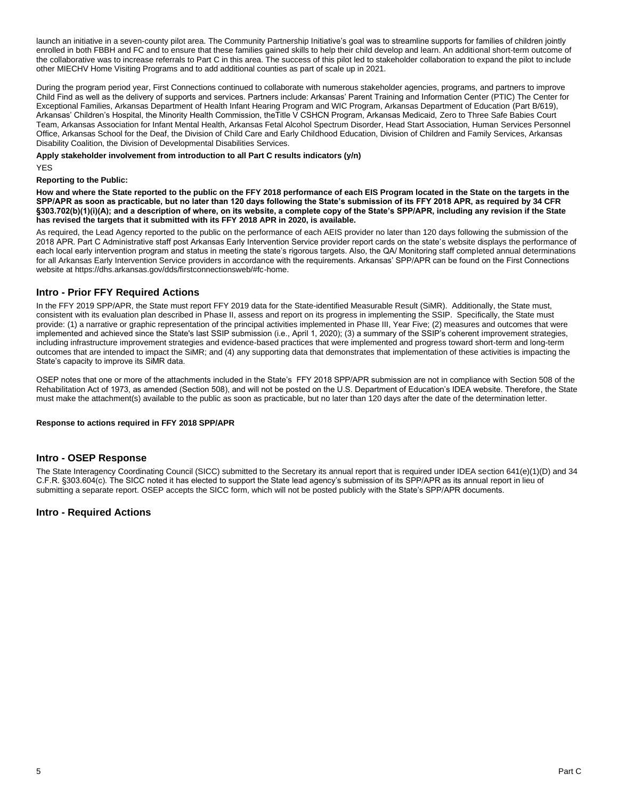launch an initiative in a seven-county pilot area. The Community Partnership Initiative's goal was to streamline supports for families of children jointly enrolled in both FBBH and FC and to ensure that these families gained skills to help their child develop and learn. An additional short-term outcome of the collaborative was to increase referrals to Part C in this area. The success of this pilot led to stakeholder collaboration to expand the pilot to include other MIECHV Home Visiting Programs and to add additional counties as part of scale up in 2021.

During the program period year, First Connections continued to collaborate with numerous stakeholder agencies, programs, and partners to improve Child Find as well as the delivery of supports and services. Partners include: Arkansas' Parent Training and Information Center (PTIC) The Center for Exceptional Families, Arkansas Department of Health Infant Hearing Program and WIC Program, Arkansas Department of Education (Part B/619), Arkansas' Children's Hospital, the Minority Health Commission, theTitle V CSHCN Program, Arkansas Medicaid, Zero to Three Safe Babies Court Team, Arkansas Association for Infant Mental Health, Arkansas Fetal Alcohol Spectrum Disorder, Head Start Association, Human Services Personnel Office, Arkansas School for the Deaf, the Division of Child Care and Early Childhood Education, Division of Children and Family Services, Arkansas Disability Coalition, the Division of Developmental Disabilities Services.

**Apply stakeholder involvement from introduction to all Part C results indicators (y/n)** 

YES

#### **Reporting to the Public:**

**How and where the State reported to the public on the FFY 2018 performance of each EIS Program located in the State on the targets in the SPP/APR as soon as practicable, but no later than 120 days following the State's submission of its FFY 2018 APR, as required by 34 CFR §303.702(b)(1)(i)(A); and a description of where, on its website, a complete copy of the State's SPP/APR, including any revision if the State has revised the targets that it submitted with its FFY 2018 APR in 2020, is available.**

As required, the Lead Agency reported to the public on the performance of each AEIS provider no later than 120 days following the submission of the 2018 APR. Part C Administrative staff post Arkansas Early Intervention Service provider report cards on the state's website displays the performance of each local early intervention program and status in meeting the state's rigorous targets. Also, the QA/ Monitoring staff completed annual determinations for all Arkansas Early Intervention Service providers in accordance with the requirements. Arkansas' SPP/APR can be found on the First Connections website at https://dhs.arkansas.gov/dds/firstconnectionsweb/#fc-home.

### **Intro - Prior FFY Required Actions**

In the FFY 2019 SPP/APR, the State must report FFY 2019 data for the State-identified Measurable Result (SiMR). Additionally, the State must, consistent with its evaluation plan described in Phase II, assess and report on its progress in implementing the SSIP. Specifically, the State must provide: (1) a narrative or graphic representation of the principal activities implemented in Phase III, Year Five; (2) measures and outcomes that were implemented and achieved since the State's last SSIP submission (i.e., April 1, 2020); (3) a summary of the SSIP's coherent improvement strategies, including infrastructure improvement strategies and evidence-based practices that were implemented and progress toward short-term and long-term outcomes that are intended to impact the SiMR; and (4) any supporting data that demonstrates that implementation of these activities is impacting the State's capacity to improve its SiMR data.

OSEP notes that one or more of the attachments included in the State's FFY 2018 SPP/APR submission are not in compliance with Section 508 of the Rehabilitation Act of 1973, as amended (Section 508), and will not be posted on the U.S. Department of Education's IDEA website. Therefore, the State must make the attachment(s) available to the public as soon as practicable, but no later than 120 days after the date of the determination letter.

#### **Response to actions required in FFY 2018 SPP/APR**

#### **Intro - OSEP Response**

The State Interagency Coordinating Council (SICC) submitted to the Secretary its annual report that is required under IDEA section 641(e)(1)(D) and 34 C.F.R. §303.604(c). The SICC noted it has elected to support the State lead agency's submission of its SPP/APR as its annual report in lieu of submitting a separate report. OSEP accepts the SICC form, which will not be posted publicly with the State's SPP/APR documents.

### **Intro - Required Actions**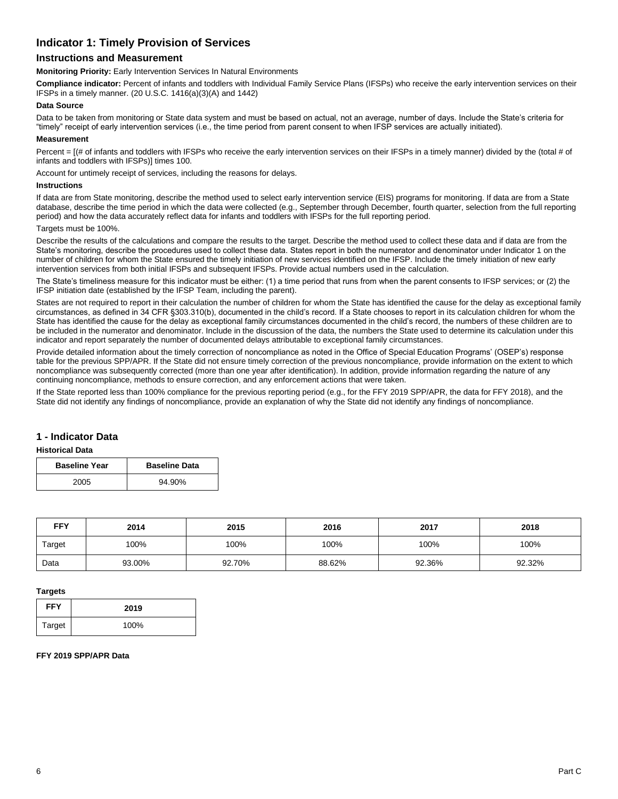## **Indicator 1: Timely Provision of Services**

### **Instructions and Measurement**

**Monitoring Priority:** Early Intervention Services In Natural Environments

**Compliance indicator:** Percent of infants and toddlers with Individual Family Service Plans (IFSPs) who receive the early intervention services on their IFSPs in a timely manner. (20 U.S.C. 1416(a)(3)(A) and 1442)

#### **Data Source**

Data to be taken from monitoring or State data system and must be based on actual, not an average, number of days. Include the State's criteria for "timely" receipt of early intervention services (i.e., the time period from parent consent to when IFSP services are actually initiated).

#### **Measurement**

Percent =  $[(# of infants and toldlers with IFSPs who receive the early intervention services on their IFSPs in a timely manner) divided by the (total # of$ infants and toddlers with IFSPs)] times 100.

Account for untimely receipt of services, including the reasons for delays.

#### **Instructions**

If data are from State monitoring, describe the method used to select early intervention service (EIS) programs for monitoring. If data are from a State database, describe the time period in which the data were collected (e.g., September through December, fourth quarter, selection from the full reporting period) and how the data accurately reflect data for infants and toddlers with IFSPs for the full reporting period.

#### Targets must be 100%.

Describe the results of the calculations and compare the results to the target. Describe the method used to collect these data and if data are from the State's monitoring, describe the procedures used to collect these data. States report in both the numerator and denominator under Indicator 1 on the number of children for whom the State ensured the timely initiation of new services identified on the IFSP. Include the timely initiation of new early intervention services from both initial IFSPs and subsequent IFSPs. Provide actual numbers used in the calculation.

The State's timeliness measure for this indicator must be either: (1) a time period that runs from when the parent consents to IFSP services; or (2) the IFSP initiation date (established by the IFSP Team, including the parent).

States are not required to report in their calculation the number of children for whom the State has identified the cause for the delay as exceptional family circumstances, as defined in 34 CFR §303.310(b), documented in the child's record. If a State chooses to report in its calculation children for whom the State has identified the cause for the delay as exceptional family circumstances documented in the child's record, the numbers of these children are to be included in the numerator and denominator. Include in the discussion of the data, the numbers the State used to determine its calculation under this indicator and report separately the number of documented delays attributable to exceptional family circumstances.

Provide detailed information about the timely correction of noncompliance as noted in the Office of Special Education Programs' (OSEP's) response table for the previous SPP/APR. If the State did not ensure timely correction of the previous noncompliance, provide information on the extent to which noncompliance was subsequently corrected (more than one year after identification). In addition, provide information regarding the nature of any continuing noncompliance, methods to ensure correction, and any enforcement actions that were taken.

If the State reported less than 100% compliance for the previous reporting period (e.g., for the FFY 2019 SPP/APR, the data for FFY 2018), and the State did not identify any findings of noncompliance, provide an explanation of why the State did not identify any findings of noncompliance.

### **1 - Indicator Data**

#### **Historical Data**

| <b>Baseline Year</b> | <b>Baseline Data</b> |
|----------------------|----------------------|
| 2005                 | 94.90%               |

| <b>FFY</b> | 2014   | 2015   | 2016   | 2017   | 2018   |
|------------|--------|--------|--------|--------|--------|
| Target     | 100%   | 100%   | 100%   | 100%   | 100%   |
| Data       | 93.00% | 92.70% | 88.62% | 92.36% | 92.32% |

#### **Targets**

| <b>FFY</b> | 2019 |
|------------|------|
| Target     | 100% |

#### **FFY 2019 SPP/APR Data**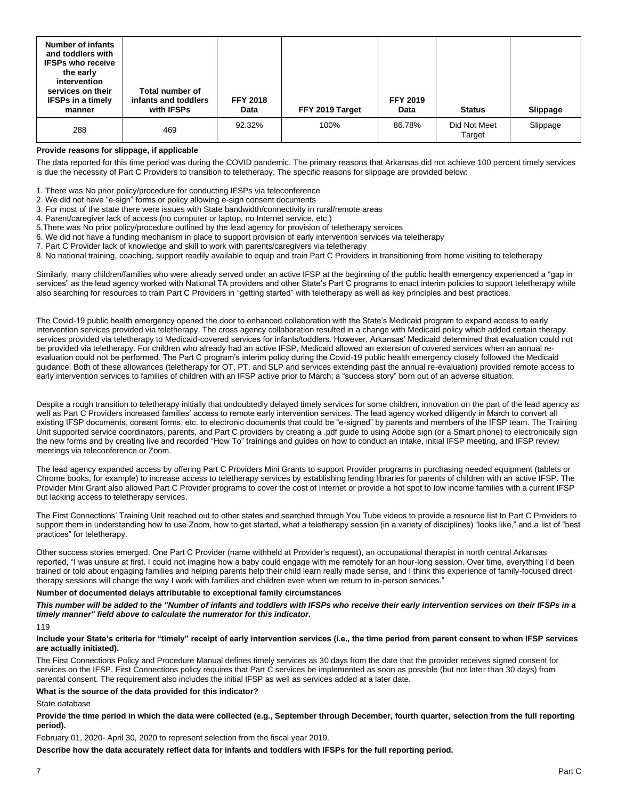| <b>Number of infants</b><br>and toddlers with<br><b>IFSPs who receive</b><br>the early<br>intervention<br>services on their<br><b>IFSPs in a timely</b><br>manner | Total number of<br>infants and toddlers<br>with IFSPs | <b>FFY 2018</b><br>Data | FFY 2019 Target | <b>FFY 2019</b><br>Data | <b>Status</b>          | Slippage |
|-------------------------------------------------------------------------------------------------------------------------------------------------------------------|-------------------------------------------------------|-------------------------|-----------------|-------------------------|------------------------|----------|
| 288                                                                                                                                                               | 469                                                   | 92.32%                  | 100%            | 86.78%                  | Did Not Meet<br>Target | Slippage |

#### **Provide reasons for slippage, if applicable**

The data reported for this time period was during the COVID pandemic. The primary reasons that Arkansas did not achieve 100 percent timely services is due the necessity of Part C Providers to transition to teletherapy. The specific reasons for slippage are provided below:

1. There was No prior policy/procedure for conducting IFSPs via teleconference

2. We did not have "e-sign" forms or policy allowing e-sign consent documents

3. For most of the state there were issues with State bandwidth/connectivity in rural/remote areas

4. Parent/caregiver lack of access (no computer or laptop, no Internet service, etc.)

5.There was No prior policy/procedure outlined by the lead agency for provision of teletherapy services

6. We did not have a funding mechanism in place to support provision of early intervention services via teletherapy

7. Part C Provider lack of knowledge and skill to work with parents/caregivers via teletherapy

8. No national training, coaching, support readily available to equip and train Part C Providers in transitioning from home visiting to teletherapy

Similarly, many children/families who were already served under an active IFSP at the beginning of the public health emergency experienced a "gap in services" as the lead agency worked with National TA providers and other State's Part C programs to enact interim policies to support teletherapy while also searching for resources to train Part C Providers in "getting started" with teletherapy as well as key principles and best practices.

The Covid-19 public health emergency opened the door to enhanced collaboration with the State's Medicaid program to expand access to early intervention services provided via teletherapy. The cross agency collaboration resulted in a change with Medicaid policy which added certain therapy services provided via teletherapy to Medicaid-covered services for infants/toddlers. However, Arkansas' Medicaid determined that evaluation could not be provided via teletherapy. For children who already had an active IFSP, Medicaid allowed an extension of covered services when an annual reevaluation could not be performed. The Part C program's interim policy during the Covid-19 public health emergency closely followed the Medicaid guidance. Both of these allowances (teletherapy for OT, PT, and SLP and services extending past the annual re-evaluation) provided remote access to early intervention services to families of children with an IFSP active prior to March; a "success story" born out of an adverse situation.

Despite a rough transition to teletherapy initially that undoubtedly delayed timely services for some children, innovation on the part of the lead agency as well as Part C Providers increased families' access to remote early intervention services. The lead agency worked diligently in March to convert all existing IFSP documents, consent forms, etc. to electronic documents that could be "e-signed" by parents and members of the IFSP team. The Training Unit supported service coordinators, parents, and Part C providers by creating a .pdf guide to using Adobe sign (or a Smart phone) to electronically sign the new forms and by creating live and recorded "How To" trainings and guides on how to conduct an intake, initial IFSP meeting, and IFSP review meetings via teleconference or Zoom.

The lead agency expanded access by offering Part C Providers Mini Grants to support Provider programs in purchasing needed equipment (tablets or Chrome books, for example) to increase access to teletherapy services by establishing lending libraries for parents of children with an active IFSP. The Provider Mini Grant also allowed Part C Provider programs to cover the cost of Internet or provide a hot spot to low income families with a current IFSP but lacking access to teletherapy services.

The First Connections' Training Unit reached out to other states and searched through You Tube videos to provide a resource list to Part C Providers to support them in understanding how to use Zoom, how to get started, what a teletherapy session (in a variety of disciplines) "looks like," and a list of "best practices" for teletherapy.

Other success stories emerged. One Part C Provider (name withheld at Provider's request), an occupational therapist in north central Arkansas reported, "I was unsure at first. I could not imagine how a baby could engage with me remotely for an hour-long session. Over time, everything I'd been trained or told about engaging families and helping parents help their child learn really made sense, and I think this experience of family-focused direct therapy sessions will change the way I work with families and children even when we return to in-person services."

#### **Number of documented delays attributable to exceptional family circumstances**

*This number will be added to the "Number of infants and toddlers with IFSPs who receive their early intervention services on their IFSPs in a timely manner" field above to calculate the numerator for this indicator.*

**Include your State's criteria for "timely" receipt of early intervention services (i.e., the time period from parent consent to when IFSP services are actually initiated).**

The First Connections Policy and Procedure Manual defines timely services as 30 days from the date that the provider receives signed consent for services on the IFSP. First Connections policy requires that Part C services be implemented as soon as possible (but not later than 30 days) from parental consent. The requirement also includes the initial IFSP as well as services added at a later date.

#### **What is the source of the data provided for this indicator?**

State database

**Provide the time period in which the data were collected (e.g., September through December, fourth quarter, selection from the full reporting period).**

February 01, 2020- April 30, 2020 to represent selection from the fiscal year 2019.

**Describe how the data accurately reflect data for infants and toddlers with IFSPs for the full reporting period.**

<sup>119</sup>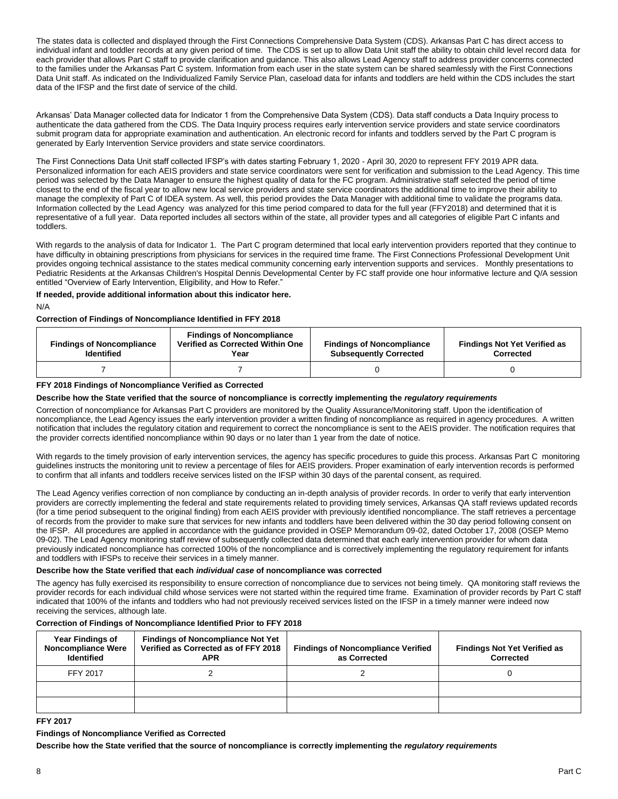The states data is collected and displayed through the First Connections Comprehensive Data System (CDS). Arkansas Part C has direct access to individual infant and toddler records at any given period of time. The CDS is set up to allow Data Unit staff the ability to obtain child level record data for each provider that allows Part C staff to provide clarification and guidance. This also allows Lead Agency staff to address provider concerns connected to the families under the Arkansas Part C system. Information from each user in the state system can be shared seamlessly with the First Connections Data Unit staff. As indicated on the Individualized Family Service Plan, caseload data for infants and toddlers are held within the CDS includes the start data of the IFSP and the first date of service of the child.

Arkansas' Data Manager collected data for Indicator 1 from the Comprehensive Data System (CDS). Data staff conducts a Data Inquiry process to authenticate the data gathered from the CDS. The Data Inquiry process requires early intervention service providers and state service coordinators submit program data for appropriate examination and authentication. An electronic record for infants and toddlers served by the Part C program is generated by Early Intervention Service providers and state service coordinators.

The First Connections Data Unit staff collected IFSP's with dates starting February 1, 2020 - April 30, 2020 to represent FFY 2019 APR data. Personalized information for each AEIS providers and state service coordinators were sent for verification and submission to the Lead Agency. This time period was selected by the Data Manager to ensure the highest quality of data for the FC program. Administrative staff selected the period of time closest to the end of the fiscal year to allow new local service providers and state service coordinators the additional time to improve their ability to manage the complexity of Part C of IDEA system. As well, this period provides the Data Manager with additional time to validate the programs data. Information collected by the Lead Agency was analyzed for this time period compared to data for the full year (FFY2018) and determined that it is representative of a full year. Data reported includes all sectors within of the state, all provider types and all categories of eligible Part C infants and toddlers.

With regards to the analysis of data for Indicator 1. The Part C program determined that local early intervention providers reported that they continue to have difficulty in obtaining prescriptions from physicians for services in the required time frame. The First Connections Professional Development Unit provides ongoing technical assistance to the states medical community concerning early intervention supports and services. Monthly presentations to Pediatric Residents at the Arkansas Children's Hospital Dennis Developmental Center by FC staff provide one hour informative lecture and Q/A session entitled "Overview of Early Intervention, Eligibility, and How to Refer."

#### **If needed, provide additional information about this indicator here.**

N/A

#### **Correction of Findings of Noncompliance Identified in FFY 2018**

| <b>Findings of Noncompliance</b><br><b>Identified</b> | <b>Findings of Noncompliance</b><br>Verified as Corrected Within One<br>Year | <b>Findings of Noncompliance</b><br><b>Subsequently Corrected</b> | <b>Findings Not Yet Verified as</b><br>Corrected |
|-------------------------------------------------------|------------------------------------------------------------------------------|-------------------------------------------------------------------|--------------------------------------------------|
|                                                       |                                                                              |                                                                   |                                                  |

#### **FFY 2018 Findings of Noncompliance Verified as Corrected**

#### **Describe how the State verified that the source of noncompliance is correctly implementing the** *regulatory requirements*

Correction of noncompliance for Arkansas Part C providers are monitored by the Quality Assurance/Monitoring staff. Upon the identification of noncompliance, the Lead Agency issues the early intervention provider a written finding of noncompliance as required in agency procedures. A written notification that includes the regulatory citation and requirement to correct the noncompliance is sent to the AEIS provider. The notification requires that the provider corrects identified noncompliance within 90 days or no later than 1 year from the date of notice.

With regards to the timely provision of early intervention services, the agency has specific procedures to guide this process. Arkansas Part C monitoring guidelines instructs the monitoring unit to review a percentage of files for AEIS providers. Proper examination of early intervention records is performed to confirm that all infants and toddlers receive services listed on the IFSP within 30 days of the parental consent, as required.

The Lead Agency verifies correction of non compliance by conducting an in-depth analysis of provider records. In order to verify that early intervention providers are correctly implementing the federal and state requirements related to providing timely services, Arkansas QA staff reviews updated records (for a time period subsequent to the original finding) from each AEIS provider with previously identified noncompliance. The staff retrieves a percentage of records from the provider to make sure that services for new infants and toddlers have been delivered within the 30 day period following consent on the IFSP. All procedures are applied in accordance with the guidance provided in OSEP Memorandum 09-02, dated October 17, 2008 (OSEP Memo 09-02). The Lead Agency monitoring staff review of subsequently collected data determined that each early intervention provider for whom data previously indicated noncompliance has corrected 100% of the noncompliance and is correctively implementing the regulatory requirement for infants and toddlers with IFSPs to receive their services in a timely manner.

#### **Describe how the State verified that each** *individual case* **of noncompliance was corrected**

The agency has fully exercised its responsibility to ensure correction of noncompliance due to services not being timely. QA monitoring staff reviews the provider records for each individual child whose services were not started within the required time frame. Examination of provider records by Part C staff indicated that 100% of the infants and toddlers who had not previously received services listed on the IFSP in a timely manner were indeed now receiving the services, although late.

#### **Correction of Findings of Noncompliance Identified Prior to FFY 2018**

| <b>Year Findings of</b><br><b>Noncompliance Were</b><br><b>Identified</b> | <b>Findings of Noncompliance Not Yet</b><br>Verified as Corrected as of FFY 2018<br><b>APR</b> | <b>Findings of Noncompliance Verified</b><br>as Corrected | <b>Findings Not Yet Verified as</b><br>Corrected |
|---------------------------------------------------------------------------|------------------------------------------------------------------------------------------------|-----------------------------------------------------------|--------------------------------------------------|
| FFY 2017                                                                  |                                                                                                |                                                           |                                                  |
|                                                                           |                                                                                                |                                                           |                                                  |
|                                                                           |                                                                                                |                                                           |                                                  |

#### **FFY 2017**

#### **Findings of Noncompliance Verified as Corrected**

**Describe how the State verified that the source of noncompliance is correctly implementing the** *regulatory requirements*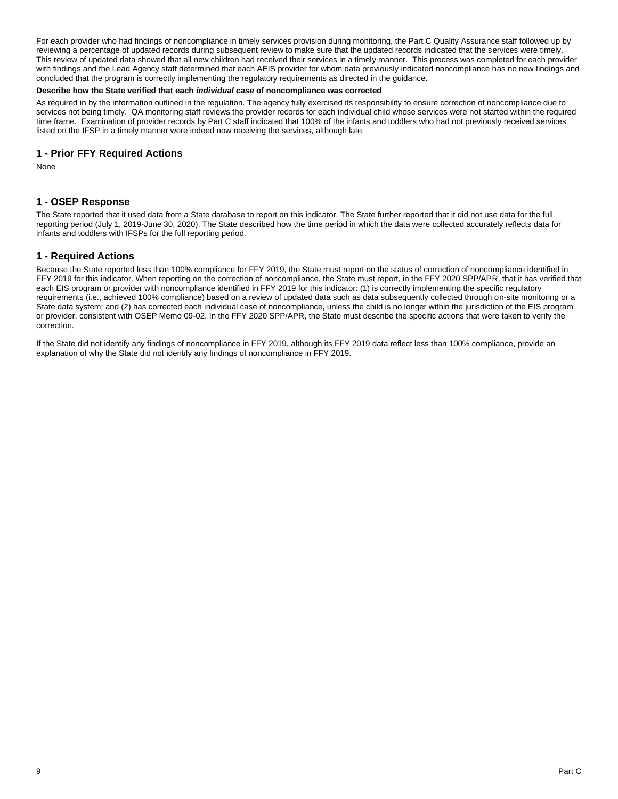For each provider who had findings of noncompliance in timely services provision during monitoring, the Part C Quality Assurance staff followed up by reviewing a percentage of updated records during subsequent review to make sure that the updated records indicated that the services were timely. This review of updated data showed that all new children had received their services in a timely manner. This process was completed for each provider with findings and the Lead Agency staff determined that each AEIS provider for whom data previously indicated noncompliance has no new findings and concluded that the program is correctly implementing the regulatory requirements as directed in the guidance.

#### **Describe how the State verified that each** *individual case* **of noncompliance was corrected**

As required in by the information outlined in the regulation. The agency fully exercised its responsibility to ensure correction of noncompliance due to services not being timely. QA monitoring staff reviews the provider records for each individual child whose services were not started within the required time frame. Examination of provider records by Part C staff indicated that 100% of the infants and toddlers who had not previously received services listed on the IFSP in a timely manner were indeed now receiving the services, although late.

### **1 - Prior FFY Required Actions**

None

### **1 - OSEP Response**

The State reported that it used data from a State database to report on this indicator. The State further reported that it did not use data for the full reporting period (July 1, 2019-June 30, 2020). The State described how the time period in which the data were collected accurately reflects data for infants and toddlers with IFSPs for the full reporting period.

### **1 - Required Actions**

Because the State reported less than 100% compliance for FFY 2019, the State must report on the status of correction of noncompliance identified in FFY 2019 for this indicator. When reporting on the correction of noncompliance, the State must report, in the FFY 2020 SPP/APR, that it has verified that each EIS program or provider with noncompliance identified in FFY 2019 for this indicator: (1) is correctly implementing the specific regulatory requirements (i.e., achieved 100% compliance) based on a review of updated data such as data subsequently collected through on-site monitoring or a State data system; and (2) has corrected each individual case of noncompliance, unless the child is no longer within the jurisdiction of the EIS program or provider, consistent with OSEP Memo 09-02. In the FFY 2020 SPP/APR, the State must describe the specific actions that were taken to verify the correction.

If the State did not identify any findings of noncompliance in FFY 2019, although its FFY 2019 data reflect less than 100% compliance, provide an explanation of why the State did not identify any findings of noncompliance in FFY 2019.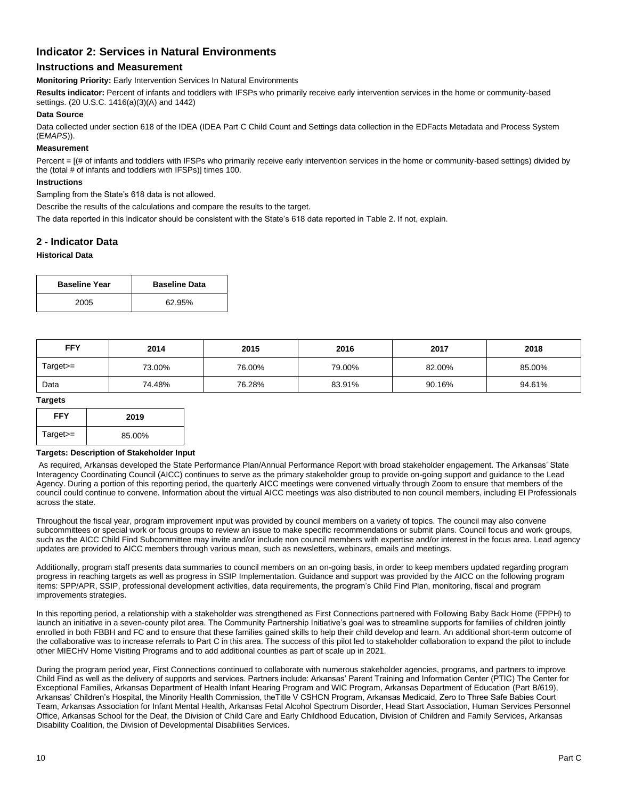## **Indicator 2: Services in Natural Environments**

### **Instructions and Measurement**

**Monitoring Priority:** Early Intervention Services In Natural Environments

**Results indicator:** Percent of infants and toddlers with IFSPs who primarily receive early intervention services in the home or community-based settings. (20 U.S.C. 1416(a)(3)(A) and 1442)

### **Data Source**

Data collected under section 618 of the IDEA (IDEA Part C Child Count and Settings data collection in the EDFacts Metadata and Process System (E*MAPS*)).

#### **Measurement**

Percent =  $[(# of infants and toldlers with IFSPs who primarily receive early intervention services in the home or community-based settings) divided by$ the (total # of infants and toddlers with IFSPs)] times 100.

#### **Instructions**

Sampling from the State's 618 data is not allowed.

Describe the results of the calculations and compare the results to the target.

The data reported in this indicator should be consistent with the State's 618 data reported in Table 2. If not, explain.

### **2 - Indicator Data**

#### **Historical Data**

| <b>Baseline Year</b> | <b>Baseline Data</b> |
|----------------------|----------------------|
| 2005                 | 62.95%               |

| <b>FFY</b> | 2014   | 2015   | 2016<br>2017 |        | 2018   |
|------------|--------|--------|--------------|--------|--------|
| Target>=   | 73.00% | 76.00% | 79.00%       | 82.00% | 85.00% |
| Data       | 74.48% | 76.28% | 83.91%       | 90.16% | 94.61% |

#### **Targets**

| <b>FFY</b> | 2019   |
|------------|--------|
| $Target =$ | 85.00% |

#### **Targets: Description of Stakeholder Input**

As required, Arkansas developed the State Performance Plan/Annual Performance Report with broad stakeholder engagement. The Arkansas' State Interagency Coordinating Council (AICC) continues to serve as the primary stakeholder group to provide on-going support and guidance to the Lead Agency. During a portion of this reporting period, the quarterly AICC meetings were convened virtually through Zoom to ensure that members of the council could continue to convene. Information about the virtual AICC meetings was also distributed to non council members, including EI Professionals across the state.

Throughout the fiscal year, program improvement input was provided by council members on a variety of topics. The council may also convene subcommittees or special work or focus groups to review an issue to make specific recommendations or submit plans. Council focus and work groups, such as the AICC Child Find Subcommittee may invite and/or include non council members with expertise and/or interest in the focus area. Lead agency updates are provided to AICC members through various mean, such as newsletters, webinars, emails and meetings.

Additionally, program staff presents data summaries to council members on an on-going basis, in order to keep members updated regarding program progress in reaching targets as well as progress in SSIP Implementation. Guidance and support was provided by the AICC on the following program items: SPP/APR, SSIP, professional development activities, data requirements, the program's Child Find Plan, monitoring, fiscal and program improvements strategies.

In this reporting period, a relationship with a stakeholder was strengthened as First Connections partnered with Following Baby Back Home (FPPH) to launch an initiative in a seven-county pilot area. The Community Partnership Initiative's goal was to streamline supports for families of children jointly enrolled in both FBBH and FC and to ensure that these families gained skills to help their child develop and learn. An additional short-term outcome of the collaborative was to increase referrals to Part C in this area. The success of this pilot led to stakeholder collaboration to expand the pilot to include other MIECHV Home Visiting Programs and to add additional counties as part of scale up in 2021.

During the program period year, First Connections continued to collaborate with numerous stakeholder agencies, programs, and partners to improve Child Find as well as the delivery of supports and services. Partners include: Arkansas' Parent Training and Information Center (PTIC) The Center for Exceptional Families, Arkansas Department of Health Infant Hearing Program and WIC Program, Arkansas Department of Education (Part B/619), Arkansas' Children's Hospital, the Minority Health Commission, theTitle V CSHCN Program, Arkansas Medicaid, Zero to Three Safe Babies Court Team, Arkansas Association for Infant Mental Health, Arkansas Fetal Alcohol Spectrum Disorder, Head Start Association, Human Services Personnel Office, Arkansas School for the Deaf, the Division of Child Care and Early Childhood Education, Division of Children and Family Services, Arkansas Disability Coalition, the Division of Developmental Disabilities Services.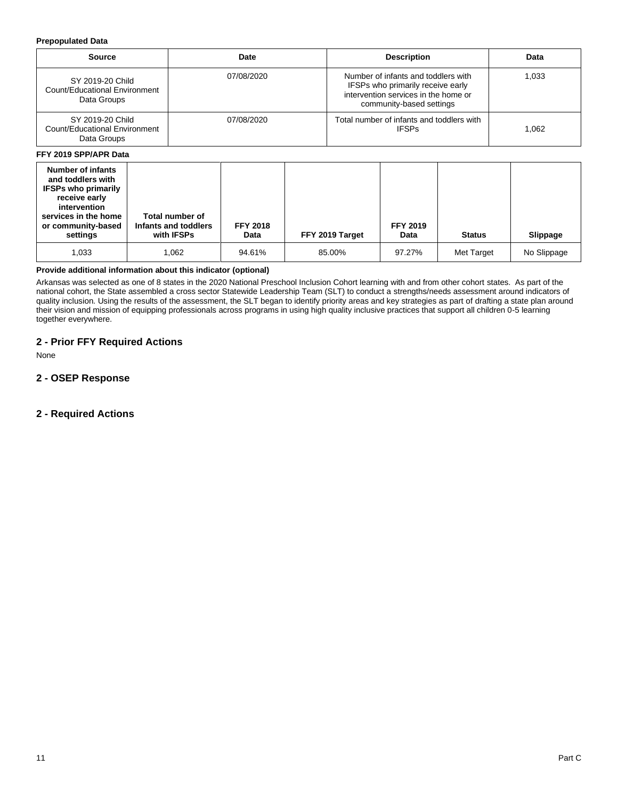#### **Prepopulated Data**

| Source                                                           | Date       | <b>Description</b>                                                                                                                           | Data  |
|------------------------------------------------------------------|------------|----------------------------------------------------------------------------------------------------------------------------------------------|-------|
| SY 2019-20 Child<br>Count/Educational Environment<br>Data Groups | 07/08/2020 | Number of infants and toddlers with<br>IFSPs who primarily receive early<br>intervention services in the home or<br>community-based settings | 1.033 |
| SY 2019-20 Child<br>Count/Educational Environment<br>Data Groups | 07/08/2020 | Total number of infants and toddlers with<br><b>IFSPs</b>                                                                                    | 1.062 |

#### **FFY 2019 SPP/APR Data**

| <b>Number of infants</b><br>and toddlers with<br><b>IFSPs who primarily</b><br>receive early<br>intervention<br>services in the home<br>or community-based<br>settings | Total number of<br>Infants and toddlers<br>with IFSPs | <b>FFY 2018</b><br>Data | FFY 2019 Target | <b>FFY 2019</b><br>Data | <b>Status</b> | Slippage    |
|------------------------------------------------------------------------------------------------------------------------------------------------------------------------|-------------------------------------------------------|-------------------------|-----------------|-------------------------|---------------|-------------|
| 1,033                                                                                                                                                                  | 1.062                                                 | 94.61%                  | 85.00%          | 97.27%                  | Met Target    | No Slippage |

### **Provide additional information about this indicator (optional)**

Arkansas was selected as one of 8 states in the 2020 National Preschool Inclusion Cohort learning with and from other cohort states. As part of the national cohort, the State assembled a cross sector Statewide Leadership Team (SLT) to conduct a strengths/needs assessment around indicators of quality inclusion. Using the results of the assessment, the SLT began to identify priority areas and key strategies as part of drafting a state plan around their vision and mission of equipping professionals across programs in using high quality inclusive practices that support all children 0-5 learning together everywhere.

### **2 - Prior FFY Required Actions**

None

## **2 - OSEP Response**

### **2 - Required Actions**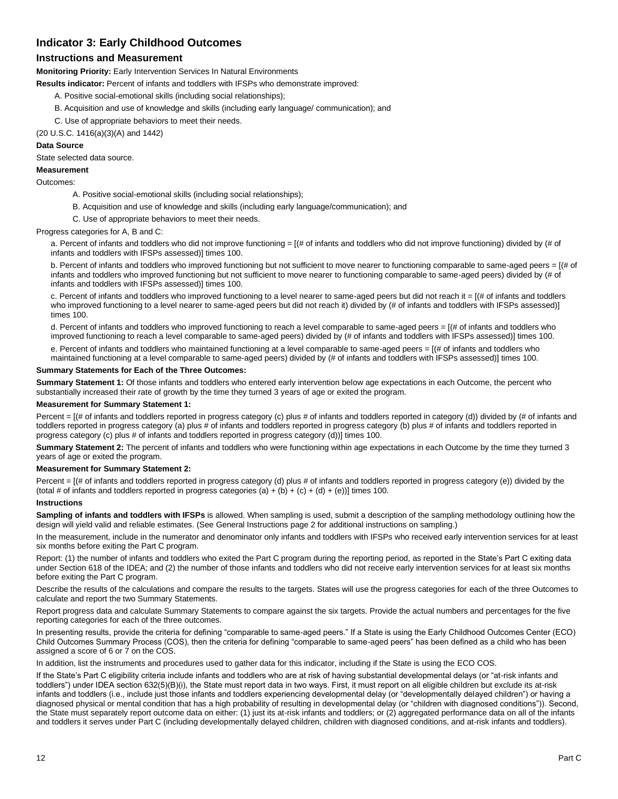## **Indicator 3: Early Childhood Outcomes**

### **Instructions and Measurement**

**Monitoring Priority:** Early Intervention Services In Natural Environments

**Results indicator:** Percent of infants and toddlers with IFSPs who demonstrate improved:

- A. Positive social-emotional skills (including social relationships);
- B. Acquisition and use of knowledge and skills (including early language/ communication); and
- C. Use of appropriate behaviors to meet their needs.

(20 U.S.C. 1416(a)(3)(A) and 1442)

#### **Data Source**

State selected data source.

#### **Measurement**

Outcomes:

- A. Positive social-emotional skills (including social relationships);
- B. Acquisition and use of knowledge and skills (including early language/communication); and
- C. Use of appropriate behaviors to meet their needs.

Progress categories for A, B and C:

a. Percent of infants and toddlers who did not improve functioning = [(# of infants and toddlers who did not improve functioning) divided by (# of infants and toddlers with IFSPs assessed)] times 100.

b. Percent of infants and toddlers who improved functioning but not sufficient to move nearer to functioning comparable to same-aged peers = [(# of infants and toddlers who improved functioning but not sufficient to move nearer to functioning comparable to same-aged peers) divided by (# of infants and toddlers with IFSPs assessed)] times 100.

c. Percent of infants and toddlers who improved functioning to a level nearer to same-aged peers but did not reach it = [(# of infants and toddlers who improved functioning to a level nearer to same-aged peers but did not reach it) divided by (# of infants and toddlers with IFSPs assessed)] times 100.

d. Percent of infants and toddlers who improved functioning to reach a level comparable to same-aged peers = [(# of infants and toddlers who improved functioning to reach a level comparable to same-aged peers) divided by (# of infants and toddlers with IFSPs assessed)] times 100.

e. Percent of infants and toddlers who maintained functioning at a level comparable to same-aged peers = [(# of infants and toddlers who maintained functioning at a level comparable to same-aged peers) divided by (# of infants and toddlers with IFSPs assessed)] times 100.

#### **Summary Statements for Each of the Three Outcomes:**

**Summary Statement 1:** Of those infants and toddlers who entered early intervention below age expectations in each Outcome, the percent who substantially increased their rate of growth by the time they turned 3 years of age or exited the program.

#### **Measurement for Summary Statement 1:**

Percent = [(# of infants and toddlers reported in progress category (c) plus # of infants and toddlers reported in category (d)) divided by (# of infants and toddlers reported in progress category (a) plus # of infants and toddlers reported in progress category (b) plus # of infants and toddlers reported in progress category (c) plus # of infants and toddlers reported in progress category (d))] times 100.

**Summary Statement 2:** The percent of infants and toddlers who were functioning within age expectations in each Outcome by the time they turned 3 years of age or exited the program.

#### **Measurement for Summary Statement 2:**

Percent = [(# of infants and toddlers reported in progress category (d) plus # of infants and toddlers reported in progress category (e)) divided by the (total # of infants and toddlers reported in progress categories (a) + (b) + (c) + (d) + (e))] times 100.

#### **Instructions**

**Sampling of infants and toddlers with IFSPs** is allowed. When sampling is used, submit a description of the sampling methodology outlining how the design will yield valid and reliable estimates. (See General Instructions page 2 for additional instructions on sampling.)

In the measurement, include in the numerator and denominator only infants and toddlers with IFSPs who received early intervention services for at least six months before exiting the Part C program.

Report: (1) the number of infants and toddlers who exited the Part C program during the reporting period, as reported in the State's Part C exiting data under Section 618 of the IDEA; and (2) the number of those infants and toddlers who did not receive early intervention services for at least six months before exiting the Part C program.

Describe the results of the calculations and compare the results to the targets. States will use the progress categories for each of the three Outcomes to calculate and report the two Summary Statements.

Report progress data and calculate Summary Statements to compare against the six targets. Provide the actual numbers and percentages for the five reporting categories for each of the three outcomes.

In presenting results, provide the criteria for defining "comparable to same-aged peers." If a State is using the Early Childhood Outcomes Center (ECO) Child Outcomes Summary Process (COS), then the criteria for defining "comparable to same-aged peers" has been defined as a child who has been assigned a score of 6 or 7 on the COS.

In addition, list the instruments and procedures used to gather data for this indicator, including if the State is using the ECO COS.

If the State's Part C eligibility criteria include infants and toddlers who are at risk of having substantial developmental delays (or "at-risk infants and toddlers") under IDEA section 632(5)(B)(i), the State must report data in two ways. First, it must report on all eligible children but exclude its at-risk infants and toddlers (i.e., include just those infants and toddlers experiencing developmental delay (or "developmentally delayed children") or having a diagnosed physical or mental condition that has a high probability of resulting in developmental delay (or "children with diagnosed conditions")). Second, the State must separately report outcome data on either: (1) just its at-risk infants and toddlers; or (2) aggregated performance data on all of the infants and toddlers it serves under Part C (including developmentally delayed children, children with diagnosed conditions, and at-risk infants and toddlers).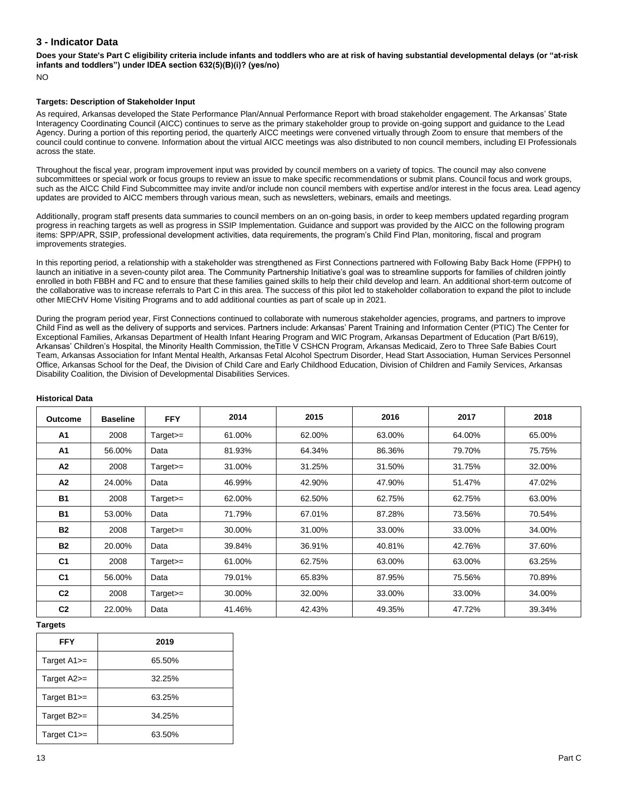### **3 - Indicator Data**

**Does your State's Part C eligibility criteria include infants and toddlers who are at risk of having substantial developmental delays (or "at-risk infants and toddlers") under IDEA section 632(5)(B)(i)? (yes/no)** NO

#### **Targets: Description of Stakeholder Input**

As required, Arkansas developed the State Performance Plan/Annual Performance Report with broad stakeholder engagement. The Arkansas' State Interagency Coordinating Council (AICC) continues to serve as the primary stakeholder group to provide on-going support and guidance to the Lead Agency. During a portion of this reporting period, the quarterly AICC meetings were convened virtually through Zoom to ensure that members of the council could continue to convene. Information about the virtual AICC meetings was also distributed to non council members, including EI Professionals across the state.

Throughout the fiscal year, program improvement input was provided by council members on a variety of topics. The council may also convene subcommittees or special work or focus groups to review an issue to make specific recommendations or submit plans. Council focus and work groups, such as the AICC Child Find Subcommittee may invite and/or include non council members with expertise and/or interest in the focus area. Lead agency updates are provided to AICC members through various mean, such as newsletters, webinars, emails and meetings.

Additionally, program staff presents data summaries to council members on an on-going basis, in order to keep members updated regarding program progress in reaching targets as well as progress in SSIP Implementation. Guidance and support was provided by the AICC on the following program items: SPP/APR, SSIP, professional development activities, data requirements, the program's Child Find Plan, monitoring, fiscal and program improvements strategies.

In this reporting period, a relationship with a stakeholder was strengthened as First Connections partnered with Following Baby Back Home (FPPH) to launch an initiative in a seven-county pilot area. The Community Partnership Initiative's goal was to streamline supports for families of children jointly enrolled in both FBBH and FC and to ensure that these families gained skills to help their child develop and learn. An additional short-term outcome of the collaborative was to increase referrals to Part C in this area. The success of this pilot led to stakeholder collaboration to expand the pilot to include other MIECHV Home Visiting Programs and to add additional counties as part of scale up in 2021.

During the program period year, First Connections continued to collaborate with numerous stakeholder agencies, programs, and partners to improve Child Find as well as the delivery of supports and services. Partners include: Arkansas' Parent Training and Information Center (PTIC) The Center for Exceptional Families, Arkansas Department of Health Infant Hearing Program and WIC Program, Arkansas Department of Education (Part B/619), Arkansas' Children's Hospital, the Minority Health Commission, theTitle V CSHCN Program, Arkansas Medicaid, Zero to Three Safe Babies Court Team, Arkansas Association for Infant Mental Health, Arkansas Fetal Alcohol Spectrum Disorder, Head Start Association, Human Services Personnel Office, Arkansas School for the Deaf, the Division of Child Care and Early Childhood Education, Division of Children and Family Services, Arkansas Disability Coalition, the Division of Developmental Disabilities Services.

| <b>Outcome</b> | <b>Baseline</b> | <b>FFY</b> | 2014   | 2015   | 2016   | 2017   | 2018   |
|----------------|-----------------|------------|--------|--------|--------|--------|--------|
| A <sub>1</sub> | 2008            | $Target>=$ | 61.00% | 62.00% | 63.00% | 64.00% | 65.00% |
| A <sub>1</sub> | 56.00%          | Data       | 81.93% | 64.34% | 86.36% | 79.70% | 75.75% |
| A2             | 2008            | $Target>=$ | 31.00% | 31.25% | 31.50% | 31.75% | 32.00% |
| A2             | 24.00%          | Data       | 46.99% | 42.90% | 47.90% | 51.47% | 47.02% |
| <b>B1</b>      | 2008            | $Target>=$ | 62.00% | 62.50% | 62.75% | 62.75% | 63.00% |
| <b>B1</b>      | 53.00%          | Data       | 71.79% | 67.01% | 87.28% | 73.56% | 70.54% |
| <b>B2</b>      | 2008            | Target>=   | 30.00% | 31.00% | 33.00% | 33.00% | 34.00% |
| <b>B2</b>      | 20.00%          | Data       | 39.84% | 36.91% | 40.81% | 42.76% | 37.60% |
| C <sub>1</sub> | 2008            | $Target =$ | 61.00% | 62.75% | 63.00% | 63.00% | 63.25% |
| C <sub>1</sub> | 56.00%          | Data       | 79.01% | 65.83% | 87.95% | 75.56% | 70.89% |
| C <sub>2</sub> | 2008            | $Target =$ | 30.00% | 32.00% | 33.00% | 33.00% | 34.00% |
| C <sub>2</sub> | 22.00%          | Data       | 41.46% | 42.43% | 49.35% | 47.72% | 39.34% |

#### **Historical Data**

#### **Targets**

| <b>FFY</b>           | 2019   |
|----------------------|--------|
| Target $A1 ==$       | 65.50% |
| Target $A2$ $\equiv$ | 32.25% |
| Target $B1 ==$       | 63.25% |
| Target B2>=          | 34.25% |
| Target $C1$ $>=$     | 63.50% |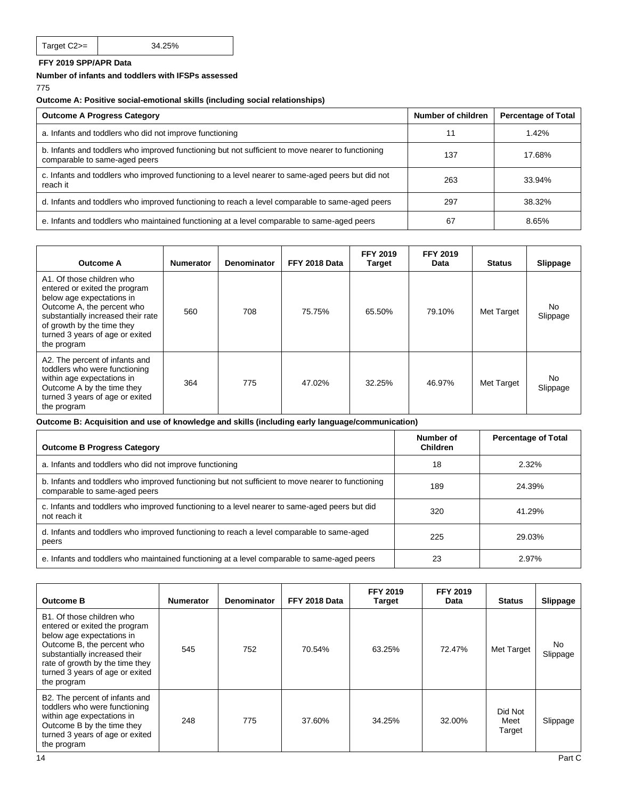## **FFY 2019 SPP/APR Data**

**Number of infants and toddlers with IFSPs assessed**

775

### **Outcome A: Positive social-emotional skills (including social relationships)**

| <b>Outcome A Progress Category</b>                                                                                                 | Number of children | <b>Percentage of Total</b> |
|------------------------------------------------------------------------------------------------------------------------------------|--------------------|----------------------------|
| a. Infants and toddlers who did not improve functioning                                                                            | 11                 | 1.42%                      |
| b. Infants and toddlers who improved functioning but not sufficient to move nearer to functioning<br>comparable to same-aged peers | 137                | 17.68%                     |
| c. Infants and toddlers who improved functioning to a level nearer to same-aged peers but did not<br>reach it                      | 263                | 33.94%                     |
| d. Infants and toddlers who improved functioning to reach a level comparable to same-aged peers                                    | 297                | 38.32%                     |
| e. Infants and toddlers who maintained functioning at a level comparable to same-aged peers                                        | -67                | 8.65%                      |

| <b>Outcome A</b>                                                                                                                                                                                                                            | <b>Numerator</b> | <b>Denominator</b> | FFY 2018 Data | <b>FFY 2019</b><br><b>Target</b> | <b>FFY 2019</b><br>Data | <b>Status</b> | Slippage        |
|---------------------------------------------------------------------------------------------------------------------------------------------------------------------------------------------------------------------------------------------|------------------|--------------------|---------------|----------------------------------|-------------------------|---------------|-----------------|
| A1. Of those children who<br>entered or exited the program<br>below age expectations in<br>Outcome A, the percent who<br>substantially increased their rate<br>of growth by the time they<br>turned 3 years of age or exited<br>the program | 560              | 708                | 75.75%        | 65.50%                           | 79.10%                  | Met Target    | No.<br>Slippage |
| A2. The percent of infants and<br>toddlers who were functioning<br>within age expectations in<br>Outcome A by the time they<br>turned 3 years of age or exited<br>the program                                                               | 364              | 775                | 47.02%        | 32.25%                           | 46.97%                  | Met Target    | No<br>Slippage  |

**Outcome B: Acquisition and use of knowledge and skills (including early language/communication)**

| <b>Outcome B Progress Category</b>                                                                                                 | Number of<br>Children | <b>Percentage of Total</b> |
|------------------------------------------------------------------------------------------------------------------------------------|-----------------------|----------------------------|
| a. Infants and toddlers who did not improve functioning                                                                            | 18                    | 2.32%                      |
| b. Infants and toddlers who improved functioning but not sufficient to move nearer to functioning<br>comparable to same-aged peers | 189                   | 24.39%                     |
| c. Infants and toddlers who improved functioning to a level nearer to same-aged peers but did<br>not reach it                      | 320                   | 41.29%                     |
| d. Infants and toddlers who improved functioning to reach a level comparable to same-aged<br>peers                                 | 225                   | 29.03%                     |
| e. Infants and toddlers who maintained functioning at a level comparable to same-aged peers                                        | 23                    | 2.97%                      |

| <b>Outcome B</b>                                                                                                                                                                                                                            | <b>Numerator</b> | <b>Denominator</b> | FFY 2018 Data | <b>FFY 2019</b><br>Target | <b>FFY 2019</b><br>Data | <b>Status</b>             | Slippage       |
|---------------------------------------------------------------------------------------------------------------------------------------------------------------------------------------------------------------------------------------------|------------------|--------------------|---------------|---------------------------|-------------------------|---------------------------|----------------|
| B1. Of those children who<br>entered or exited the program<br>below age expectations in<br>Outcome B, the percent who<br>substantially increased their<br>rate of growth by the time they<br>turned 3 years of age or exited<br>the program | 545              | 752                | 70.54%        | 63.25%                    | 72.47%                  | Met Target                | No<br>Slippage |
| B2. The percent of infants and<br>toddlers who were functioning<br>within age expectations in<br>Outcome B by the time they<br>turned 3 years of age or exited<br>the program                                                               | 248              | 775                | 37.60%        | 34.25%                    | 32.00%                  | Did Not<br>Meet<br>Target | Slippage       |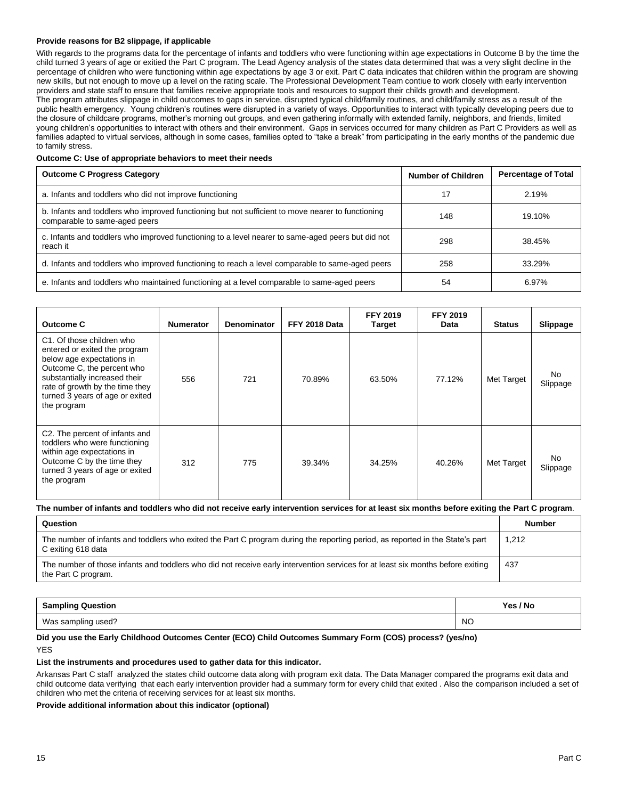#### **Provide reasons for B2 slippage, if applicable**

With regards to the programs data for the percentage of infants and toddlers who were functioning within age expectations in Outcome B by the time the child turned 3 years of age or exitied the Part C program. The Lead Agency analysis of the states data determined that was a very slight decline in the percentage of children who were functioning within age expectations by age 3 or exit. Part C data indicates that children within the program are showing new skills, but not enough to move up a level on the rating scale. The Professional Development Team contiue to work closely with early intervention providers and state staff to ensure that families receive appropriate tools and resources to support their childs growth and development. The program attributes slippage in child outcomes to gaps in service, disrupted typical child/family routines, and child/family stress as a result of the public health emergency. Young children's routines were disrupted in a variety of ways. Opportunities to interact with typically developing peers due to the closure of childcare programs, mother's morning out groups, and even gathering informally with extended family, neighbors, and friends, limited young children's opportunities to interact with others and their environment. Gaps in services occurred for many children as Part C Providers as well as families adapted to virtual services, although in some cases, families opted to "take a break" from participating in the early months of the pandemic due to family stress.

#### **Outcome C: Use of appropriate behaviors to meet their needs**

| <b>Outcome C Progress Category</b>                                                                                                 | <b>Number of Children</b> | <b>Percentage of Total</b> |
|------------------------------------------------------------------------------------------------------------------------------------|---------------------------|----------------------------|
| a. Infants and toddlers who did not improve functioning                                                                            | 17                        | 2.19%                      |
| b. Infants and toddlers who improved functioning but not sufficient to move nearer to functioning<br>comparable to same-aged peers | 148                       | 19.10%                     |
| c. Infants and toddlers who improved functioning to a level nearer to same-aged peers but did not<br>reach it                      | 298                       | 38.45%                     |
| d. Infants and toddlers who improved functioning to reach a level comparable to same-aged peers                                    | 258                       | 33.29%                     |
| e. Infants and toddlers who maintained functioning at a level comparable to same-aged peers                                        | 54                        | 6.97%                      |

| <b>Outcome C</b>                                                                                                                                                                                                                            | <b>Numerator</b> | <b>Denominator</b> | FFY 2018 Data | <b>FFY 2019</b><br><b>Target</b> | <b>FFY 2019</b><br>Data | <b>Status</b> | <b>Slippage</b> |
|---------------------------------------------------------------------------------------------------------------------------------------------------------------------------------------------------------------------------------------------|------------------|--------------------|---------------|----------------------------------|-------------------------|---------------|-----------------|
| C1. Of those children who<br>entered or exited the program<br>below age expectations in<br>Outcome C, the percent who<br>substantially increased their<br>rate of growth by the time they<br>turned 3 years of age or exited<br>the program | 556              | 721                | 70.89%        | 63.50%                           | 77.12%                  | Met Target    | No.<br>Slippage |
| C2. The percent of infants and<br>toddlers who were functioning<br>within age expectations in<br>Outcome C by the time they<br>turned 3 years of age or exited<br>the program                                                               | 312              | 775                | 39.34%        | 34.25%                           | 40.26%                  | Met Target    | No.<br>Slippage |

#### **The number of infants and toddlers who did not receive early intervention services for at least six months before exiting the Part C program**.

| Question                                                                                                                                               | <b>Number</b> |
|--------------------------------------------------------------------------------------------------------------------------------------------------------|---------------|
| The number of infants and toddlers who exited the Part C program during the reporting period, as reported in the State's part<br>C exiting 618 data    | 1.212         |
| The number of those infants and toddlers who did not receive early intervention services for at least six months before exiting<br>the Part C program. | 437           |

| <b>Sampling Question</b> | Yes / No  |  |
|--------------------------|-----------|--|
| Was sampling used?       | <b>NO</b> |  |

#### **Did you use the Early Childhood Outcomes Center (ECO) Child Outcomes Summary Form (COS) process? (yes/no)** YES

#### **List the instruments and procedures used to gather data for this indicator.**

Arkansas Part C staff analyzed the states child outcome data along with program exit data. The Data Manager compared the programs exit data and child outcome data verifying that each early intervention provider had a summary form for every child that exited . Also the comparison included a set of children who met the criteria of receiving services for at least six months.

#### **Provide additional information about this indicator (optional)**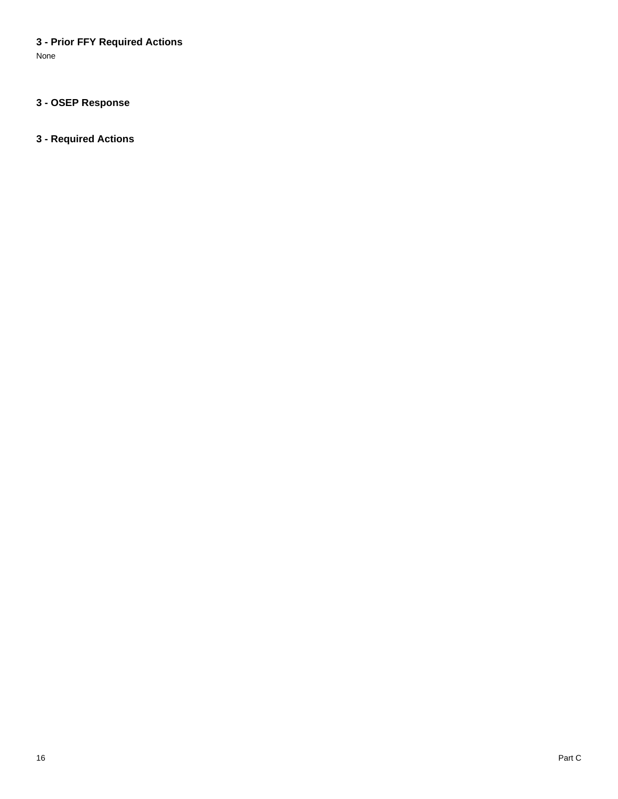## **3 - Prior FFY Required Actions**

None

## **3 - OSEP Response**

## **3 - Required Actions**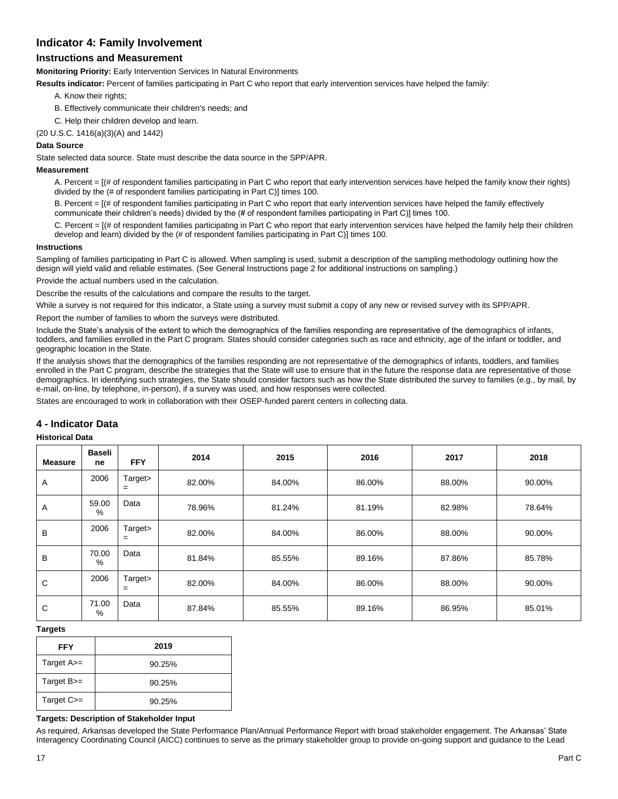### **Indicator 4: Family Involvement**

## **Instructions and Measurement**

**Monitoring Priority:** Early Intervention Services In Natural Environments

**Results indicator:** Percent of families participating in Part C who report that early intervention services have helped the family:

- A. Know their rights;
- B. Effectively communicate their children's needs; and
- C. Help their children develop and learn.
- (20 U.S.C. 1416(a)(3)(A) and 1442)

### **Data Source**

State selected data source. State must describe the data source in the SPP/APR.

### **Measurement**

A. Percent = [(# of respondent families participating in Part C who report that early intervention services have helped the family know their rights) divided by the (# of respondent families participating in Part C)] times 100.

B. Percent = [(# of respondent families participating in Part C who report that early intervention services have helped the family effectively communicate their children's needs) divided by the (# of respondent families participating in Part C)] times 100.

C. Percent = [(# of respondent families participating in Part C who report that early intervention services have helped the family help their children develop and learn) divided by the (# of respondent families participating in Part C)] times 100.

#### **Instructions**

Sampling of families participating in Part C is allowed. When sampling is used, submit a description of the sampling methodology outlining how the design will yield valid and reliable estimates. (See General Instructions page 2 for additional instructions on sampling.)

Provide the actual numbers used in the calculation.

Describe the results of the calculations and compare the results to the target.

While a survey is not required for this indicator, a State using a survey must submit a copy of any new or revised survey with its SPP/APR.

Report the number of families to whom the surveys were distributed.

Include the State's analysis of the extent to which the demographics of the families responding are representative of the demographics of infants, toddlers, and families enrolled in the Part C program. States should consider categories such as race and ethnicity, age of the infant or toddler, and geographic location in the State.

If the analysis shows that the demographics of the families responding are not representative of the demographics of infants, toddlers, and families enrolled in the Part C program, describe the strategies that the State will use to ensure that in the future the response data are representative of those demographics. In identifying such strategies, the State should consider factors such as how the State distributed the survey to families (e.g., by mail, by e-mail, on-line, by telephone, in-person), if a survey was used, and how responses were collected.

States are encouraged to work in collaboration with their OSEP-funded parent centers in collecting data.

### **4 - Indicator Data**

#### **Historical Data**

| <b>Measure</b> | <b>Baseli</b><br>ne | <b>FFY</b>     | 2014   | 2015   | 2016   | 2017   | 2018   |
|----------------|---------------------|----------------|--------|--------|--------|--------|--------|
| Α              | 2006                | Target><br>$=$ | 82.00% | 84.00% | 86.00% | 88.00% | 90.00% |
| A              | 59.00<br>$\%$       | Data           | 78.96% | 81.24% | 81.19% | 82.98% | 78.64% |
| B              | 2006                | Target><br>$=$ | 82.00% | 84.00% | 86.00% | 88.00% | 90.00% |
| B              | 70.00<br>$\%$       | Data           | 81.84% | 85.55% | 89.16% | 87.86% | 85.78% |
| C              | 2006                | Target><br>$=$ | 82.00% | 84.00% | 86.00% | 88.00% | 90.00% |
| С              | 71.00<br>%          | Data           | 87.84% | 85.55% | 89.16% | 86.95% | 85.01% |

#### **Targets**

| <b>FFY</b>        | 2019   |
|-------------------|--------|
| Target $A \geq -$ | 90.25% |
| Target $B =$      | 90.25% |
| Target C>=        | 90.25% |

#### **Targets: Description of Stakeholder Input**

As required, Arkansas developed the State Performance Plan/Annual Performance Report with broad stakeholder engagement. The Arkansas' State Interagency Coordinating Council (AICC) continues to serve as the primary stakeholder group to provide on-going support and guidance to the Lead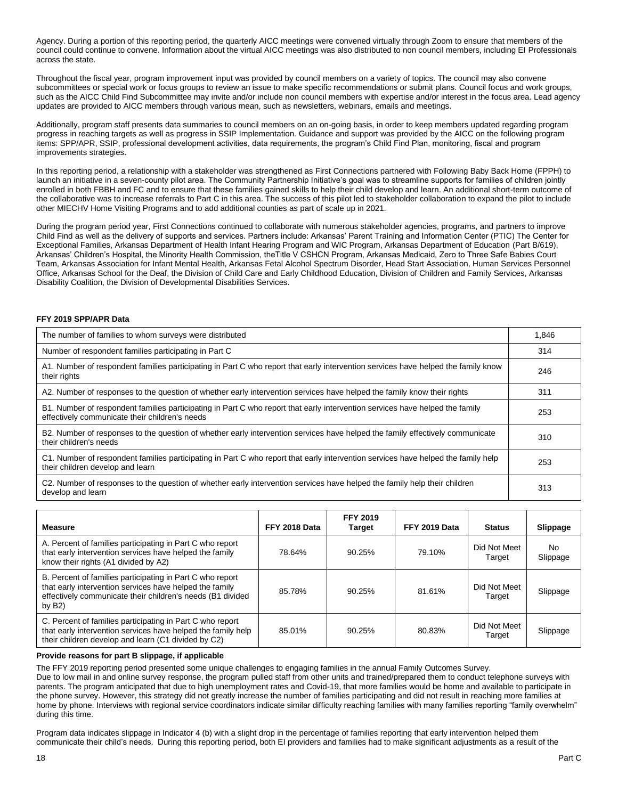Agency. During a portion of this reporting period, the quarterly AICC meetings were convened virtually through Zoom to ensure that members of the council could continue to convene. Information about the virtual AICC meetings was also distributed to non council members, including EI Professionals across the state.

Throughout the fiscal year, program improvement input was provided by council members on a variety of topics. The council may also convene subcommittees or special work or focus groups to review an issue to make specific recommendations or submit plans. Council focus and work groups, such as the AICC Child Find Subcommittee may invite and/or include non council members with expertise and/or interest in the focus area. Lead agency updates are provided to AICC members through various mean, such as newsletters, webinars, emails and meetings.

Additionally, program staff presents data summaries to council members on an on-going basis, in order to keep members updated regarding program progress in reaching targets as well as progress in SSIP Implementation. Guidance and support was provided by the AICC on the following program items: SPP/APR, SSIP, professional development activities, data requirements, the program's Child Find Plan, monitoring, fiscal and program improvements strategies.

In this reporting period, a relationship with a stakeholder was strengthened as First Connections partnered with Following Baby Back Home (FPPH) to launch an initiative in a seven-county pilot area. The Community Partnership Initiative's goal was to streamline supports for families of children jointly enrolled in both FBBH and FC and to ensure that these families gained skills to help their child develop and learn. An additional short-term outcome of the collaborative was to increase referrals to Part C in this area. The success of this pilot led to stakeholder collaboration to expand the pilot to include other MIECHV Home Visiting Programs and to add additional counties as part of scale up in 2021.

During the program period year, First Connections continued to collaborate with numerous stakeholder agencies, programs, and partners to improve Child Find as well as the delivery of supports and services. Partners include: Arkansas' Parent Training and Information Center (PTIC) The Center for Exceptional Families, Arkansas Department of Health Infant Hearing Program and WIC Program, Arkansas Department of Education (Part B/619), Arkansas' Children's Hospital, the Minority Health Commission, the Title V CSHCN Program, Arkansas Medicaid, Zero to Three Safe Babies Court Team, Arkansas Association for Infant Mental Health, Arkansas Fetal Alcohol Spectrum Disorder, Head Start Association, Human Services Personnel Office, Arkansas School for the Deaf, the Division of Child Care and Early Childhood Education, Division of Children and Family Services, Arkansas Disability Coalition, the Division of Developmental Disabilities Services.

#### **FFY 2019 SPP/APR Data**

| The number of families to whom surveys were distributed                                                                                                                        | 1.846 |
|--------------------------------------------------------------------------------------------------------------------------------------------------------------------------------|-------|
| Number of respondent families participating in Part C                                                                                                                          | 314   |
| A1. Number of respondent families participating in Part C who report that early intervention services have helped the family know<br>their rights                              | 246   |
| A2. Number of responses to the question of whether early intervention services have helped the family know their rights                                                        | 311   |
| B1. Number of respondent families participating in Part C who report that early intervention services have helped the family<br>effectively communicate their children's needs | 253   |
| B2. Number of responses to the question of whether early intervention services have helped the family effectively communicate<br>their children's needs                        | 310   |
| C1. Number of respondent families participating in Part C who report that early intervention services have helped the family help<br>their children develop and learn          | 253   |
| C2. Number of responses to the question of whether early intervention services have helped the family help their children<br>develop and learn                                 | 313   |

| <b>Measure</b>                                                                                                                                                                                  | FFY 2018 Data | <b>FFY 2019</b><br><b>Target</b> | FFY 2019 Data | <b>Status</b>          | Slippage       |
|-------------------------------------------------------------------------------------------------------------------------------------------------------------------------------------------------|---------------|----------------------------------|---------------|------------------------|----------------|
| A. Percent of families participating in Part C who report<br>that early intervention services have helped the family<br>know their rights (A1 divided by A2)                                    | 78.64%        | 90.25%                           | 79.10%        | Did Not Meet<br>Target | No<br>Slippage |
| B. Percent of families participating in Part C who report<br>that early intervention services have helped the family<br>effectively communicate their children's needs (B1 divided<br>by $B2$ ) | 85.78%        | 90.25%                           | 81.61%        | Did Not Meet<br>Target | Slippage       |
| C. Percent of families participating in Part C who report<br>that early intervention services have helped the family help<br>their children develop and learn (C1 divided by C2)                | 85.01%        | 90.25%                           | 80.83%        | Did Not Meet<br>Target | Slippage       |

#### **Provide reasons for part B slippage, if applicable**

The FFY 2019 reporting period presented some unique challenges to engaging families in the annual Family Outcomes Survey. Due to low mail in and online survey response, the program pulled staff from other units and trained/prepared them to conduct telephone surveys with parents. The program anticipated that due to high unemployment rates and Covid-19, that more families would be home and available to participate in the phone survey. However, this strategy did not greatly increase the number of families participating and did not result in reaching more families at home by phone. Interviews with regional service coordinators indicate similar difficulty reaching families with many families reporting "family overwhelm" during this time.

Program data indicates slippage in Indicator 4 (b) with a slight drop in the percentage of families reporting that early intervention helped them communicate their child's needs. During this reporting period, both EI providers and families had to make significant adjustments as a result of the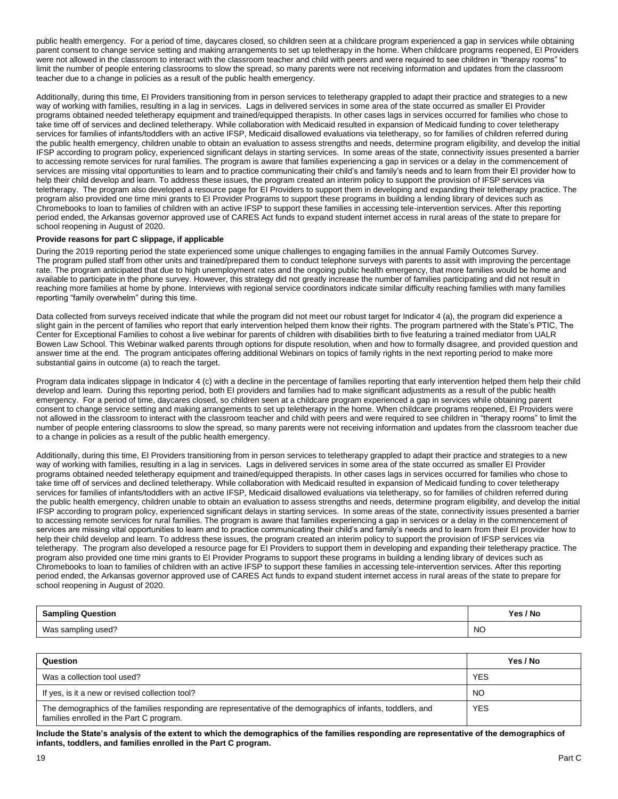public health emergency. For a period of time, daycares closed, so children seen at a childcare program experienced a gap in services while obtaining parent consent to change service setting and making arrangements to set up teletherapy in the home. When childcare programs reopened, EI Providers were not allowed in the classroom to interact with the classroom teacher and child with peers and were required to see children in "therapy rooms" to limit the number of people entering classrooms to slow the spread, so many parents were not receiving information and updates from the classroom teacher due to a change in policies as a result of the public health emergency.

Additionally, during this time, EI Providers transitioning from in person services to teletherapy grappled to adapt their practice and strategies to a new way of working with families, resulting in a lag in services. Lags in delivered services in some area of the state occurred as smaller EI Provider programs obtained needed teletherapy equipment and trained/equipped therapists. In other cases lags in services occurred for families who chose to take time off of services and declined teletherapy. While collaboration with Medicaid resulted in expansion of Medicaid funding to cover teletherapy services for families of infants/toddlers with an active IFSP, Medicaid disallowed evaluations via teletherapy, so for families of children referred during the public health emergency, children unable to obtain an evaluation to assess strengths and needs, determine program eligibility, and develop the initial IFSP according to program policy, experienced significant delays in starting services. In some areas of the state, connectivity issues presented a barrier to accessing remote services for rural families. The program is aware that families experiencing a gap in services or a delay in the commencement of services are missing vital opportunities to learn and to practice communicating their child's and family's needs and to learn from their EI provider how to help their child develop and learn. To address these issues, the program created an interim policy to support the provision of IFSP services via teletherapy. The program also developed a resource page for EI Providers to support them in developing and expanding their teletherapy practice. The program also provided one time mini grants to EI Provider Programs to support these programs in building a lending library of devices such as Chromebooks to loan to families of children with an active IFSP to support these families in accessing tele-intervention services. After this reporting period ended, the Arkansas governor approved use of CARES Act funds to expand student internet access in rural areas of the state to prepare for school reopening in August of 2020.

#### **Provide reasons for part C slippage, if applicable**

During the 2019 reporting period the state experienced some unique challenges to engaging families in the annual Family Outcomes Survey. The program pulled staff from other units and trained/prepared them to conduct telephone surveys with parents to assit with improving the percentage rate. The program anticipated that due to high unemployment rates and the ongoing public health emergency, that more families would be home and available to participate in the phone survey. However, this strategy did not greatly increase the number of families participating and did not result in reaching more families at home by phone. Interviews with regional service coordinators indicate similar difficulty reaching families with many families reporting "family overwhelm" during this time.

Data collected from surveys received indicate that while the program did not meet our robust target for Indicator 4 (a), the program did experience a slight gain in the percent of families who report that early intervention helped them know their rights. The program partnered with the State's PTIC, The Center for Exceptional Families to cohost a live webinar for parents of children with disabilities birth to five featuring a trained mediator from UALR Bowen Law School. This Webinar walked parents through options for dispute resolution, when and how to formally disagree, and provided question and answer time at the end. The program anticipates offering additional Webinars on topics of family rights in the next reporting period to make more substantial gains in outcome (a) to reach the target.

Program data indicates slippage in Indicator 4 (c) with a decline in the percentage of families reporting that early intervention helped them help their child develop and learn. During this reporting period, both EI providers and families had to make significant adjustments as a result of the public health emergency. For a period of time, daycares closed, so children seen at a childcare program experienced a gap in services while obtaining parent consent to change service setting and making arrangements to set up teletherapy in the home. When childcare programs reopened, EI Providers were not allowed in the classroom to interact with the classroom teacher and child with peers and were required to see children in "therapy rooms" to limit the number of people entering classrooms to slow the spread, so many parents were not receiving information and updates from the classroom teacher due to a change in policies as a result of the public health emergency.

Additionally, during this time, EI Providers transitioning from in person services to teletherapy grappled to adapt their practice and strategies to a new way of working with families, resulting in a lag in services. Lags in delivered services in some area of the state occurred as smaller EI Provider programs obtained needed teletherapy equipment and trained/equipped therapists. In other cases lags in services occurred for families who chose to take time off of services and declined teletherapy. While collaboration with Medicaid resulted in expansion of Medicaid funding to cover teletherapy services for families of infants/toddlers with an active IFSP, Medicaid disallowed evaluations via teletherapy, so for families of children referred during the public health emergency, children unable to obtain an evaluation to assess strengths and needs, determine program eligibility, and develop the initial IFSP according to program policy, experienced significant delays in starting services. In some areas of the state, connectivity issues presented a barrier to accessing remote services for rural families. The program is aware that families experiencing a gap in services or a delay in the commencement of services are missing vital opportunities to learn and to practice communicating their child's and family's needs and to learn from their EI provider how to help their child develop and learn. To address these issues, the program created an interim policy to support the provision of IFSP services via teletherapy. The program also developed a resource page for EI Providers to support them in developing and expanding their teletherapy practice. The program also provided one time mini grants to EI Provider Programs to support these programs in building a lending library of devices such as Chromebooks to loan to families of children with an active IFSP to support these families in accessing tele-intervention services. After this reporting period ended, the Arkansas governor approved use of CARES Act funds to expand student internet access in rural areas of the state to prepare for school reopening in August of 2020.

| <b>Sampling Question</b> | Yes / No  |
|--------------------------|-----------|
| Was sampling used?       | <b>NO</b> |

| Question                                                                                                                                                 | Yes / No   |
|----------------------------------------------------------------------------------------------------------------------------------------------------------|------------|
| Was a collection tool used?                                                                                                                              | <b>YES</b> |
| If yes, is it a new or revised collection tool?                                                                                                          | <b>NO</b>  |
| The demographics of the families responding are representative of the demographics of infants, toddlers, and<br>families enrolled in the Part C program. | <b>YES</b> |

**Include the State's analysis of the extent to which the demographics of the families responding are representative of the demographics of infants, toddlers, and families enrolled in the Part C program.**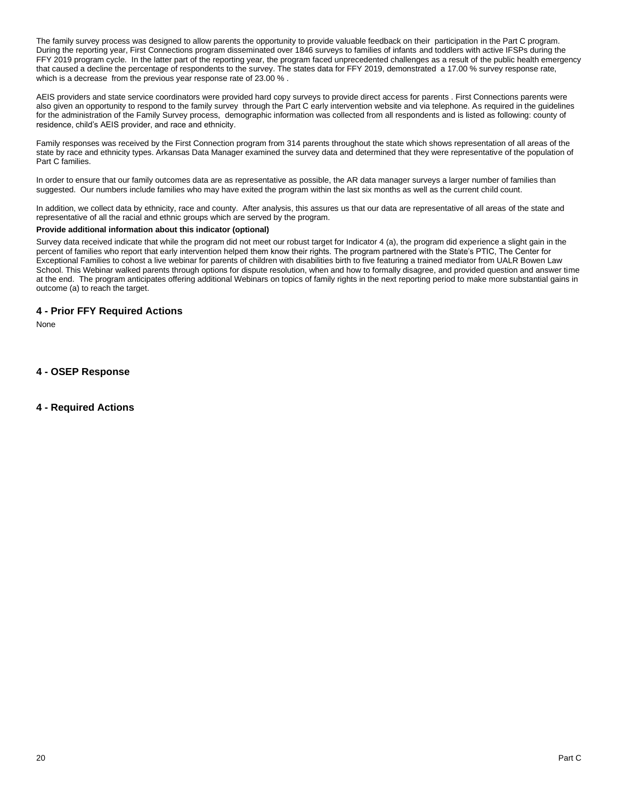The family survey process was designed to allow parents the opportunity to provide valuable feedback on their participation in the Part C program. During the reporting year, First Connections program disseminated over 1846 surveys to families of infants and toddlers with active IFSPs during the FFY 2019 program cycle. In the latter part of the reporting year, the program faced unprecedented challenges as a result of the public health emergency that caused a decline the percentage of respondents to the survey. The states data for FFY 2019, demonstrated a 17.00 % survey response rate, which is a decrease from the previous year response rate of 23.00 %.

AEIS providers and state service coordinators were provided hard copy surveys to provide direct access for parents . First Connections parents were also given an opportunity to respond to the family survey through the Part C early intervention website and via telephone. As required in the guidelines for the administration of the Family Survey process, demographic information was collected from all respondents and is listed as following: county of residence, child's AEIS provider, and race and ethnicity.

Family responses was received by the First Connection program from 314 parents throughout the state which shows representation of all areas of the state by race and ethnicity types. Arkansas Data Manager examined the survey data and determined that they were representative of the population of Part C families.

In order to ensure that our family outcomes data are as representative as possible, the AR data manager surveys a larger number of families than suggested. Our numbers include families who may have exited the program within the last six months as well as the current child count.

In addition, we collect data by ethnicity, race and county. After analysis, this assures us that our data are representative of all areas of the state and representative of all the racial and ethnic groups which are served by the program.

#### **Provide additional information about this indicator (optional)**

Survey data received indicate that while the program did not meet our robust target for Indicator 4 (a), the program did experience a slight gain in the percent of families who report that early intervention helped them know their rights. The program partnered with the State's PTIC, The Center for Exceptional Families to cohost a live webinar for parents of children with disabilities birth to five featuring a trained mediator from UALR Bowen Law School. This Webinar walked parents through options for dispute resolution, when and how to formally disagree, and provided question and answer time at the end. The program anticipates offering additional Webinars on topics of family rights in the next reporting period to make more substantial gains in outcome (a) to reach the target.

### **4 - Prior FFY Required Actions**

None

**4 - OSEP Response**

### **4 - Required Actions**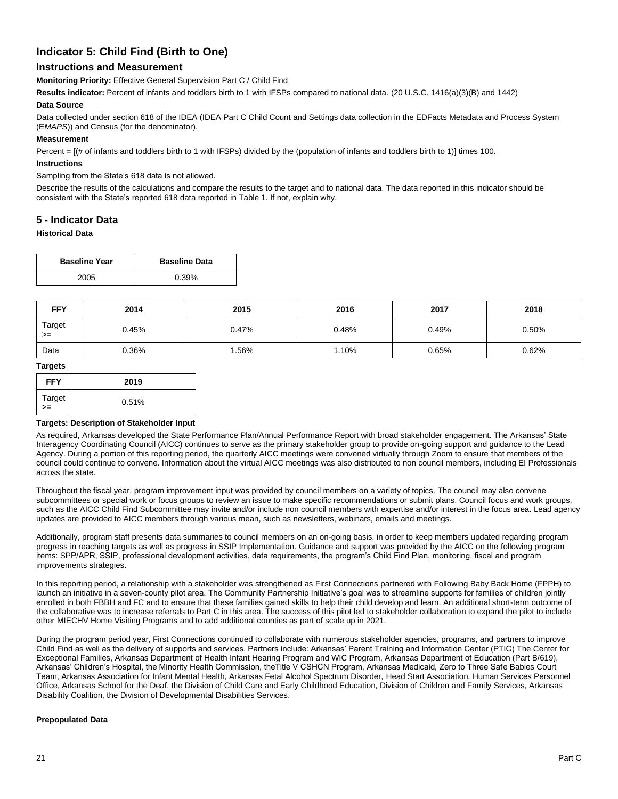## **Indicator 5: Child Find (Birth to One)**

### **Instructions and Measurement**

**Monitoring Priority:** Effective General Supervision Part C / Child Find

**Results indicator:** Percent of infants and toddlers birth to 1 with IFSPs compared to national data. (20 U.S.C. 1416(a)(3)(B) and 1442)

#### **Data Source**

Data collected under section 618 of the IDEA (IDEA Part C Child Count and Settings data collection in the EDFacts Metadata and Process System (E*MAPS*)) and Census (for the denominator).

#### **Measurement**

Percent = [(# of infants and toddlers birth to 1 with IFSPs) divided by the (population of infants and toddlers birth to 1)] times 100.

#### **Instructions**

#### Sampling from the State's 618 data is not allowed.

Describe the results of the calculations and compare the results to the target and to national data. The data reported in this indicator should be consistent with the State's reported 618 data reported in Table 1. If not, explain why.

### **5 - Indicator Data**

#### **Historical Data**

| <b>Baseline Year</b> | <b>Baseline Data</b> |
|----------------------|----------------------|
| 2005                 | 0.39%                |

| <b>FFY</b>     | 2014  | 2015  | 2016  | 2017  | 2018  |
|----------------|-------|-------|-------|-------|-------|
| Target<br>$>=$ | 0.45% | 0.47% | 0.48% | 0.49% | 0.50% |
| Data           | 0.36% | .56%  | 1.10% | 0.65% | 0.62% |

#### **Targets**

| <b>FFY</b>   | 2019  |
|--------------|-------|
| Target<br>>= | 0.51% |

#### **Targets: Description of Stakeholder Input**

As required, Arkansas developed the State Performance Plan/Annual Performance Report with broad stakeholder engagement. The Arkansas' State Interagency Coordinating Council (AICC) continues to serve as the primary stakeholder group to provide on-going support and guidance to the Lead Agency. During a portion of this reporting period, the quarterly AICC meetings were convened virtually through Zoom to ensure that members of the council could continue to convene. Information about the virtual AICC meetings was also distributed to non council members, including EI Professionals across the state.

Throughout the fiscal year, program improvement input was provided by council members on a variety of topics. The council may also convene subcommittees or special work or focus groups to review an issue to make specific recommendations or submit plans. Council focus and work groups, such as the AICC Child Find Subcommittee may invite and/or include non council members with expertise and/or interest in the focus area. Lead agency updates are provided to AICC members through various mean, such as newsletters, webinars, emails and meetings.

Additionally, program staff presents data summaries to council members on an on-going basis, in order to keep members updated regarding program progress in reaching targets as well as progress in SSIP Implementation. Guidance and support was provided by the AICC on the following program items: SPP/APR, SSIP, professional development activities, data requirements, the program's Child Find Plan, monitoring, fiscal and program improvements strategies.

In this reporting period, a relationship with a stakeholder was strengthened as First Connections partnered with Following Baby Back Home (FPPH) to launch an initiative in a seven-county pilot area. The Community Partnership Initiative's goal was to streamline supports for families of children jointly enrolled in both FBBH and FC and to ensure that these families gained skills to help their child develop and learn. An additional short-term outcome of the collaborative was to increase referrals to Part C in this area. The success of this pilot led to stakeholder collaboration to expand the pilot to include other MIECHV Home Visiting Programs and to add additional counties as part of scale up in 2021.

During the program period year, First Connections continued to collaborate with numerous stakeholder agencies, programs, and partners to improve Child Find as well as the delivery of supports and services. Partners include: Arkansas' Parent Training and Information Center (PTIC) The Center for Exceptional Families, Arkansas Department of Health Infant Hearing Program and WIC Program, Arkansas Department of Education (Part B/619), Arkansas' Children's Hospital, the Minority Health Commission, theTitle V CSHCN Program, Arkansas Medicaid, Zero to Three Safe Babies Court Team, Arkansas Association for Infant Mental Health, Arkansas Fetal Alcohol Spectrum Disorder, Head Start Association, Human Services Personnel Office, Arkansas School for the Deaf, the Division of Child Care and Early Childhood Education, Division of Children and Family Services, Arkansas Disability Coalition, the Division of Developmental Disabilities Services.

#### **Prepopulated Data**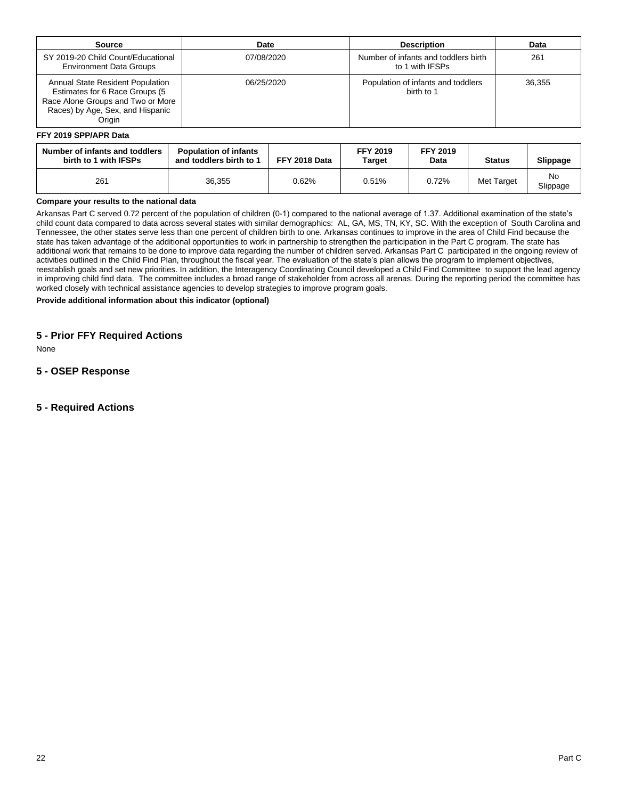| Source                                                                                                                                                       | Date       | <b>Description</b>                                      | Data   |
|--------------------------------------------------------------------------------------------------------------------------------------------------------------|------------|---------------------------------------------------------|--------|
| SY 2019-20 Child Count/Educational<br><b>Environment Data Groups</b>                                                                                         | 07/08/2020 | Number of infants and toddlers birth<br>to 1 with IFSPs | 261    |
| <b>Annual State Resident Population</b><br>Estimates for 6 Race Groups (5<br>Race Alone Groups and Two or More<br>Races) by Age, Sex, and Hispanic<br>Origin | 06/25/2020 | Population of infants and toddlers<br>birth to 1        | 36.355 |

#### **FFY 2019 SPP/APR Data**

| Number of infants and toddlers<br>birth to 1 with IFSPs | <b>Population of infants</b><br>and toddlers birth to 1 | FFY 2018 Data | <b>FFY 2019</b><br>Target | <b>FFY 2019</b><br>Data | <b>Status</b> | Slippage       |
|---------------------------------------------------------|---------------------------------------------------------|---------------|---------------------------|-------------------------|---------------|----------------|
| 261                                                     | 36,355                                                  | 0.62%         | 0.51%                     | 0.72%                   | Met Target    | No<br>Slippage |

#### **Compare your results to the national data**

Arkansas Part C served 0.72 percent of the population of children (0-1) compared to the national average of 1.37. Additional examination of the state's child count data compared to data across several states with similar demographics: AL, GA, MS, TN, KY, SC. With the exception of South Carolina and Tennessee, the other states serve less than one percent of children birth to one. Arkansas continues to improve in the area of Child Find because the state has taken advantage of the additional opportunities to work in partnership to strengthen the participation in the Part C program. The state has additional work that remains to be done to improve data regarding the number of children served. Arkansas Part C participated in the ongoing review of activities outlined in the Child Find Plan, throughout the fiscal year. The evaluation of the state's plan allows the program to implement objectives, reestablish goals and set new priorities. In addition, the Interagency Coordinating Council developed a Child Find Committee to support the lead agency in improving child find data. The committee includes a broad range of stakeholder from across all arenas. During the reporting period the committee has worked closely with technical assistance agencies to develop strategies to improve program goals.

**Provide additional information about this indicator (optional)**

### **5 - Prior FFY Required Actions**

None

### **5 - OSEP Response**

### **5 - Required Actions**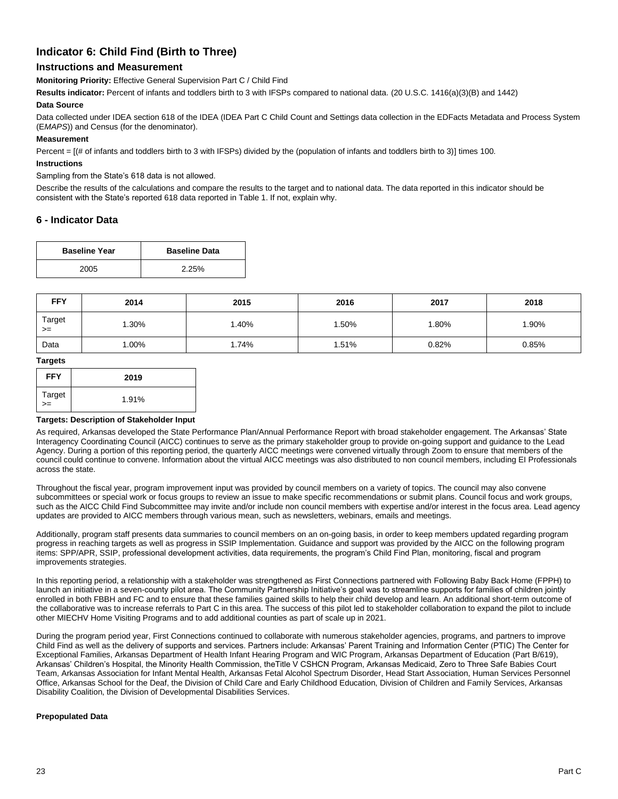## **Indicator 6: Child Find (Birth to Three)**

### **Instructions and Measurement**

**Monitoring Priority:** Effective General Supervision Part C / Child Find

**Results indicator:** Percent of infants and toddlers birth to 3 with IFSPs compared to national data. (20 U.S.C. 1416(a)(3)(B) and 1442)

#### **Data Source**

Data collected under IDEA section 618 of the IDEA (IDEA Part C Child Count and Settings data collection in the EDFacts Metadata and Process System (E*MAPS*)) and Census (for the denominator).

#### **Measurement**

Percent = [(# of infants and toddlers birth to 3 with IFSPs) divided by the (population of infants and toddlers birth to 3)] times 100.

#### **Instructions**

#### Sampling from the State's 618 data is not allowed.

Describe the results of the calculations and compare the results to the target and to national data. The data reported in this indicator should be consistent with the State's reported 618 data reported in Table 1. If not, explain why.

### **6 - Indicator Data**

| <b>Baseline Year</b> | <b>Baseline Data</b> |
|----------------------|----------------------|
| 2005                 | 2.25%                |

| <b>FFY</b>     | 2014    | 2015  | 2016  | 2017  | 2018  |
|----------------|---------|-------|-------|-------|-------|
| Target<br>$>=$ | $.30\%$ | .40%  | .50%  | .80%  | 1.90% |
| Data           | $.00\%$ | l.74% | 1.51% | 0.82% | 0.85% |

#### **Targets**

| <b>FFY</b>   | 2019  |
|--------------|-------|
| Target<br>>= | 1.91% |

#### **Targets: Description of Stakeholder Input**

As required, Arkansas developed the State Performance Plan/Annual Performance Report with broad stakeholder engagement. The Arkansas' State Interagency Coordinating Council (AICC) continues to serve as the primary stakeholder group to provide on-going support and guidance to the Lead Agency. During a portion of this reporting period, the quarterly AICC meetings were convened virtually through Zoom to ensure that members of the council could continue to convene. Information about the virtual AICC meetings was also distributed to non council members, including EI Professionals across the state.

Throughout the fiscal year, program improvement input was provided by council members on a variety of topics. The council may also convene subcommittees or special work or focus groups to review an issue to make specific recommendations or submit plans. Council focus and work groups, such as the AICC Child Find Subcommittee may invite and/or include non council members with expertise and/or interest in the focus area. Lead agency updates are provided to AICC members through various mean, such as newsletters, webinars, emails and meetings.

Additionally, program staff presents data summaries to council members on an on-going basis, in order to keep members updated regarding program progress in reaching targets as well as progress in SSIP Implementation. Guidance and support was provided by the AICC on the following program items: SPP/APR, SSIP, professional development activities, data requirements, the program's Child Find Plan, monitoring, fiscal and program improvements strategies.

In this reporting period, a relationship with a stakeholder was strengthened as First Connections partnered with Following Baby Back Home (FPPH) to launch an initiative in a seven-county pilot area. The Community Partnership Initiative's goal was to streamline supports for families of children jointly enrolled in both FBBH and FC and to ensure that these families gained skills to help their child develop and learn. An additional short-term outcome of the collaborative was to increase referrals to Part C in this area. The success of this pilot led to stakeholder collaboration to expand the pilot to include other MIECHV Home Visiting Programs and to add additional counties as part of scale up in 2021.

During the program period year, First Connections continued to collaborate with numerous stakeholder agencies, programs, and partners to improve Child Find as well as the delivery of supports and services. Partners include: Arkansas' Parent Training and Information Center (PTIC) The Center for Exceptional Families, Arkansas Department of Health Infant Hearing Program and WIC Program, Arkansas Department of Education (Part B/619), Arkansas' Children's Hospital, the Minority Health Commission, theTitle V CSHCN Program, Arkansas Medicaid, Zero to Three Safe Babies Court Team, Arkansas Association for Infant Mental Health, Arkansas Fetal Alcohol Spectrum Disorder, Head Start Association, Human Services Personnel Office, Arkansas School for the Deaf, the Division of Child Care and Early Childhood Education, Division of Children and Family Services, Arkansas Disability Coalition, the Division of Developmental Disabilities Services.

#### **Prepopulated Data**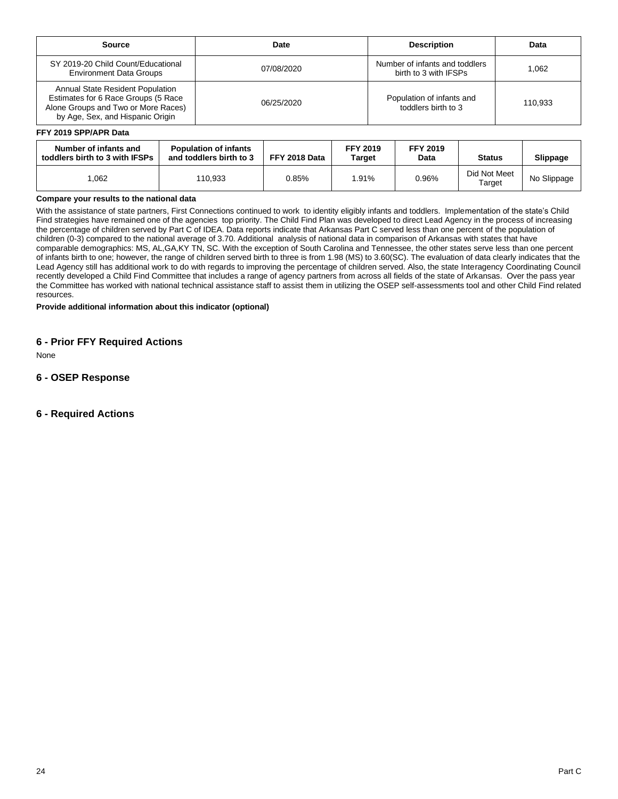| Source                                                                                                                                                    | Date       | <b>Description</b>                                      | Data    |
|-----------------------------------------------------------------------------------------------------------------------------------------------------------|------------|---------------------------------------------------------|---------|
| SY 2019-20 Child Count/Educational<br><b>Environment Data Groups</b>                                                                                      | 07/08/2020 | Number of infants and toddlers<br>birth to 3 with IFSPs | 1.062   |
| <b>Annual State Resident Population</b><br>Estimates for 6 Race Groups (5 Race<br>Alone Groups and Two or More Races)<br>by Age, Sex, and Hispanic Origin | 06/25/2020 | Population of infants and<br>toddlers birth to 3        | 110.933 |

#### **FFY 2019 SPP/APR Data**

| Number of infants and<br>toddlers birth to 3 with IFSPs | <b>Population of infants</b><br>and toddlers birth to 3 | FFY 2018 Data | <b>FFY 2019</b><br>Target | <b>FFY 2019</b><br>Data | <b>Status</b>          | Slippage    |
|---------------------------------------------------------|---------------------------------------------------------|---------------|---------------------------|-------------------------|------------------------|-------------|
| .062                                                    | 110,933                                                 | 0.85%         | .91%                      | 0.96%                   | Did Not Meet<br>Target | No Slippage |

### **Compare your results to the national data**

With the assistance of state partners, First Connections continued to work to identity eligibly infants and toddlers. Implementation of the state's Child Find strategies have remained one of the agencies top priority. The Child Find Plan was developed to direct Lead Agency in the process of increasing the percentage of children served by Part C of IDEA. Data reports indicate that Arkansas Part C served less than one percent of the population of children (0-3) compared to the national average of 3.70. Additional analysis of national data in comparison of Arkansas with states that have comparable demographics: MS, AL,GA,KY TN, SC. With the exception of South Carolina and Tennessee, the other states serve less than one percent of infants birth to one; however, the range of children served birth to three is from 1.98 (MS) to 3.60(SC). The evaluation of data clearly indicates that the Lead Agency still has additional work to do with regards to improving the percentage of children served. Also, the state Interagency Coordinating Council recently developed a Child Find Committee that includes a range of agency partners from across all fields of the state of Arkansas. Over the pass year the Committee has worked with national technical assistance staff to assist them in utilizing the OSEP self-assessments tool and other Child Find related resources.

**Provide additional information about this indicator (optional)**

### **6 - Prior FFY Required Actions**

None

### **6 - OSEP Response**

**6 - Required Actions**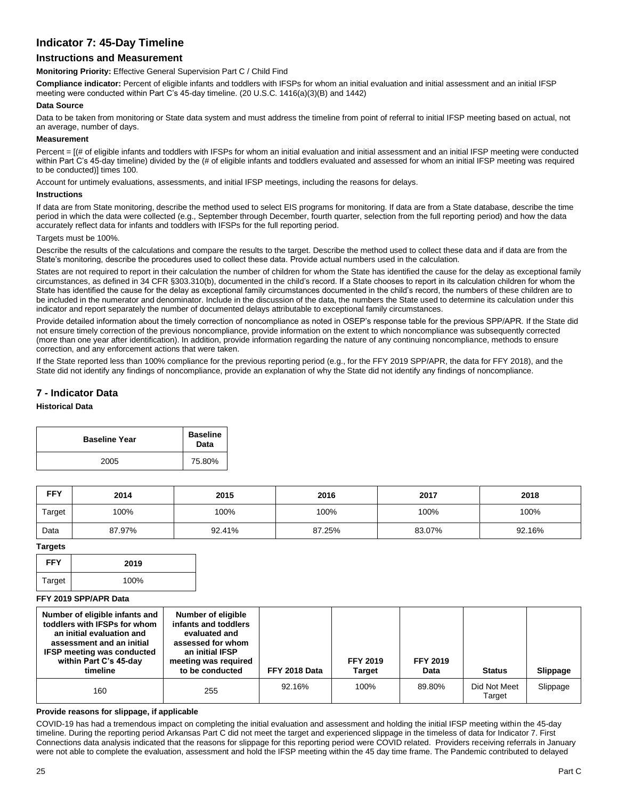## **Indicator 7: 45-Day Timeline**

### **Instructions and Measurement**

**Monitoring Priority:** Effective General Supervision Part C / Child Find

**Compliance indicator:** Percent of eligible infants and toddlers with IFSPs for whom an initial evaluation and initial assessment and an initial IFSP meeting were conducted within Part C's 45-day timeline. (20 U.S.C. 1416(a)(3)(B) and 1442)

#### **Data Source**

Data to be taken from monitoring or State data system and must address the timeline from point of referral to initial IFSP meeting based on actual, not an average, number of days.

#### **Measurement**

Percent =  $[(# of eligible infants and toldlers with IFSPs for whom an initial evaluation and initial assessment and an initial IFSP meeting were conducted$ within Part C's 45-day timeline) divided by the (# of eligible infants and toddlers evaluated and assessed for whom an initial IFSP meeting was required to be conducted)] times 100.

Account for untimely evaluations, assessments, and initial IFSP meetings, including the reasons for delays.

#### **Instructions**

If data are from State monitoring, describe the method used to select EIS programs for monitoring. If data are from a State database, describe the time period in which the data were collected (e.g., September through December, fourth quarter, selection from the full reporting period) and how the data accurately reflect data for infants and toddlers with IFSPs for the full reporting period.

#### Targets must be 100%

Describe the results of the calculations and compare the results to the target. Describe the method used to collect these data and if data are from the State's monitoring, describe the procedures used to collect these data. Provide actual numbers used in the calculation.

States are not required to report in their calculation the number of children for whom the State has identified the cause for the delay as exceptional family circumstances, as defined in 34 CFR §303.310(b), documented in the child's record. If a State chooses to report in its calculation children for whom the State has identified the cause for the delay as exceptional family circumstances documented in the child's record, the numbers of these children are to be included in the numerator and denominator. Include in the discussion of the data, the numbers the State used to determine its calculation under this indicator and report separately the number of documented delays attributable to exceptional family circumstances.

Provide detailed information about the timely correction of noncompliance as noted in OSEP's response table for the previous SPP/APR. If the State did not ensure timely correction of the previous noncompliance, provide information on the extent to which noncompliance was subsequently corrected (more than one year after identification). In addition, provide information regarding the nature of any continuing noncompliance, methods to ensure correction, and any enforcement actions that were taken.

If the State reported less than 100% compliance for the previous reporting period (e.g., for the FFY 2019 SPP/APR, the data for FFY 2018), and the State did not identify any findings of noncompliance, provide an explanation of why the State did not identify any findings of noncompliance.

### **7 - Indicator Data**

#### **Historical Data**

| <b>Baseline Year</b> | <b>Baseline</b><br>Data |
|----------------------|-------------------------|
| 2005                 | 75.80%                  |

| <b>FFY</b> | 2014   | 2015   | 2016   | 2017   | 2018   |
|------------|--------|--------|--------|--------|--------|
| Target     | 100%   | 100%   | 100%   | 100%   | 100%   |
| Data       | 87.97% | 92.41% | 87.25% | 83.07% | 92.16% |

#### **Targets**

| <b>FFY</b> | 2019 |
|------------|------|
| Target     | 100% |

#### **FFY 2019 SPP/APR Data**

| Number of eligible infants and<br>toddlers with IFSPs for whom<br>an initial evaluation and<br>assessment and an initial<br><b>IFSP meeting was conducted</b><br>within Part C's 45-day<br>timeline | <b>Number of eligible</b><br>infants and toddlers<br>evaluated and<br>assessed for whom<br>an initial IFSP<br>meeting was required<br>to be conducted | FFY 2018 Data | <b>FFY 2019</b><br>Target | <b>FFY 2019</b><br>Data | <b>Status</b>          | Slippage |
|-----------------------------------------------------------------------------------------------------------------------------------------------------------------------------------------------------|-------------------------------------------------------------------------------------------------------------------------------------------------------|---------------|---------------------------|-------------------------|------------------------|----------|
| 160                                                                                                                                                                                                 | 255                                                                                                                                                   | 92.16%        | 100%                      | 89.80%                  | Did Not Meet<br>Target | Slippage |

#### **Provide reasons for slippage, if applicable**

COVID-19 has had a tremendous impact on completing the initial evaluation and assessment and holding the initial IFSP meeting within the 45-day timeline. During the reporting period Arkansas Part C did not meet the target and experienced slippage in the timeless of data for Indicator 7. First Connections data analysis indicated that the reasons for slippage for this reporting period were COVID related. Providers receiving referrals in January were not able to complete the evaluation, assessment and hold the IFSP meeting within the 45 day time frame. The Pandemic contributed to delayed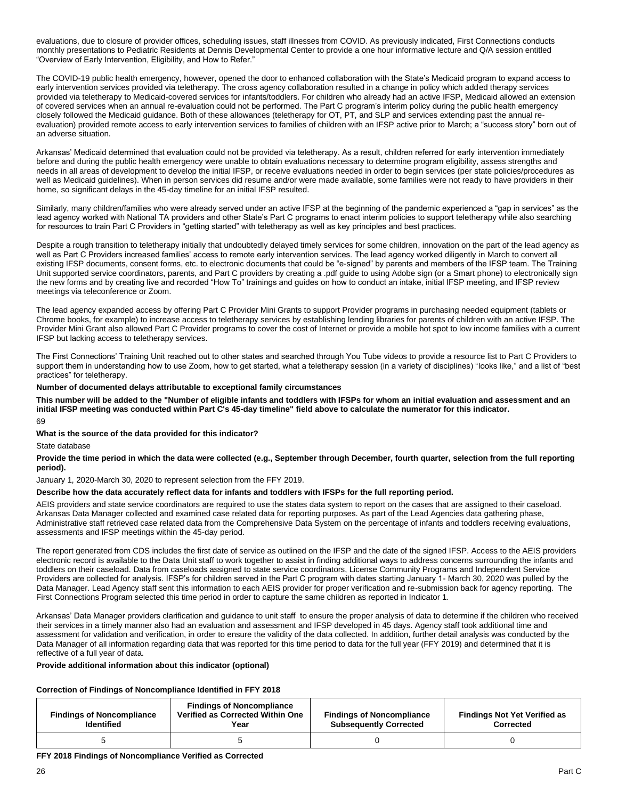evaluations, due to closure of provider offices, scheduling issues, staff illnesses from COVID. As previously indicated, First Connections conducts monthly presentations to Pediatric Residents at Dennis Developmental Center to provide a one hour informative lecture and Q/A session entitled "Overview of Early Intervention, Eligibility, and How to Refer."

The COVID-19 public health emergency, however, opened the door to enhanced collaboration with the State's Medicaid program to expand access to early intervention services provided via teletherapy. The cross agency collaboration resulted in a change in policy which added therapy services provided via teletherapy to Medicaid-covered services for infants/toddlers. For children who already had an active IFSP, Medicaid allowed an extension of covered services when an annual re-evaluation could not be performed. The Part C program's interim policy during the public health emergency closely followed the Medicaid guidance. Both of these allowances (teletherapy for OT, PT, and SLP and services extending past the annual reevaluation) provided remote access to early intervention services to families of children with an IFSP active prior to March; a "success story" born out of an adverse situation.

Arkansas' Medicaid determined that evaluation could not be provided via teletherapy. As a result, children referred for early intervention immediately before and during the public health emergency were unable to obtain evaluations necessary to determine program eligibility, assess strengths and needs in all areas of development to develop the initial IFSP, or receive evaluations needed in order to begin services (per state policies/procedures as well as Medicaid guidelines). When in person services did resume and/or were made available, some families were not ready to have providers in their home, so significant delays in the 45-day timeline for an initial IFSP resulted.

Similarly, many children/families who were already served under an active IFSP at the beginning of the pandemic experienced a "gap in services" as the lead agency worked with National TA providers and other State's Part C programs to enact interim policies to support teletherapy while also searching for resources to train Part C Providers in "getting started" with teletherapy as well as key principles and best practices.

Despite a rough transition to teletherapy initially that undoubtedly delayed timely services for some children, innovation on the part of the lead agency as well as Part C Providers increased families' access to remote early intervention services. The lead agency worked diligently in March to convert all existing IFSP documents, consent forms, etc. to electronic documents that could be "e-signed" by parents and members of the IFSP team. The Training Unit supported service coordinators, parents, and Part C providers by creating a .pdf guide to using Adobe sign (or a Smart phone) to electronically sign the new forms and by creating live and recorded "How To" trainings and guides on how to conduct an intake, initial IFSP meeting, and IFSP review meetings via teleconference or Zoom.

The lead agency expanded access by offering Part C Provider Mini Grants to support Provider programs in purchasing needed equipment (tablets or Chrome books, for example) to increase access to teletherapy services by establishing lending libraries for parents of children with an active IFSP. The Provider Mini Grant also allowed Part C Provider programs to cover the cost of Internet or provide a mobile hot spot to low income families with a current IFSP but lacking access to teletherapy services.

The First Connections' Training Unit reached out to other states and searched through You Tube videos to provide a resource list to Part C Providers to support them in understanding how to use Zoom, how to get started, what a teletherapy session (in a variety of disciplines) "looks like," and a list of "best practices" for teletherapy.

#### **Number of documented delays attributable to exceptional family circumstances**

**This number will be added to the "Number of eligible infants and toddlers with IFSPs for whom an initial evaluation and assessment and an initial IFSP meeting was conducted within Part C's 45-day timeline" field above to calculate the numerator for this indicator.**

69

**What is the source of the data provided for this indicator?** 

State database

**Provide the time period in which the data were collected (e.g., September through December, fourth quarter, selection from the full reporting period).** 

January 1, 2020-March 30, 2020 to represent selection from the FFY 2019.

#### **Describe how the data accurately reflect data for infants and toddlers with IFSPs for the full reporting period.**

AEIS providers and state service coordinators are required to use the states data system to report on the cases that are assigned to their caseload. Arkansas Data Manager collected and examined case related data for reporting purposes. As part of the Lead Agencies data gathering phase, Administrative staff retrieved case related data from the Comprehensive Data System on the percentage of infants and toddlers receiving evaluations, assessments and IFSP meetings within the 45-day period.

The report generated from CDS includes the first date of service as outlined on the IFSP and the date of the signed IFSP. Access to the AEIS providers electronic record is available to the Data Unit staff to work together to assist in finding additional ways to address concerns surrounding the infants and toddlers on their caseload. Data from caseloads assigned to state service coordinators, License Community Programs and Independent Service Providers are collected for analysis. IFSP's for children served in the Part C program with dates starting January 1- March 30, 2020 was pulled by the Data Manager. Lead Agency staff sent this information to each AEIS provider for proper verification and re-submission back for agency reporting. The First Connections Program selected this time period in order to capture the same children as reported in Indicator 1.

Arkansas' Data Manager providers clarification and guidance to unit staff to ensure the proper analysis of data to determine if the children who received their services in a timely manner also had an evaluation and assessment and IFSP developed in 45 days. Agency staff took additional time and assessment for validation and verification, in order to ensure the validity of the data collected. In addition, further detail analysis was conducted by the Data Manager of all information regarding data that was reported for this time period to data for the full year (FFY 2019) and determined that it is reflective of a full year of data.

#### **Provide additional information about this indicator (optional)**

#### **Correction of Findings of Noncompliance Identified in FFY 2018**

| <b>Findings of Noncompliance</b><br><b>Identified</b> | <b>Findings of Noncompliance</b><br>Verified as Corrected Within One<br>Year | <b>Findings of Noncompliance</b><br><b>Subsequently Corrected</b> | <b>Findings Not Yet Verified as</b><br><b>Corrected</b> |
|-------------------------------------------------------|------------------------------------------------------------------------------|-------------------------------------------------------------------|---------------------------------------------------------|
|                                                       |                                                                              |                                                                   |                                                         |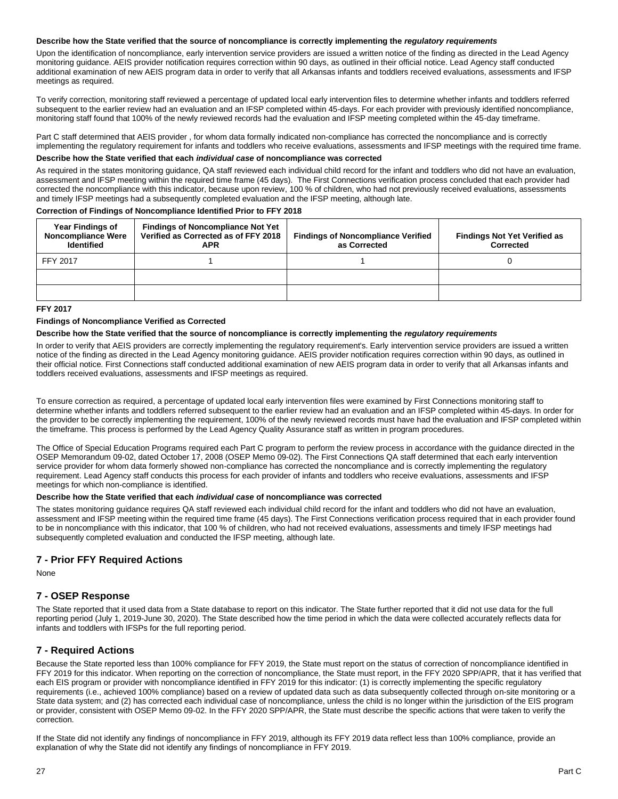#### **Describe how the State verified that the source of noncompliance is correctly implementing the** *regulatory requirements*

Upon the identification of noncompliance, early intervention service providers are issued a written notice of the finding as directed in the Lead Agency monitoring guidance. AEIS provider notification requires correction within 90 days, as outlined in their official notice. Lead Agency staff conducted additional examination of new AEIS program data in order to verify that all Arkansas infants and toddlers received evaluations, assessments and IFSP meetings as required.

To verify correction, monitoring staff reviewed a percentage of updated local early intervention files to determine whether infants and toddlers referred subsequent to the earlier review had an evaluation and an IFSP completed within 45-days. For each provider with previously identified noncompliance, monitoring staff found that 100% of the newly reviewed records had the evaluation and IFSP meeting completed within the 45-day timeframe.

Part C staff determined that AEIS provider , for whom data formally indicated non-compliance has corrected the noncompliance and is correctly implementing the regulatory requirement for infants and toddlers who receive evaluations, assessments and IFSP meetings with the required time frame.

#### **Describe how the State verified that each** *individual case* **of noncompliance was corrected**

As required in the states monitoring guidance, QA staff reviewed each individual child record for the infant and toddlers who did not have an evaluation, assessment and IFSP meeting within the required time frame (45 days). The First Connections verification process concluded that each provider had corrected the noncompliance with this indicator, because upon review, 100 % of children, who had not previously received evaluations, assessments and timely IFSP meetings had a subsequently completed evaluation and the IFSP meeting, although late.

#### **Correction of Findings of Noncompliance Identified Prior to FFY 2018**

| <b>Year Findings of</b><br><b>Noncompliance Were</b><br><b>Identified</b> | <b>Findings of Noncompliance Not Yet</b><br>Verified as Corrected as of FFY 2018<br><b>APR</b> | <b>Findings of Noncompliance Verified</b><br>as Corrected | <b>Findings Not Yet Verified as</b><br>Corrected |
|---------------------------------------------------------------------------|------------------------------------------------------------------------------------------------|-----------------------------------------------------------|--------------------------------------------------|
| FFY 2017                                                                  |                                                                                                |                                                           |                                                  |
|                                                                           |                                                                                                |                                                           |                                                  |
|                                                                           |                                                                                                |                                                           |                                                  |

#### **FFY 2017**

#### **Findings of Noncompliance Verified as Corrected**

#### **Describe how the State verified that the source of noncompliance is correctly implementing the** *regulatory requirements*

In order to verify that AEIS providers are correctly implementing the regulatory requirement's. Early intervention service providers are issued a written notice of the finding as directed in the Lead Agency monitoring guidance. AEIS provider notification requires correction within 90 days, as outlined in their official notice. First Connections staff conducted additional examination of new AEIS program data in order to verify that all Arkansas infants and toddlers received evaluations, assessments and IFSP meetings as required.

To ensure correction as required, a percentage of updated local early intervention files were examined by First Connections monitoring staff to determine whether infants and toddlers referred subsequent to the earlier review had an evaluation and an IFSP completed within 45-days. In order for the provider to be correctly implementing the requirement, 100% of the newly reviewed records must have had the evaluation and IFSP completed within the timeframe. This process is performed by the Lead Agency Quality Assurance staff as written in program procedures.

The Office of Special Education Programs required each Part C program to perform the review process in accordance with the guidance directed in the OSEP Memorandum 09-02, dated October 17, 2008 (OSEP Memo 09-02). The First Connections QA staff determined that each early intervention service provider for whom data formerly showed non-compliance has corrected the noncompliance and is correctly implementing the regulatory requirement. Lead Agency staff conducts this process for each provider of infants and toddlers who receive evaluations, assessments and IFSP meetings for which non-compliance is identified.

#### **Describe how the State verified that each** *individual case* **of noncompliance was corrected**

The states monitoring guidance requires QA staff reviewed each individual child record for the infant and toddlers who did not have an evaluation, assessment and IFSP meeting within the required time frame (45 days). The First Connections verification process required that in each provider found to be in noncompliance with this indicator, that 100 % of children, who had not received evaluations, assessments and timely IFSP meetings had subsequently completed evaluation and conducted the IFSP meeting, although late.

### **7 - Prior FFY Required Actions**

None

### **7 - OSEP Response**

The State reported that it used data from a State database to report on this indicator. The State further reported that it did not use data for the full reporting period (July 1, 2019-June 30, 2020). The State described how the time period in which the data were collected accurately reflects data for infants and toddlers with IFSPs for the full reporting period.

### **7 - Required Actions**

Because the State reported less than 100% compliance for FFY 2019, the State must report on the status of correction of noncompliance identified in FFY 2019 for this indicator. When reporting on the correction of noncompliance, the State must report, in the FFY 2020 SPP/APR, that it has verified that each EIS program or provider with noncompliance identified in FFY 2019 for this indicator: (1) is correctly implementing the specific regulatory requirements (i.e., achieved 100% compliance) based on a review of updated data such as data subsequently collected through on-site monitoring or a State data system; and (2) has corrected each individual case of noncompliance, unless the child is no longer within the jurisdiction of the EIS program or provider, consistent with OSEP Memo 09-02. In the FFY 2020 SPP/APR, the State must describe the specific actions that were taken to verify the correction.

If the State did not identify any findings of noncompliance in FFY 2019, although its FFY 2019 data reflect less than 100% compliance, provide an explanation of why the State did not identify any findings of noncompliance in FFY 2019.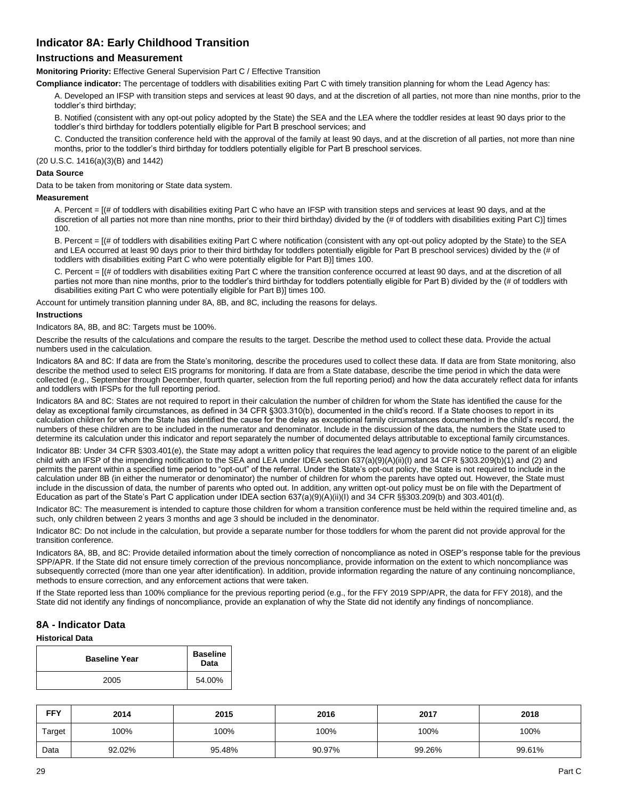## **Indicator 8A: Early Childhood Transition**

### **Instructions and Measurement**

**Monitoring Priority:** Effective General Supervision Part C / Effective Transition

**Compliance indicator:** The percentage of toddlers with disabilities exiting Part C with timely transition planning for whom the Lead Agency has:

A. Developed an IFSP with transition steps and services at least 90 days, and at the discretion of all parties, not more than nine months, prior to the toddler's third birthday;

B. Notified (consistent with any opt-out policy adopted by the State) the SEA and the LEA where the toddler resides at least 90 days prior to the toddler's third birthday for toddlers potentially eligible for Part B preschool services; and

C. Conducted the transition conference held with the approval of the family at least 90 days, and at the discretion of all parties, not more than nine months, prior to the toddler's third birthday for toddlers potentially eligible for Part B preschool services.

(20 U.S.C. 1416(a)(3)(B) and 1442)

#### **Data Source**

Data to be taken from monitoring or State data system.

#### **Measurement**

A. Percent = [(# of toddlers with disabilities exiting Part C who have an IFSP with transition steps and services at least 90 days, and at the discretion of all parties not more than nine months, prior to their third birthday) divided by the (# of toddlers with disabilities exiting Part C)] times 100.

B. Percent = [(# of toddlers with disabilities exiting Part C where notification (consistent with any opt-out policy adopted by the State) to the SEA and LEA occurred at least 90 days prior to their third birthday for toddlers potentially eligible for Part B preschool services) divided by the (# of toddlers with disabilities exiting Part C who were potentially eligible for Part B)] times 100.

C. Percent = [(# of toddlers with disabilities exiting Part C where the transition conference occurred at least 90 days, and at the discretion of all parties not more than nine months, prior to the toddler's third birthday for toddlers potentially eligible for Part B) divided by the (# of toddlers with disabilities exiting Part C who were potentially eligible for Part B)] times 100.

Account for untimely transition planning under 8A, 8B, and 8C, including the reasons for delays.

#### **Instructions**

Indicators 8A, 8B, and 8C: Targets must be 100%.

Describe the results of the calculations and compare the results to the target. Describe the method used to collect these data. Provide the actual numbers used in the calculation.

Indicators 8A and 8C: If data are from the State's monitoring, describe the procedures used to collect these data. If data are from State monitoring, also describe the method used to select EIS programs for monitoring. If data are from a State database, describe the time period in which the data were collected (e.g., September through December, fourth quarter, selection from the full reporting period) and how the data accurately reflect data for infants and toddlers with IFSPs for the full reporting period.

Indicators 8A and 8C: States are not required to report in their calculation the number of children for whom the State has identified the cause for the delay as exceptional family circumstances, as defined in 34 CFR §303.310(b), documented in the child's record. If a State chooses to report in its calculation children for whom the State has identified the cause for the delay as exceptional family circumstances documented in the child's record, the numbers of these children are to be included in the numerator and denominator. Include in the discussion of the data, the numbers the State used to determine its calculation under this indicator and report separately the number of documented delays attributable to exceptional family circumstances.

Indicator 8B: Under 34 CFR §303.401(e), the State may adopt a written policy that requires the lead agency to provide notice to the parent of an eligible child with an IFSP of the impending notification to the SEA and LEA under IDEA section 637(a)(9)(A)(ii)(I) and 34 CFR §303.209(b)(1) and (2) and permits the parent within a specified time period to "opt-out" of the referral. Under the State's opt-out policy, the State is not required to include in the calculation under 8B (in either the numerator or denominator) the number of children for whom the parents have opted out. However, the State must include in the discussion of data, the number of parents who opted out. In addition, any written opt-out policy must be on file with the Department of Education as part of the State's Part C application under IDEA section 637(a)(9)(A)(ii)(I) and 34 CFR §§303.209(b) and 303.401(d).

Indicator 8C: The measurement is intended to capture those children for whom a transition conference must be held within the required timeline and, as such, only children between 2 years 3 months and age 3 should be included in the denominator.

Indicator 8C: Do not include in the calculation, but provide a separate number for those toddlers for whom the parent did not provide approval for the transition conference.

Indicators 8A, 8B, and 8C: Provide detailed information about the timely correction of noncompliance as noted in OSEP's response table for the previous SPP/APR. If the State did not ensure timely correction of the previous noncompliance, provide information on the extent to which noncompliance was subsequently corrected (more than one year after identification). In addition, provide information regarding the nature of any continuing noncompliance, methods to ensure correction, and any enforcement actions that were taken.

If the State reported less than 100% compliance for the previous reporting period (e.g., for the FFY 2019 SPP/APR, the data for FFY 2018), and the State did not identify any findings of noncompliance, provide an explanation of why the State did not identify any findings of noncompliance.

### **8A - Indicator Data**

#### **Historical Data**

| <b>Baseline Year</b> | <b>Baseline</b><br>Data |
|----------------------|-------------------------|
| 2005                 | 54.00%                  |

| <b>FFY</b> | 2014   | 2015   | 2016   | 2017   | 2018   |
|------------|--------|--------|--------|--------|--------|
| Target     | 100%   | 100%   | 100%   | 100%   | 100%   |
| Data       | 92.02% | 95.48% | 90.97% | 99.26% | 99.61% |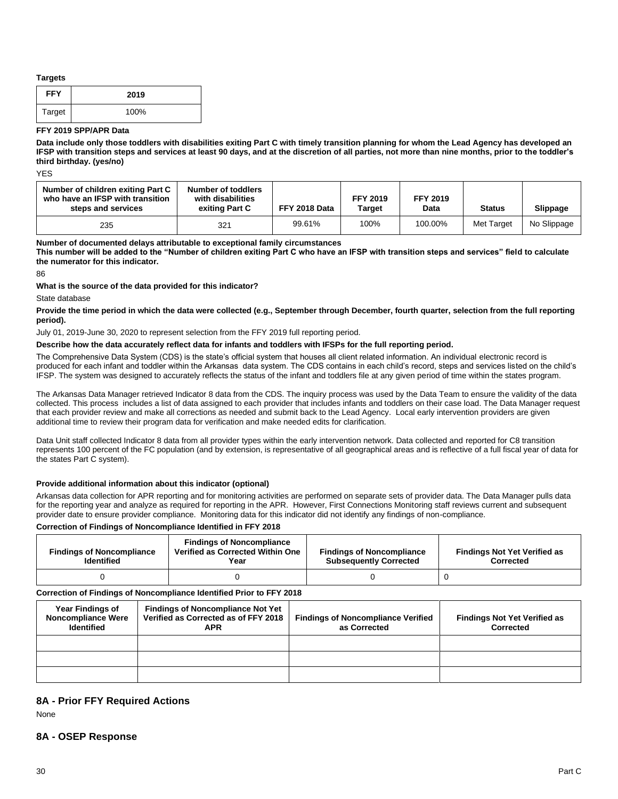#### **Targets**

| <b>FFY</b> | 2019 |
|------------|------|
| Target     | 100% |

#### **FFY 2019 SPP/APR Data**

**Data include only those toddlers with disabilities exiting Part C with timely transition planning for whom the Lead Agency has developed an IFSP with transition steps and services at least 90 days, and at the discretion of all parties, not more than nine months, prior to the toddler's third birthday. (yes/no)**

**YFS** 

| Number of children exiting Part C<br>who have an IFSP with transition<br>steps and services | Number of toddlers<br>with disabilities<br>exiting Part C | FFY 2018 Data | <b>FFY 2019</b><br>Target | <b>FFY 2019</b><br>Data | <b>Status</b> | <b>Slippage</b> |
|---------------------------------------------------------------------------------------------|-----------------------------------------------------------|---------------|---------------------------|-------------------------|---------------|-----------------|
| 235                                                                                         | 321                                                       | 99.61%        | 100%                      | 100.00%                 | Met Target    | No Slippage     |

**Number of documented delays attributable to exceptional family circumstances**

**This number will be added to the "Number of children exiting Part C who have an IFSP with transition steps and services" field to calculate the numerator for this indicator.**

86

#### **What is the source of the data provided for this indicator?**

State database

#### **Provide the time period in which the data were collected (e.g., September through December, fourth quarter, selection from the full reporting period).**

July 01, 2019-June 30, 2020 to represent selection from the FFY 2019 full reporting period.

#### **Describe how the data accurately reflect data for infants and toddlers with IFSPs for the full reporting period.**

The Comprehensive Data System (CDS) is the state's official system that houses all client related information. An individual electronic record is produced for each infant and toddler within the Arkansas data system. The CDS contains in each child's record, steps and services listed on the child's IFSP. The system was designed to accurately reflects the status of the infant and toddlers file at any given period of time within the states program.

The Arkansas Data Manager retrieved Indicator 8 data from the CDS. The inquiry process was used by the Data Team to ensure the validity of the data collected. This process includes a list of data assigned to each provider that includes infants and toddlers on their case load. The Data Manager request that each provider review and make all corrections as needed and submit back to the Lead Agency. Local early intervention providers are given additional time to review their program data for verification and make needed edits for clarification.

Data Unit staff collected Indicator 8 data from all provider types within the early intervention network. Data collected and reported for C8 transition represents 100 percent of the FC population (and by extension, is representative of all geographical areas and is reflective of a full fiscal year of data for the states Part C system).

#### **Provide additional information about this indicator (optional)**

Arkansas data collection for APR reporting and for monitoring activities are performed on separate sets of provider data. The Data Manager pulls data for the reporting year and analyze as required for reporting in the APR. However, First Connections Monitoring staff reviews current and subsequent provider date to ensure provider compliance. Monitoring data for this indicator did not identify any findings of non-compliance.

#### **Correction of Findings of Noncompliance Identified in FFY 2018**

| <b>Findings of Noncompliance</b><br><b>Identified</b> | <b>Findings of Noncompliance</b><br>Verified as Corrected Within One<br>Year | <b>Findings of Noncompliance</b><br><b>Subsequently Corrected</b> | <b>Findings Not Yet Verified as</b><br><b>Corrected</b> |
|-------------------------------------------------------|------------------------------------------------------------------------------|-------------------------------------------------------------------|---------------------------------------------------------|
|                                                       |                                                                              |                                                                   |                                                         |

#### **Correction of Findings of Noncompliance Identified Prior to FFY 2018**

| <b>Year Findings of</b><br><b>Noncompliance Were</b><br><b>Identified</b> | <b>Findings of Noncompliance Not Yet</b><br>Verified as Corrected as of FFY 2018<br><b>APR</b> | <b>Findings of Noncompliance Verified</b><br>as Corrected | <b>Findings Not Yet Verified as</b><br>Corrected |
|---------------------------------------------------------------------------|------------------------------------------------------------------------------------------------|-----------------------------------------------------------|--------------------------------------------------|
|                                                                           |                                                                                                |                                                           |                                                  |
|                                                                           |                                                                                                |                                                           |                                                  |
|                                                                           |                                                                                                |                                                           |                                                  |

### **8A - Prior FFY Required Actions**

None

### **8A - OSEP Response**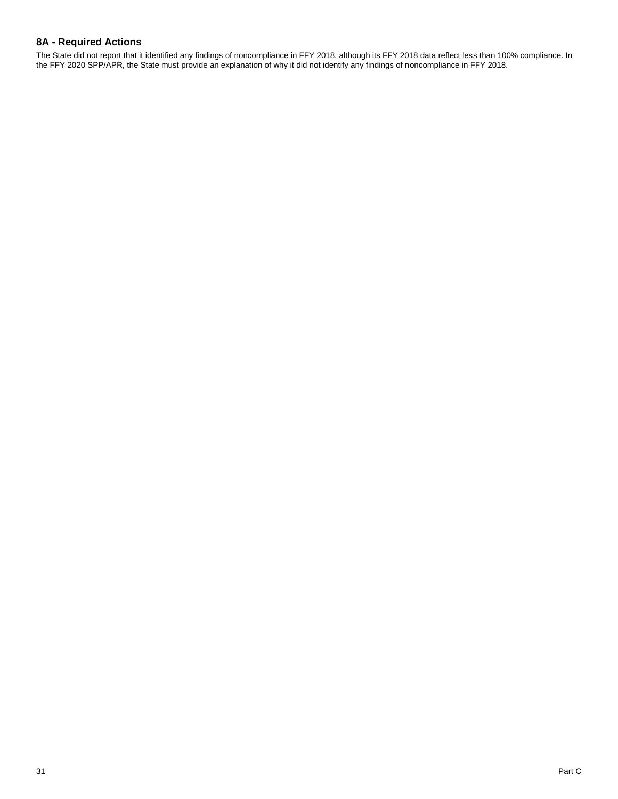## **8A - Required Actions**

The State did not report that it identified any findings of noncompliance in FFY 2018, although its FFY 2018 data reflect less than 100% compliance. In the FFY 2020 SPP/APR, the State must provide an explanation of why it did not identify any findings of noncompliance in FFY 2018.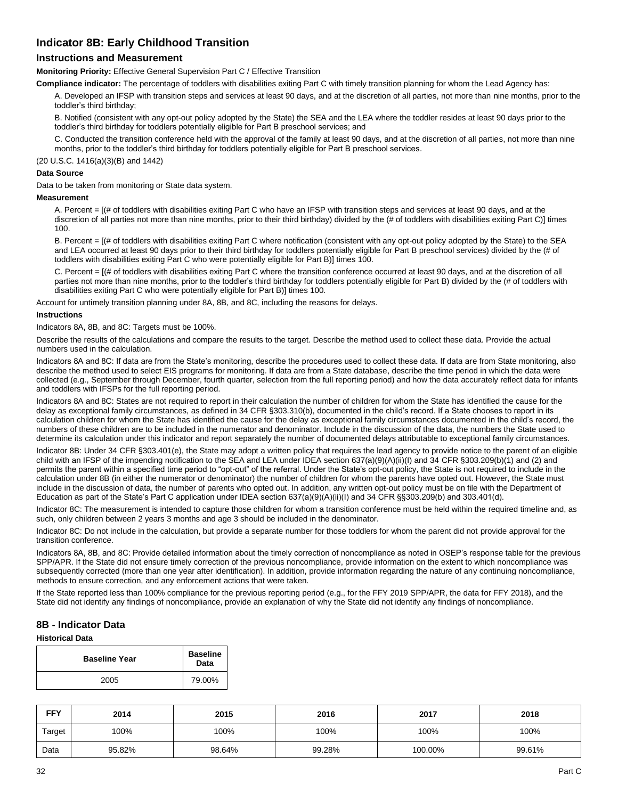## **Indicator 8B: Early Childhood Transition**

### **Instructions and Measurement**

**Monitoring Priority:** Effective General Supervision Part C / Effective Transition

**Compliance indicator:** The percentage of toddlers with disabilities exiting Part C with timely transition planning for whom the Lead Agency has:

A. Developed an IFSP with transition steps and services at least 90 days, and at the discretion of all parties, not more than nine months, prior to the toddler's third birthday;

B. Notified (consistent with any opt-out policy adopted by the State) the SEA and the LEA where the toddler resides at least 90 days prior to the toddler's third birthday for toddlers potentially eligible for Part B preschool services; and

C. Conducted the transition conference held with the approval of the family at least 90 days, and at the discretion of all parties, not more than nine months, prior to the toddler's third birthday for toddlers potentially eligible for Part B preschool services.

(20 U.S.C. 1416(a)(3)(B) and 1442)

#### **Data Source**

Data to be taken from monitoring or State data system.

#### **Measurement**

A. Percent = [(# of toddlers with disabilities exiting Part C who have an IFSP with transition steps and services at least 90 days, and at the discretion of all parties not more than nine months, prior to their third birthday) divided by the (# of toddlers with disabilities exiting Part C)] times 100.

B. Percent =  $I$  (# of toddlers with disabilities exiting Part C where notification (consistent with any opt-out policy adopted by the State) to the SEA and LEA occurred at least 90 days prior to their third birthday for toddlers potentially eligible for Part B preschool services) divided by the (# of toddlers with disabilities exiting Part C who were potentially eligible for Part B)] times 100.

C. Percent = [(# of toddlers with disabilities exiting Part C where the transition conference occurred at least 90 days, and at the discretion of all parties not more than nine months, prior to the toddler's third birthday for toddlers potentially eligible for Part B) divided by the (# of toddlers with disabilities exiting Part C who were potentially eligible for Part B)] times 100.

Account for untimely transition planning under 8A, 8B, and 8C, including the reasons for delays.

#### **Instructions**

Indicators 8A, 8B, and 8C: Targets must be 100%.

Describe the results of the calculations and compare the results to the target. Describe the method used to collect these data. Provide the actual numbers used in the calculation.

Indicators 8A and 8C: If data are from the State's monitoring, describe the procedures used to collect these data. If data are from State monitoring, also describe the method used to select EIS programs for monitoring. If data are from a State database, describe the time period in which the data were collected (e.g., September through December, fourth quarter, selection from the full reporting period) and how the data accurately reflect data for infants and toddlers with IFSPs for the full reporting period.

Indicators 8A and 8C: States are not required to report in their calculation the number of children for whom the State has identified the cause for the delay as exceptional family circumstances, as defined in 34 CFR §303.310(b), documented in the child's record. If a State chooses to report in its calculation children for whom the State has identified the cause for the delay as exceptional family circumstances documented in the child's record, the numbers of these children are to be included in the numerator and denominator. Include in the discussion of the data, the numbers the State used to determine its calculation under this indicator and report separately the number of documented delays attributable to exceptional family circumstances.

Indicator 8B: Under 34 CFR §303.401(e), the State may adopt a written policy that requires the lead agency to provide notice to the parent of an eligible child with an IFSP of the impending notification to the SEA and LEA under IDEA section 637(a)(9)(A)(ii)(l) and 34 CFR §303.209(b)(1) and (2) and permits the parent within a specified time period to "opt-out" of the referral. Under the State's opt-out policy, the State is not required to include in the calculation under 8B (in either the numerator or denominator) the number of children for whom the parents have opted out. However, the State must include in the discussion of data, the number of parents who opted out. In addition, any written opt-out policy must be on file with the Department of Education as part of the State's Part C application under IDEA section 637(a)(9)(A)(ii)(I) and 34 CFR §§303.209(b) and 303.401(d).

Indicator 8C: The measurement is intended to capture those children for whom a transition conference must be held within the required timeline and, as such, only children between 2 years 3 months and age 3 should be included in the denominator.

Indicator 8C: Do not include in the calculation, but provide a separate number for those toddlers for whom the parent did not provide approval for the transition conference.

Indicators 8A, 8B, and 8C: Provide detailed information about the timely correction of noncompliance as noted in OSEP's response table for the previous SPP/APR. If the State did not ensure timely correction of the previous noncompliance, provide information on the extent to which noncompliance was subsequently corrected (more than one year after identification). In addition, provide information regarding the nature of any continuing noncompliance, methods to ensure correction, and any enforcement actions that were taken.

If the State reported less than 100% compliance for the previous reporting period (e.g., for the FFY 2019 SPP/APR, the data for FFY 2018), and the State did not identify any findings of noncompliance, provide an explanation of why the State did not identify any findings of noncompliance.

### **8B - Indicator Data**

#### **Historical Data**

| <b>Baseline Year</b> | <b>Baseline</b><br>Data |
|----------------------|-------------------------|
| 2005                 | 79.00%                  |

| <b>FFY</b> | 2014   | 2015   | 2016   | 2017    | 2018   |
|------------|--------|--------|--------|---------|--------|
| Target     | 100%   | 100%   | 100%   | 100%    | 100%   |
| Data       | 95.82% | 98.64% | 99.28% | 100.00% | 99.61% |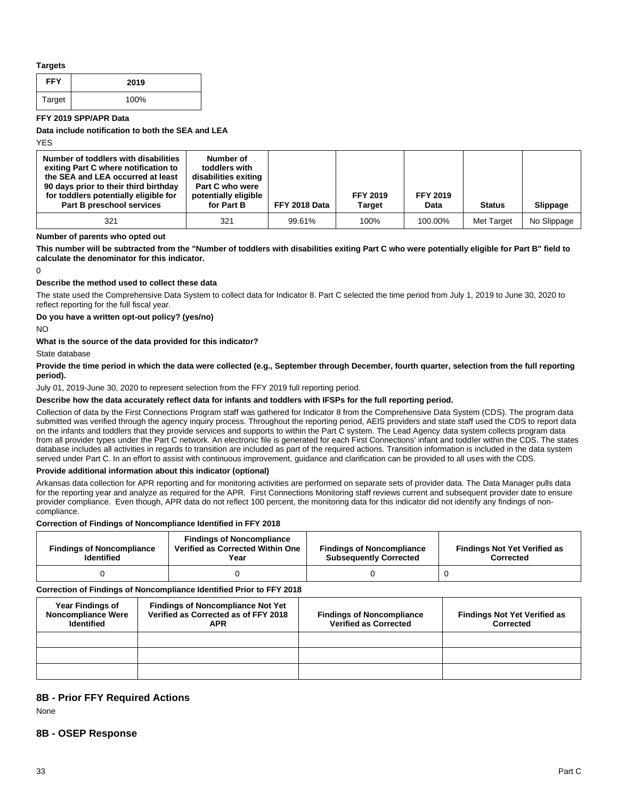#### **Targets**

| <b>FFY</b> | 2019 |
|------------|------|
| Target     | 100% |

#### **FFY 2019 SPP/APR Data**

**Data include notification to both the SEA and LEA**

YES

| Number of toddlers with disabilities<br>exiting Part C where notification to<br>the SEA and LEA occurred at least<br>90 days prior to their third birthday<br>for toddlers potentially eligible for<br>Part B preschool services | Number of<br>toddlers with<br>disabilities exiting<br>Part C who were<br>potentially eligible<br>for Part B | FFY 2018 Data | <b>FFY 2019</b><br>Target | <b>FFY 2019</b><br>Data | <b>Status</b> | Slippage    |
|----------------------------------------------------------------------------------------------------------------------------------------------------------------------------------------------------------------------------------|-------------------------------------------------------------------------------------------------------------|---------------|---------------------------|-------------------------|---------------|-------------|
| 321                                                                                                                                                                                                                              | 321                                                                                                         | 99.61%        | 100%                      | 100.00%                 | Met Target    | No Slippage |

#### **Number of parents who opted out**

**This number will be subtracted from the "Number of toddlers with disabilities exiting Part C who were potentially eligible for Part B" field to calculate the denominator for this indicator.**

 $\Omega$ 

#### **Describe the method used to collect these data**

The state used the Comprehensive Data System to collect data for Indicator 8. Part C selected the time period from July 1, 2019 to June 30, 2020 to reflect reporting for the full fiscal year.

#### **Do you have a written opt-out policy? (yes/no)**

NO

#### **What is the source of the data provided for this indicator?**

State database

#### **Provide the time period in which the data were collected (e.g., September through December, fourth quarter, selection from the full reporting period).**

#### July 01, 2019-June 30, 2020 to represent selection from the FFY 2019 full reporting period.

### **Describe how the data accurately reflect data for infants and toddlers with IFSPs for the full reporting period.**

Collection of data by the First Connections Program staff was gathered for Indicator 8 from the Comprehensive Data System (CDS). The program data submitted was verified through the agency inquiry process. Throughout the reporting period, AEIS providers and state staff used the CDS to report data on the infants and toddlers that they provide services and supports to within the Part C system. The Lead Agency data system collects program data from all provider types under the Part C network. An electronic file is generated for each First Connections' infant and toddler within the CDS. The states database includes all activities in regards to transition are included as part of the required actions. Transition information is included in the data system served under Part C. In an effort to assist with continuous improvement, guidance and clarification can be provided to all uses with the CDS.

#### **Provide additional information about this indicator (optional)**

Arkansas data collection for APR reporting and for monitoring activities are performed on separate sets of provider data. The Data Manager pulls data for the reporting year and analyze as required for the APR. First Connections Monitoring staff reviews current and subsequent provider date to ensure provider compliance. Even though, APR data do not reflect 100 percent, the monitoring data for this indicator did not identify any findings of noncompliance.

#### **Correction of Findings of Noncompliance Identified in FFY 2018**

| <b>Findings of Noncompliance</b><br><b>Identified</b> | <b>Findings of Noncompliance</b><br>Verified as Corrected Within One<br>Year | <b>Findings of Noncompliance</b><br><b>Subsequently Corrected</b> | <b>Findings Not Yet Verified as</b><br>Corrected |
|-------------------------------------------------------|------------------------------------------------------------------------------|-------------------------------------------------------------------|--------------------------------------------------|
|                                                       |                                                                              |                                                                   |                                                  |

#### **Correction of Findings of Noncompliance Identified Prior to FFY 2018**

| <b>Year Findings of</b><br><b>Noncompliance Were</b><br><b>Identified</b> | <b>Findings of Noncompliance Not Yet</b><br>Verified as Corrected as of FFY 2018<br><b>APR</b> | <b>Findings of Noncompliance</b><br><b>Verified as Corrected</b> | <b>Findings Not Yet Verified as</b><br>Corrected |
|---------------------------------------------------------------------------|------------------------------------------------------------------------------------------------|------------------------------------------------------------------|--------------------------------------------------|
|                                                                           |                                                                                                |                                                                  |                                                  |
|                                                                           |                                                                                                |                                                                  |                                                  |
|                                                                           |                                                                                                |                                                                  |                                                  |

### **8B - Prior FFY Required Actions**

None

#### **8B - OSEP Response**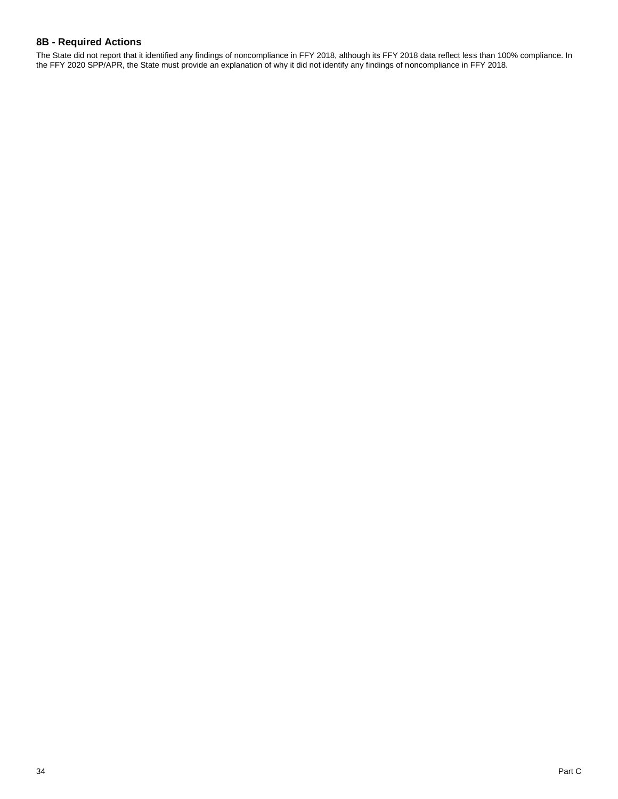### **8B - Required Actions**

The State did not report that it identified any findings of noncompliance in FFY 2018, although its FFY 2018 data reflect less than 100% compliance. In the FFY 2020 SPP/APR, the State must provide an explanation of why it did not identify any findings of noncompliance in FFY 2018.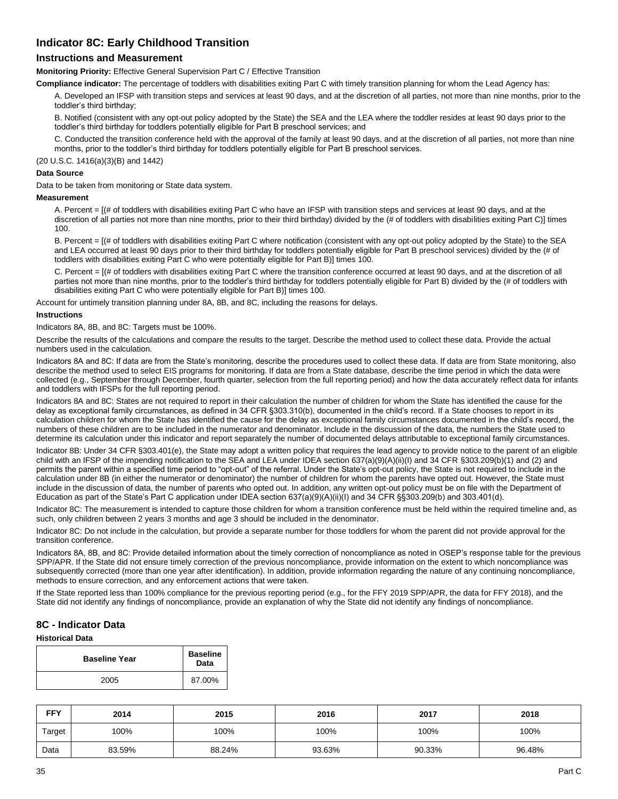## **Indicator 8C: Early Childhood Transition**

### **Instructions and Measurement**

**Monitoring Priority:** Effective General Supervision Part C / Effective Transition

**Compliance indicator:** The percentage of toddlers with disabilities exiting Part C with timely transition planning for whom the Lead Agency has:

A. Developed an IFSP with transition steps and services at least 90 days, and at the discretion of all parties, not more than nine months, prior to the toddler's third birthday;

B. Notified (consistent with any opt-out policy adopted by the State) the SEA and the LEA where the toddler resides at least 90 days prior to the toddler's third birthday for toddlers potentially eligible for Part B preschool services; and

C. Conducted the transition conference held with the approval of the family at least 90 days, and at the discretion of all parties, not more than nine months, prior to the toddler's third birthday for toddlers potentially eligible for Part B preschool services.

(20 U.S.C. 1416(a)(3)(B) and 1442)

#### **Data Source**

Data to be taken from monitoring or State data system.

#### **Measurement**

A. Percent = [(# of toddlers with disabilities exiting Part C who have an IFSP with transition steps and services at least 90 days, and at the discretion of all parties not more than nine months, prior to their third birthday) divided by the (# of toddlers with disabilities exiting Part C)] times 100.

B. Percent =  $I$  (# of toddlers with disabilities exiting Part C where notification (consistent with any opt-out policy adopted by the State) to the SEA and LEA occurred at least 90 days prior to their third birthday for toddlers potentially eligible for Part B preschool services) divided by the (# of toddlers with disabilities exiting Part C who were potentially eligible for Part B)] times 100.

C. Percent = [(# of toddlers with disabilities exiting Part C where the transition conference occurred at least 90 days, and at the discretion of all parties not more than nine months, prior to the toddler's third birthday for toddlers potentially eligible for Part B) divided by the (# of toddlers with disabilities exiting Part C who were potentially eligible for Part B)] times 100.

Account for untimely transition planning under 8A, 8B, and 8C, including the reasons for delays.

#### **Instructions**

Indicators 8A, 8B, and 8C: Targets must be 100%.

Describe the results of the calculations and compare the results to the target. Describe the method used to collect these data. Provide the actual numbers used in the calculation.

Indicators 8A and 8C: If data are from the State's monitoring, describe the procedures used to collect these data. If data are from State monitoring, also describe the method used to select EIS programs for monitoring. If data are from a State database, describe the time period in which the data were collected (e.g., September through December, fourth quarter, selection from the full reporting period) and how the data accurately reflect data for infants and toddlers with IFSPs for the full reporting period.

Indicators 8A and 8C: States are not required to report in their calculation the number of children for whom the State has identified the cause for the delay as exceptional family circumstances, as defined in 34 CFR §303.310(b), documented in the child's record. If a State chooses to report in its calculation children for whom the State has identified the cause for the delay as exceptional family circumstances documented in the child's record, the numbers of these children are to be included in the numerator and denominator. Include in the discussion of the data, the numbers the State used to determine its calculation under this indicator and report separately the number of documented delays attributable to exceptional family circumstances.

Indicator 8B: Under 34 CFR §303.401(e), the State may adopt a written policy that requires the lead agency to provide notice to the parent of an eligible child with an IFSP of the impending notification to the SEA and LEA under IDEA section 637(a)(9)(A)(ii)(I) and 34 CFR §303.209(b)(1) and (2) and permits the parent within a specified time period to "opt-out" of the referral. Under the State's opt-out policy, the State is not required to include in the calculation under 8B (in either the numerator or denominator) the number of children for whom the parents have opted out. However, the State must include in the discussion of data, the number of parents who opted out. In addition, any written opt-out policy must be on file with the Department of Education as part of the State's Part C application under IDEA section 637(a)(9)(A)(ii)(I) and 34 CFR §§303.209(b) and 303.401(d).

Indicator 8C: The measurement is intended to capture those children for whom a transition conference must be held within the required timeline and, as such, only children between 2 years 3 months and age 3 should be included in the denominator.

Indicator 8C: Do not include in the calculation, but provide a separate number for those toddlers for whom the parent did not provide approval for the transition conference.

Indicators 8A, 8B, and 8C: Provide detailed information about the timely correction of noncompliance as noted in OSEP's response table for the previous SPP/APR. If the State did not ensure timely correction of the previous noncompliance, provide information on the extent to which noncompliance was subsequently corrected (more than one year after identification). In addition, provide information regarding the nature of any continuing noncompliance, methods to ensure correction, and any enforcement actions that were taken.

If the State reported less than 100% compliance for the previous reporting period (e.g., for the FFY 2019 SPP/APR, the data for FFY 2018), and the State did not identify any findings of noncompliance, provide an explanation of why the State did not identify any findings of noncompliance.

### **8C - Indicator Data**

### **Historical Data**

| <b>Baseline Year</b> | <b>Baseline</b><br>Data |
|----------------------|-------------------------|
| 2005                 | 87.00%                  |

| <b>FFY</b> | 2014   | 2015   | 2016   | 2017   | 2018   |
|------------|--------|--------|--------|--------|--------|
| Target     | 100%   | 100%   | 100%   | 100%   | 100%   |
| Data       | 83.59% | 88.24% | 93.63% | 90.33% | 96.48% |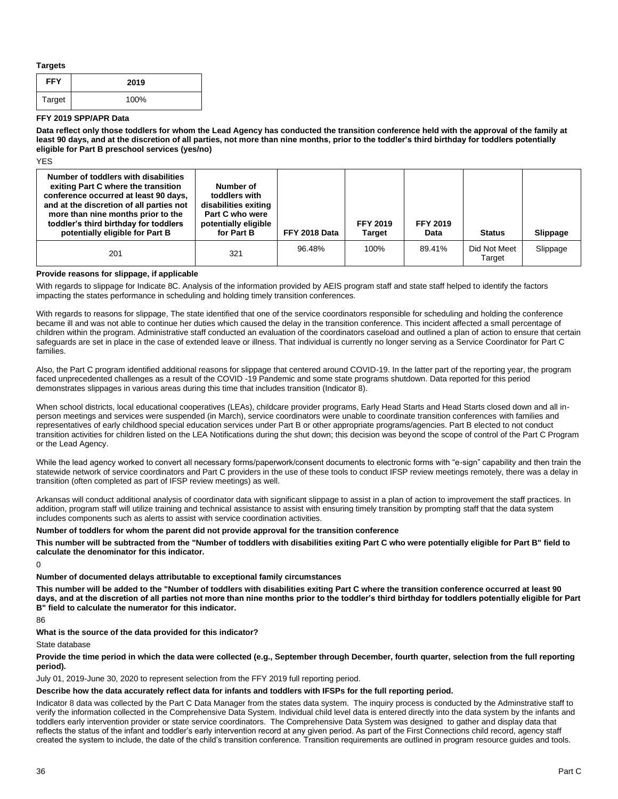**Targets**

| <b>FFY</b> | 2019 |
|------------|------|
| Target     | 100% |

#### **FFY 2019 SPP/APR Data**

**Data reflect only those toddlers for whom the Lead Agency has conducted the transition conference held with the approval of the family at least 90 days, and at the discretion of all parties, not more than nine months, prior to the toddler's third birthday for toddlers potentially eligible for Part B preschool services (yes/no)**

YES

| Number of toddlers with disabilities<br>exiting Part C where the transition<br>conference occurred at least 90 days,<br>and at the discretion of all parties not<br>more than nine months prior to the<br>toddler's third birthday for toddlers<br>potentially eligible for Part B | Number of<br>toddlers with<br>disabilities exiting<br>Part C who were<br>potentially eligible<br>for Part B | FFY 2018 Data | <b>FFY 2019</b><br><b>Target</b> | <b>FFY 2019</b><br>Data | <b>Status</b>          | <b>Slippage</b> |
|------------------------------------------------------------------------------------------------------------------------------------------------------------------------------------------------------------------------------------------------------------------------------------|-------------------------------------------------------------------------------------------------------------|---------------|----------------------------------|-------------------------|------------------------|-----------------|
| 201                                                                                                                                                                                                                                                                                | 321                                                                                                         | 96.48%        | 100%                             | 89.41%                  | Did Not Meet<br>Target | Slippage        |

#### **Provide reasons for slippage, if applicable**

With regards to slippage for Indicate 8C. Analysis of the information provided by AEIS program staff and state staff helped to identify the factors impacting the states performance in scheduling and holding timely transition conferences.

With regards to reasons for slippage, The state identified that one of the service coordinators responsible for scheduling and holding the conference became ill and was not able to continue her duties which caused the delay in the transition conference. This incident affected a small percentage of children within the program. Administrative staff conducted an evaluation of the coordinators caseload and outlined a plan of action to ensure that certain safeguards are set in place in the case of extended leave or illness. That individual is currently no longer serving as a Service Coordinator for Part C families.

Also, the Part C program identified additional reasons for slippage that centered around COVID-19. In the latter part of the reporting year, the program faced unprecedented challenges as a result of the COVID -19 Pandemic and some state programs shutdown. Data reported for this period demonstrates slippages in various areas during this time that includes transition (Indicator 8).

When school districts, local educational cooperatives (LEAs), childcare provider programs, Early Head Starts and Head Starts closed down and all inperson meetings and services were suspended (in March), service coordinators were unable to coordinate transition conferences with families and representatives of early childhood special education services under Part B or other appropriate programs/agencies. Part B elected to not conduct transition activities for children listed on the LEA Notifications during the shut down; this decision was beyond the scope of control of the Part C Program or the Lead Agency.

While the lead agency worked to convert all necessary forms/paperwork/consent documents to electronic forms with "e-sign" capability and then train the statewide network of service coordinators and Part C providers in the use of these tools to conduct IFSP review meetings remotely, there was a delay in transition (often completed as part of IFSP review meetings) as well.

Arkansas will conduct additional analysis of coordinator data with significant slippage to assist in a plan of action to improvement the staff practices. In addition, program staff will utilize training and technical assistance to assist with ensuring timely transition by prompting staff that the data system includes components such as alerts to assist with service coordination activities.

#### **Number of toddlers for whom the parent did not provide approval for the transition conference**

**This number will be subtracted from the "Number of toddlers with disabilities exiting Part C who were potentially eligible for Part B" field to calculate the denominator for this indicator.**

0

### **Number of documented delays attributable to exceptional family circumstances**

**This number will be added to the "Number of toddlers with disabilities exiting Part C where the transition conference occurred at least 90 days, and at the discretion of all parties not more than nine months prior to the toddler's third birthday for toddlers potentially eligible for Part B" field to calculate the numerator for this indicator.**

86

**What is the source of the data provided for this indicator?**

State database

**Provide the time period in which the data were collected (e.g., September through December, fourth quarter, selection from the full reporting period).** 

July 01, 2019-June 30, 2020 to represent selection from the FFY 2019 full reporting period.

#### **Describe how the data accurately reflect data for infants and toddlers with IFSPs for the full reporting period.**

Indicator 8 data was collected by the Part C Data Manager from the states data system. The inquiry process is conducted by the Adminstrative staff to verify the information collected in the Comprehensive Data System. Individual child level data is entered directly into the data system by the infants and toddlers early intervention provider or state service coordinators. The Comprehensive Data System was designed to gather and display data that reflects the status of the infant and toddler's early intervention record at any given period. As part of the First Connections child record, agency staff created the system to include, the date of the child's transition conference. Transition requirements are outlined in program resource guides and tools.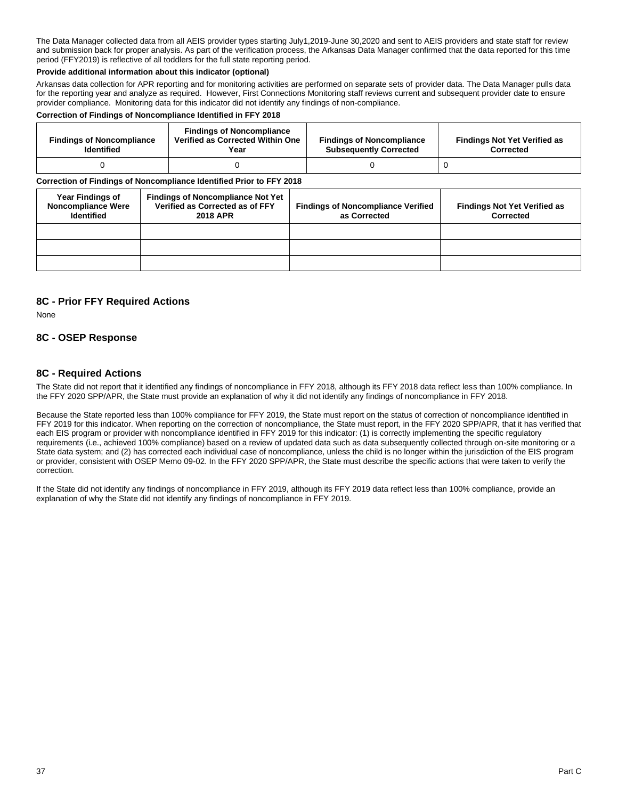The Data Manager collected data from all AEIS provider types starting July1,2019-June 30,2020 and sent to AEIS providers and state staff for review and submission back for proper analysis. As part of the verification process, the Arkansas Data Manager confirmed that the data reported for this time period (FFY2019) is reflective of all toddlers for the full state reporting period.

#### **Provide additional information about this indicator (optional)**

Arkansas data collection for APR reporting and for monitoring activities are performed on separate sets of provider data. The Data Manager pulls data for the reporting year and analyze as required. However, First Connections Monitoring staff reviews current and subsequent provider date to ensure provider compliance. Monitoring data for this indicator did not identify any findings of non-compliance.

#### **Correction of Findings of Noncompliance Identified in FFY 2018**

| <b>Findings of Noncompliance</b><br><b>Identified</b> | <b>Findings of Noncompliance</b><br>Verified as Corrected Within One<br>Year | <b>Findings of Noncompliance</b><br><b>Subsequently Corrected</b> | <b>Findings Not Yet Verified as</b><br><b>Corrected</b> |
|-------------------------------------------------------|------------------------------------------------------------------------------|-------------------------------------------------------------------|---------------------------------------------------------|
|                                                       |                                                                              |                                                                   |                                                         |

#### **Correction of Findings of Noncompliance Identified Prior to FFY 2018**

| <b>Year Findings of</b><br><b>Noncompliance Were</b><br><b>Identified</b> | <b>Findings of Noncompliance Not Yet</b><br>Verified as Corrected as of FFY<br><b>2018 APR</b> | <b>Findings of Noncompliance Verified</b><br>as Corrected | <b>Findings Not Yet Verified as</b><br>Corrected |
|---------------------------------------------------------------------------|------------------------------------------------------------------------------------------------|-----------------------------------------------------------|--------------------------------------------------|
|                                                                           |                                                                                                |                                                           |                                                  |
|                                                                           |                                                                                                |                                                           |                                                  |
|                                                                           |                                                                                                |                                                           |                                                  |

### **8C - Prior FFY Required Actions**

None

### **8C - OSEP Response**

### **8C - Required Actions**

The State did not report that it identified any findings of noncompliance in FFY 2018, although its FFY 2018 data reflect less than 100% compliance. In the FFY 2020 SPP/APR, the State must provide an explanation of why it did not identify any findings of noncompliance in FFY 2018.

Because the State reported less than 100% compliance for FFY 2019, the State must report on the status of correction of noncompliance identified in FFY 2019 for this indicator. When reporting on the correction of noncompliance, the State must report, in the FFY 2020 SPP/APR, that it has verified that each EIS program or provider with noncompliance identified in FFY 2019 for this indicator: (1) is correctly implementing the specific regulatory requirements (i.e., achieved 100% compliance) based on a review of updated data such as data subsequently collected through on-site monitoring or a State data system; and (2) has corrected each individual case of noncompliance, unless the child is no longer within the jurisdiction of the EIS program or provider, consistent with OSEP Memo 09-02. In the FFY 2020 SPP/APR, the State must describe the specific actions that were taken to verify the correction.

If the State did not identify any findings of noncompliance in FFY 2019, although its FFY 2019 data reflect less than 100% compliance, provide an explanation of why the State did not identify any findings of noncompliance in FFY 2019.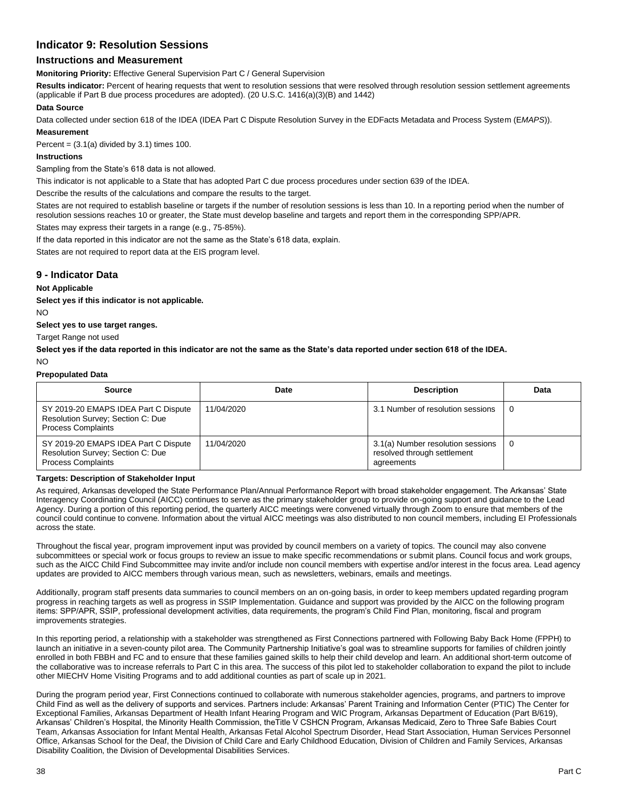## **Indicator 9: Resolution Sessions**

### **Instructions and Measurement**

**Monitoring Priority:** Effective General Supervision Part C / General Supervision

**Results indicator:** Percent of hearing requests that went to resolution sessions that were resolved through resolution session settlement agreements (applicable if Part B due process procedures are adopted). (20 U.S.C. 1416(a)(3)(B) and 1442)

#### **Data Source**

Data collected under section 618 of the IDEA (IDEA Part C Dispute Resolution Survey in the EDFacts Metadata and Process System (E*MAPS*)). **Measurement**

Percent =  $(3.1(a)$  divided by 3.1) times 100.

#### **Instructions**

Sampling from the State's 618 data is not allowed.

This indicator is not applicable to a State that has adopted Part C due process procedures under section 639 of the IDEA.

Describe the results of the calculations and compare the results to the target.

States are not required to establish baseline or targets if the number of resolution sessions is less than 10. In a reporting period when the number of resolution sessions reaches 10 or greater, the State must develop baseline and targets and report them in the corresponding SPP/APR.

States may express their targets in a range (e.g., 75-85%).

If the data reported in this indicator are not the same as the State's 618 data, explain.

States are not required to report data at the EIS program level.

### **9 - Indicator Data**

#### **Not Applicable**

**Select yes if this indicator is not applicable.** 

NO

**Select yes to use target ranges.**

Target Range not used

**Select yes if the data reported in this indicator are not the same as the State's data reported under section 618 of the IDEA.**

NO

#### **Prepopulated Data**

| <b>Source</b>                                                                                          | Date       | <b>Description</b>                                                             | Data |
|--------------------------------------------------------------------------------------------------------|------------|--------------------------------------------------------------------------------|------|
| SY 2019-20 EMAPS IDEA Part C Dispute<br>Resolution Survey; Section C: Due<br><b>Process Complaints</b> | 11/04/2020 | 3.1 Number of resolution sessions                                              | 0    |
| SY 2019-20 EMAPS IDEA Part C Dispute<br>Resolution Survey; Section C: Due<br><b>Process Complaints</b> | 11/04/2020 | 3.1(a) Number resolution sessions<br>resolved through settlement<br>agreements | 0    |

#### **Targets: Description of Stakeholder Input**

As required, Arkansas developed the State Performance Plan/Annual Performance Report with broad stakeholder engagement. The Arkansas' State Interagency Coordinating Council (AICC) continues to serve as the primary stakeholder group to provide on-going support and guidance to the Lead Agency. During a portion of this reporting period, the quarterly AICC meetings were convened virtually through Zoom to ensure that members of the council could continue to convene. Information about the virtual AICC meetings was also distributed to non council members, including EI Professionals across the state.

Throughout the fiscal year, program improvement input was provided by council members on a variety of topics. The council may also convene subcommittees or special work or focus groups to review an issue to make specific recommendations or submit plans. Council focus and work groups, such as the AICC Child Find Subcommittee may invite and/or include non council members with expertise and/or interest in the focus area. Lead agency updates are provided to AICC members through various mean, such as newsletters, webinars, emails and meetings.

Additionally, program staff presents data summaries to council members on an on-going basis, in order to keep members updated regarding program progress in reaching targets as well as progress in SSIP Implementation. Guidance and support was provided by the AICC on the following program items: SPP/APR, SSIP, professional development activities, data requirements, the program's Child Find Plan, monitoring, fiscal and program improvements strategies.

In this reporting period, a relationship with a stakeholder was strengthened as First Connections partnered with Following Baby Back Home (FPPH) to launch an initiative in a seven-county pilot area. The Community Partnership Initiative's goal was to streamline supports for families of children jointly enrolled in both FBBH and FC and to ensure that these families gained skills to help their child develop and learn. An additional short-term outcome of the collaborative was to increase referrals to Part C in this area. The success of this pilot led to stakeholder collaboration to expand the pilot to include other MIECHV Home Visiting Programs and to add additional counties as part of scale up in 2021.

During the program period year, First Connections continued to collaborate with numerous stakeholder agencies, programs, and partners to improve Child Find as well as the delivery of supports and services. Partners include: Arkansas' Parent Training and Information Center (PTIC) The Center for Exceptional Families, Arkansas Department of Health Infant Hearing Program and WIC Program, Arkansas Department of Education (Part B/619), Arkansas' Children's Hospital, the Minority Health Commission, theTitle V CSHCN Program, Arkansas Medicaid, Zero to Three Safe Babies Court Team, Arkansas Association for Infant Mental Health, Arkansas Fetal Alcohol Spectrum Disorder, Head Start Association, Human Services Personnel Office, Arkansas School for the Deaf, the Division of Child Care and Early Childhood Education, Division of Children and Family Services, Arkansas Disability Coalition, the Division of Developmental Disabilities Services.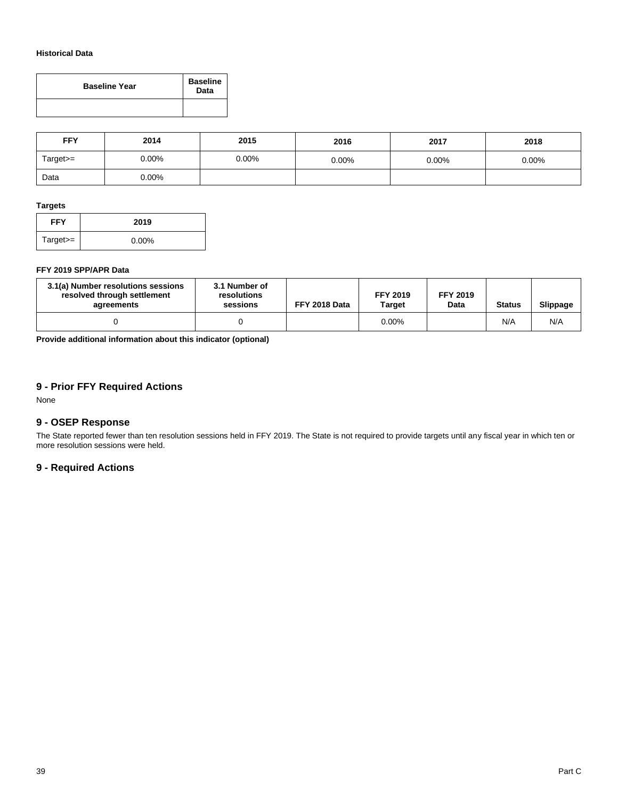### **Historical Data**

| <b>Baseline Year</b> | <b>Baseline</b><br>Data |  |
|----------------------|-------------------------|--|
|                      |                         |  |

| <b>FFY</b> | 2014     | 2015  | 2016     | 2017     | 2018     |
|------------|----------|-------|----------|----------|----------|
| Target>=   | $0.00\%$ | 0.00% | $0.00\%$ | $0.00\%$ | $0.00\%$ |
| Data       | $0.00\%$ |       |          |          |          |

### **Targets**

| <b>FFY</b> | 2019     |
|------------|----------|
| $Target =$ | $0.00\%$ |

### **FFY 2019 SPP/APR Data**

| 3.1(a) Number resolutions sessions<br>resolved through settlement<br>agreements | 3.1 Number of<br>resolutions<br>sessions | FFY 2018 Data | <b>FFY 2019</b><br>Target | <b>FFY 2019</b><br>Data | <b>Status</b> | Slippage |
|---------------------------------------------------------------------------------|------------------------------------------|---------------|---------------------------|-------------------------|---------------|----------|
|                                                                                 |                                          |               | $0.00\%$                  |                         | N/A           | N/A      |

**Provide additional information about this indicator (optional)**

### **9 - Prior FFY Required Actions**

None

### **9 - OSEP Response**

The State reported fewer than ten resolution sessions held in FFY 2019. The State is not required to provide targets until any fiscal year in which ten or more resolution sessions were held.

### **9 - Required Actions**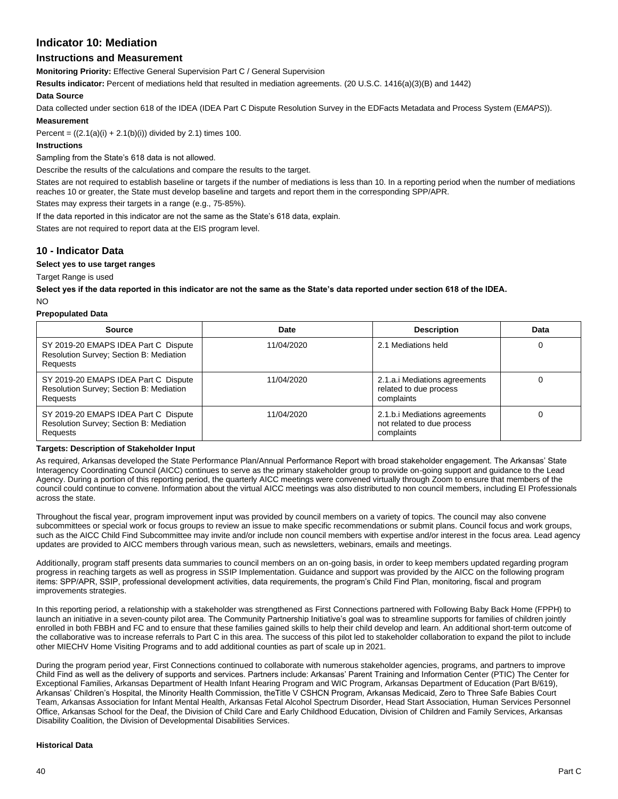### **Indicator 10: Mediation**

### **Instructions and Measurement**

**Monitoring Priority:** Effective General Supervision Part C / General Supervision

**Results indicator:** Percent of mediations held that resulted in mediation agreements. (20 U.S.C. 1416(a)(3)(B) and 1442)

#### **Data Source**

Data collected under section 618 of the IDEA (IDEA Part C Dispute Resolution Survey in the EDFacts Metadata and Process System (E*MAPS*)).

#### **Measurement**

Percent =  $((2.1(a)(i) + 2.1(b)(i))$  divided by 2.1) times 100.

#### **Instructions**

Sampling from the State's 618 data is not allowed.

Describe the results of the calculations and compare the results to the target.

States are not required to establish baseline or targets if the number of mediations is less than 10. In a reporting period when the number of mediations reaches 10 or greater, the State must develop baseline and targets and report them in the corresponding SPP/APR.

States may express their targets in a range (e.g., 75-85%).

If the data reported in this indicator are not the same as the State's 618 data, explain.

States are not required to report data at the EIS program level.

### **10 - Indicator Data**

**Select yes to use target ranges**

Target Range is used

**Select yes if the data reported in this indicator are not the same as the State's data reported under section 618 of the IDEA.** 

NO

#### **Prepopulated Data**

| <b>Source</b>                                                                                      | Date       | <b>Description</b>                                                        | Data |
|----------------------------------------------------------------------------------------------------|------------|---------------------------------------------------------------------------|------|
| SY 2019-20 EMAPS IDEA Part C Dispute<br>Resolution Survey; Section B: Mediation<br>Requests        | 11/04/2020 | 2.1 Mediations held                                                       | 0    |
| SY 2019-20 EMAPS IDEA Part C Dispute<br>Resolution Survey; Section B: Mediation<br><b>Requests</b> | 11/04/2020 | 2.1.a.i Mediations agreements<br>related to due process<br>complaints     |      |
| SY 2019-20 EMAPS IDEA Part C Dispute<br>Resolution Survey; Section B: Mediation<br><b>Requests</b> | 11/04/2020 | 2.1.b.i Mediations agreements<br>not related to due process<br>complaints |      |

#### **Targets: Description of Stakeholder Input**

As required, Arkansas developed the State Performance Plan/Annual Performance Report with broad stakeholder engagement. The Arkansas' State Interagency Coordinating Council (AICC) continues to serve as the primary stakeholder group to provide on-going support and guidance to the Lead Agency. During a portion of this reporting period, the quarterly AICC meetings were convened virtually through Zoom to ensure that members of the council could continue to convene. Information about the virtual AICC meetings was also distributed to non council members, including EI Professionals across the state.

Throughout the fiscal year, program improvement input was provided by council members on a variety of topics. The council may also convene subcommittees or special work or focus groups to review an issue to make specific recommendations or submit plans. Council focus and work groups, such as the AICC Child Find Subcommittee may invite and/or include non council members with expertise and/or interest in the focus area. Lead agency updates are provided to AICC members through various mean, such as newsletters, webinars, emails and meetings.

Additionally, program staff presents data summaries to council members on an on-going basis, in order to keep members updated regarding program progress in reaching targets as well as progress in SSIP Implementation. Guidance and support was provided by the AICC on the following program items: SPP/APR, SSIP, professional development activities, data requirements, the program's Child Find Plan, monitoring, fiscal and program improvements strategies.

In this reporting period, a relationship with a stakeholder was strengthened as First Connections partnered with Following Baby Back Home (FPPH) to launch an initiative in a seven-county pilot area. The Community Partnership Initiative's goal was to streamline supports for families of children jointly enrolled in both FBBH and FC and to ensure that these families gained skills to help their child develop and learn. An additional short-term outcome of the collaborative was to increase referrals to Part C in this area. The success of this pilot led to stakeholder collaboration to expand the pilot to include other MIECHV Home Visiting Programs and to add additional counties as part of scale up in 2021.

During the program period year, First Connections continued to collaborate with numerous stakeholder agencies, programs, and partners to improve Child Find as well as the delivery of supports and services. Partners include: Arkansas' Parent Training and Information Center (PTIC) The Center for Exceptional Families, Arkansas Department of Health Infant Hearing Program and WIC Program, Arkansas Department of Education (Part B/619), Arkansas' Children's Hospital, the Minority Health Commission, theTitle V CSHCN Program, Arkansas Medicaid, Zero to Three Safe Babies Court Team, Arkansas Association for Infant Mental Health, Arkansas Fetal Alcohol Spectrum Disorder, Head Start Association, Human Services Personnel Office, Arkansas School for the Deaf, the Division of Child Care and Early Childhood Education, Division of Children and Family Services, Arkansas Disability Coalition, the Division of Developmental Disabilities Services.

#### **Historical Data**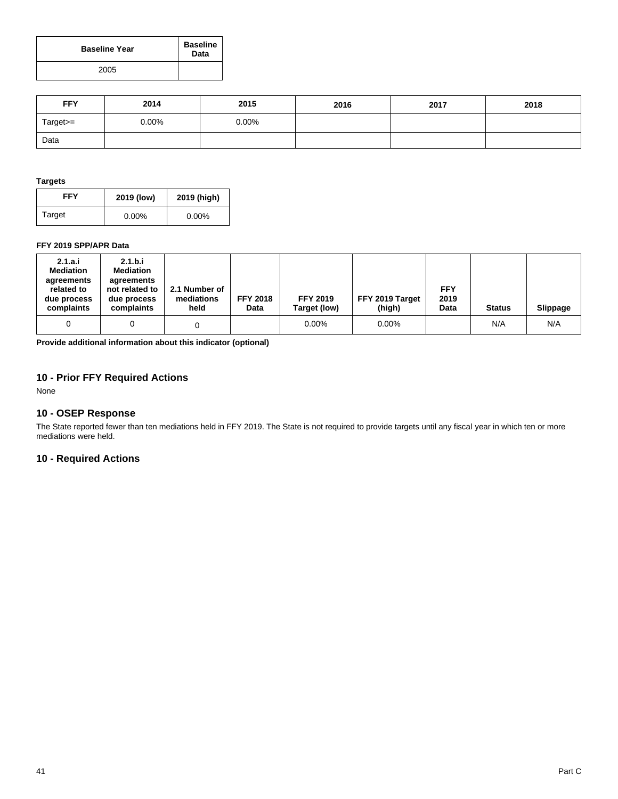| <b>Baseline Year</b> | <b>Baseline</b><br>Data |  |
|----------------------|-------------------------|--|
| 2005                 |                         |  |

| <b>FFY</b> | 2014     | 2015     | 2016 | 2017 | 2018 |
|------------|----------|----------|------|------|------|
| Target>=   | $0.00\%$ | $0.00\%$ |      |      |      |
| Data       |          |          |      |      |      |

#### **Targets**

| FFY    | 2019 (low) | 2019 (high) |  |
|--------|------------|-------------|--|
| Target | $0.00\%$   | $0.00\%$    |  |

### **FFY 2019 SPP/APR Data**

| 2.1.a.i<br><b>Mediation</b><br>agreements<br>related to<br>due process<br>complaints | 2.1.b.i<br><b>Mediation</b><br>agreements<br>not related to<br>due process<br>complaints | 2.1 Number of<br>mediations<br>held | <b>FFY 2018</b><br>Data | <b>FFY 2019</b><br>Target (low) | FFY 2019 Target<br>(high) | <b>FFY</b><br>2019<br>Data | <b>Status</b> | Slippage |
|--------------------------------------------------------------------------------------|------------------------------------------------------------------------------------------|-------------------------------------|-------------------------|---------------------------------|---------------------------|----------------------------|---------------|----------|
| 0                                                                                    | 0                                                                                        |                                     |                         | $0.00\%$                        | $0.00\%$                  |                            | N/A           | N/A      |

**Provide additional information about this indicator (optional)**

### **10 - Prior FFY Required Actions**

None

### **10 - OSEP Response**

The State reported fewer than ten mediations held in FFY 2019. The State is not required to provide targets until any fiscal year in which ten or more mediations were held.

### **10 - Required Actions**